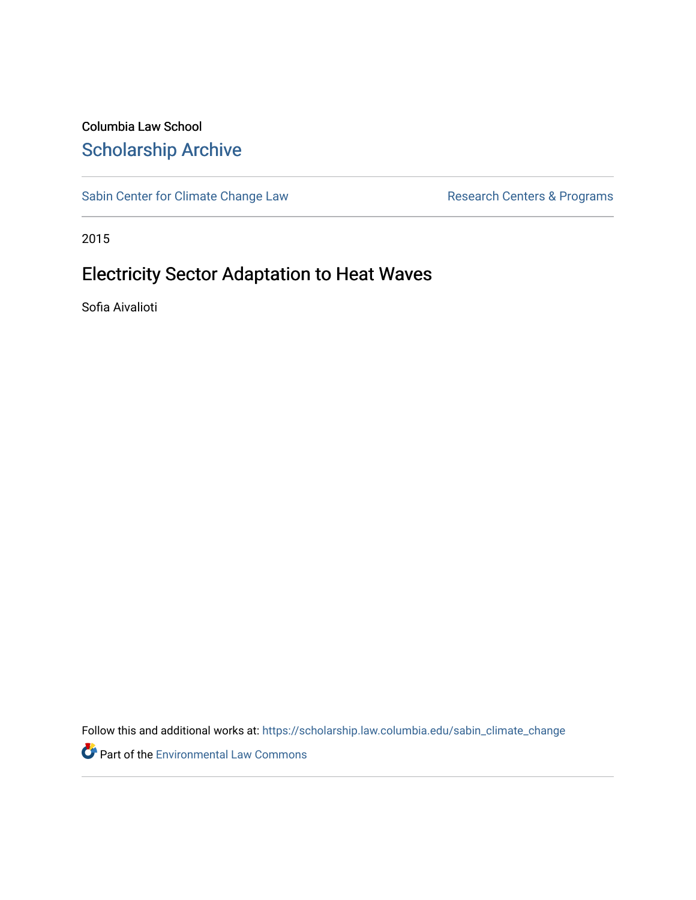# Columbia Law School [Scholarship Archive](https://scholarship.law.columbia.edu/)

[Sabin Center for Climate Change Law](https://scholarship.law.columbia.edu/sabin_climate_change) Research Centers & Programs

2015

# Electricity Sector Adaptation to Heat Waves

Sofia Aivalioti

Follow this and additional works at: [https://scholarship.law.columbia.edu/sabin\\_climate\\_change](https://scholarship.law.columbia.edu/sabin_climate_change?utm_source=scholarship.law.columbia.edu%2Fsabin_climate_change%2F136&utm_medium=PDF&utm_campaign=PDFCoverPages) 

**P** Part of the [Environmental Law Commons](http://network.bepress.com/hgg/discipline/599?utm_source=scholarship.law.columbia.edu%2Fsabin_climate_change%2F136&utm_medium=PDF&utm_campaign=PDFCoverPages)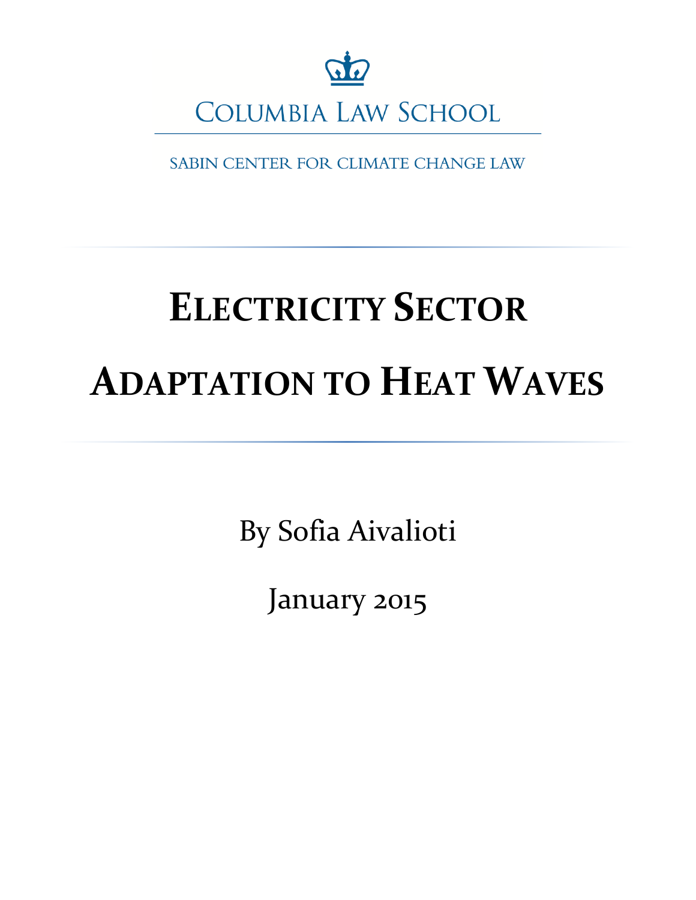

SABIN CENTER FOR CLIMATE CHANGE LAW

# **ELECTRICITY SECTOR ADAPTATION TO HEAT WAVES**

By Sofia Aivalioti

January 2015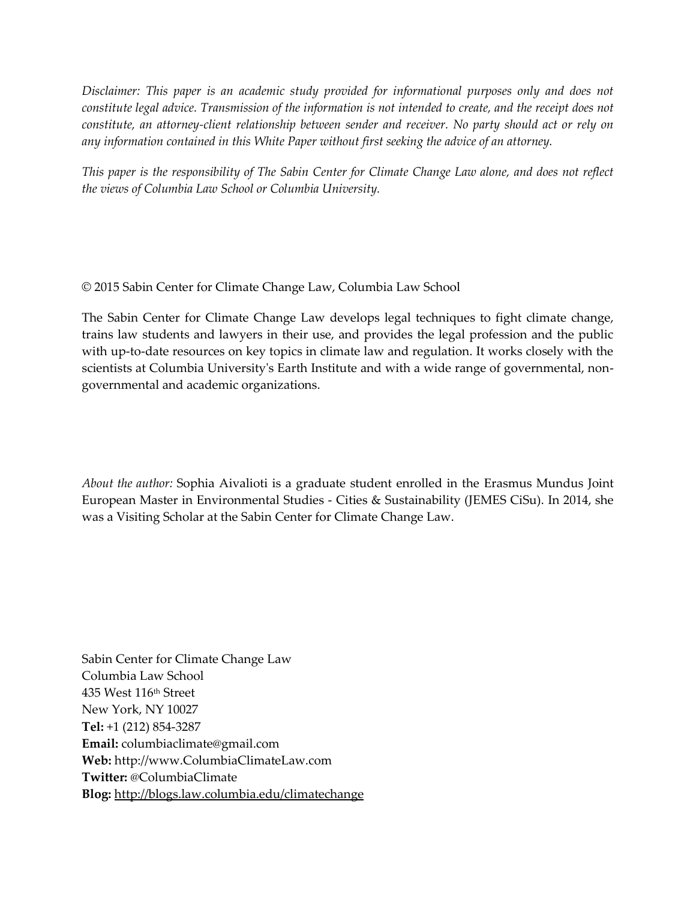*Disclaimer: This paper is an academic study provided for informational purposes only and does not constitute legal advice. Transmission of the information is not intended to create, and the receipt does not constitute, an attorney-client relationship between sender and receiver. No party should act or rely on any information contained in this White Paper without first seeking the advice of an attorney.* 

*This paper is the responsibility of The Sabin Center for Climate Change Law alone, and does not reflect the views of Columbia Law School or Columbia University.*

© 2015 Sabin Center for Climate Change Law, Columbia Law School

The Sabin Center for Climate Change Law develops legal techniques to fight climate change, trains law students and lawyers in their use, and provides the legal profession and the public with up-to-date resources on key topics in climate law and regulation. It works closely with the scientists at Columbia University's Earth Institute and with a wide range of governmental, nongovernmental and academic organizations.

*About the author:* Sophia Aivalioti is a graduate student enrolled in the Erasmus Mundus Joint European Master in Environmental Studies - Cities & Sustainability (JEMES CiSu). In 2014, she was a Visiting Scholar at the Sabin Center for Climate Change Law.

Sabin Center for Climate Change Law Columbia Law School 435 West 116th Street New York, NY 10027 **Tel:** +1 (212) 854-3287 **Email:** columbiaclimate@gmail.com **Web:** http://www.ColumbiaClimateLaw.com **Twitter:** @ColumbiaClimate **Blog:** <http://blogs.law.columbia.edu/climatechange>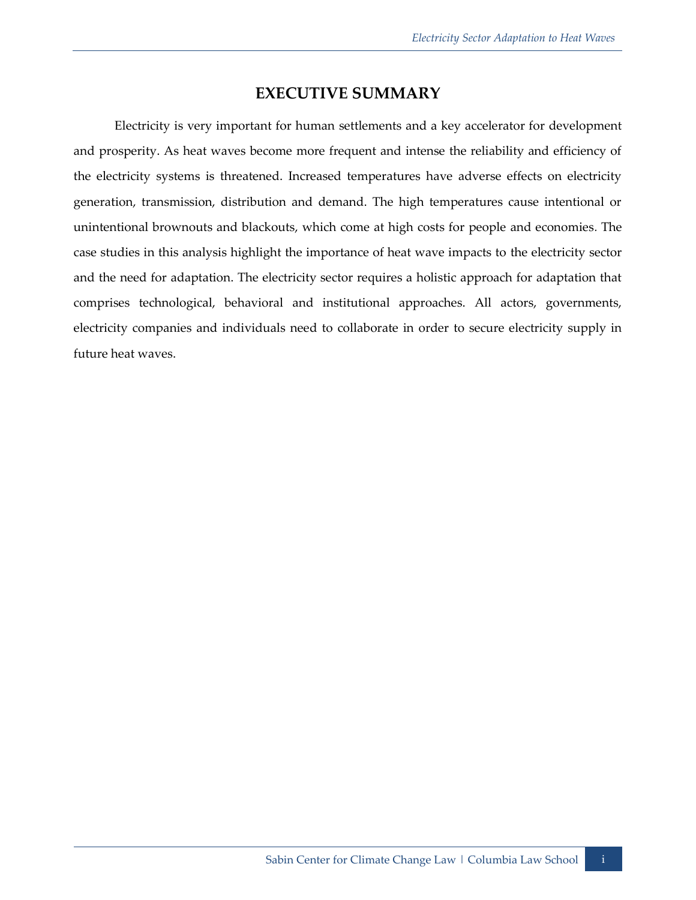# **EXECUTIVE SUMMARY**

Electricity is very important for human settlements and a key accelerator for development and prosperity. As heat waves become more frequent and intense the reliability and efficiency of the electricity systems is threatened. Increased temperatures have adverse effects on electricity generation, transmission, distribution and demand. The high temperatures cause intentional or unintentional brownouts and blackouts, which come at high costs for people and economies*.* The case studies in this analysis highlight the importance of heat wave impacts to the electricity sector and the need for adaptation. The electricity sector requires a holistic approach for adaptation that comprises technological, behavioral and institutional approaches. All actors, governments, electricity companies and individuals need to collaborate in order to secure electricity supply in future heat waves.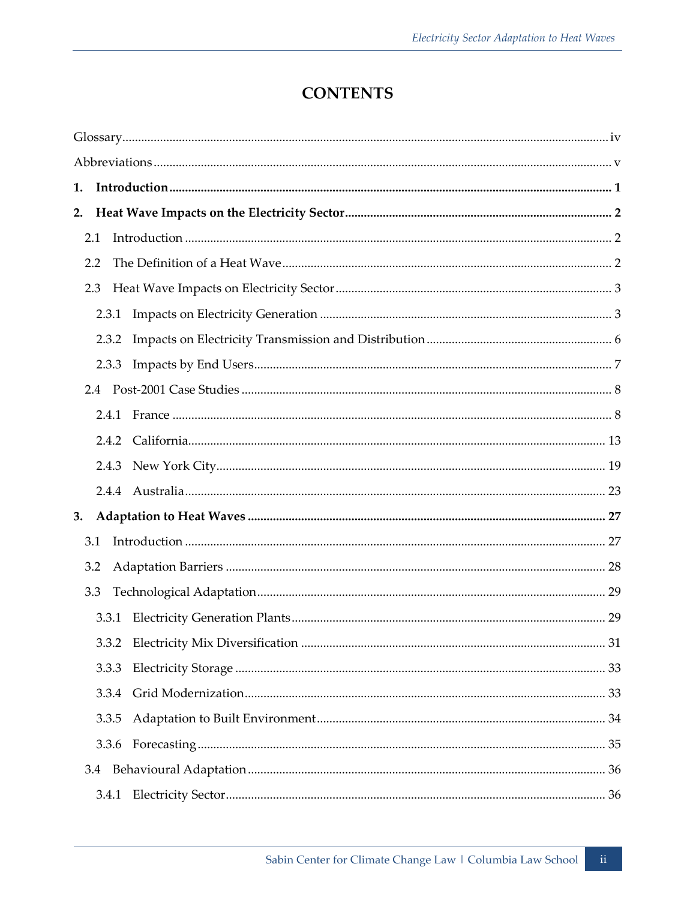# **CONTENTS**

| 1. |       |  |  |  |  |
|----|-------|--|--|--|--|
| 2. |       |  |  |  |  |
|    | 2.1   |  |  |  |  |
|    | 2.2   |  |  |  |  |
|    | 2.3   |  |  |  |  |
|    | 2.3.1 |  |  |  |  |
|    |       |  |  |  |  |
|    | 2.3.3 |  |  |  |  |
|    | 2.4   |  |  |  |  |
|    | 2.4.1 |  |  |  |  |
|    | 2.4.2 |  |  |  |  |
|    |       |  |  |  |  |
|    |       |  |  |  |  |
| 3. |       |  |  |  |  |
|    | 3.1   |  |  |  |  |
|    | 3.2   |  |  |  |  |
|    | 3.3   |  |  |  |  |
|    |       |  |  |  |  |
|    |       |  |  |  |  |
|    | 3.3.3 |  |  |  |  |
|    | 3.3.4 |  |  |  |  |
|    | 3.3.5 |  |  |  |  |
|    | 3.3.6 |  |  |  |  |
|    | 3.4   |  |  |  |  |
|    |       |  |  |  |  |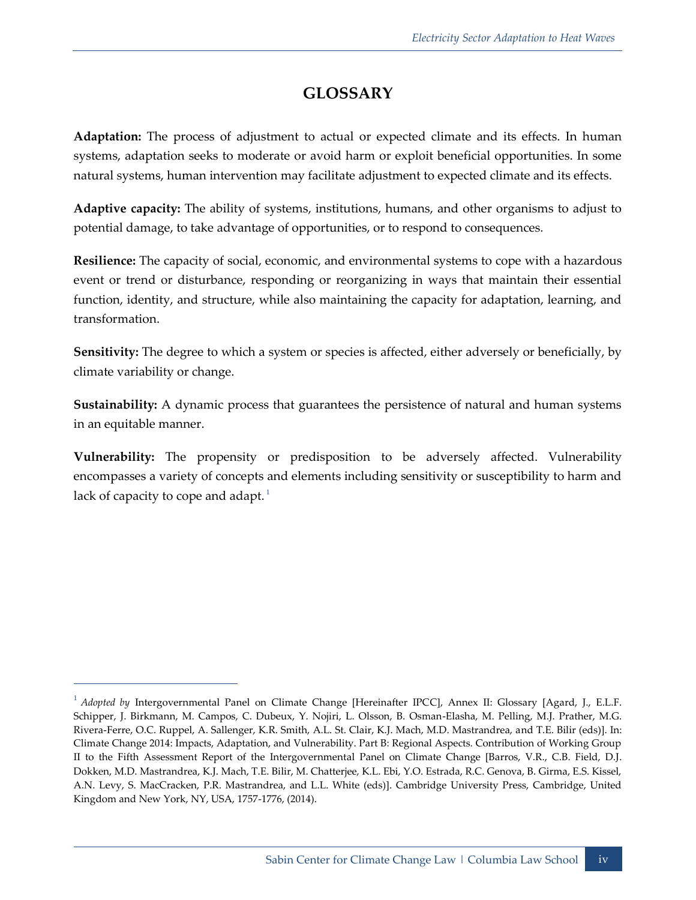# **GLOSSARY**

**Adaptation:** The process of adjustment to actual or expected climate and its effects. In human systems, adaptation seeks to moderate or avoid harm or exploit beneficial opportunities. In some natural systems, human intervention may facilitate adjustment to expected climate and its effects.

**Adaptive capacity:** The ability of systems, institutions, humans, and other organisms to adjust to potential damage, to take advantage of opportunities, or to respond to consequences.

**Resilience:** The capacity of social, economic, and environmental systems to cope with a hazardous event or trend or disturbance, responding or reorganizing in ways that maintain their essential function, identity, and structure, while also maintaining the capacity for adaptation, learning, and transformation.

**Sensitivity:** The degree to which a system or species is affected, either adversely or beneficially, by climate variability or change.

**Sustainability:** A dynamic process that guarantees the persistence of natural and human systems in an equitable manner.

**Vulnerability:** The propensity or predisposition to be adversely affected. Vulnerability encompasses a variety of concepts and elements including sensitivity or susceptibility to harm and lack of capacity to cope and adapt.<sup>1</sup>

<sup>1</sup> *Adopted by* Intergovernmental Panel on Climate Change [Hereinafter IPCC], Annex II: Glossary [Agard, J., E.L.F. Schipper, J. Birkmann, M. Campos, C. Dubeux, Y. Nojiri, L. Olsson, B. Osman-Elasha, M. Pelling, M.J. Prather, M.G. Rivera-Ferre, O.C. Ruppel, A. Sallenger, K.R. Smith, A.L. St. Clair, K.J. Mach, M.D. Mastrandrea, and T.E. Bilir (eds)]. In: Climate Change 2014: Impacts, Adaptation, and Vulnerability. Part B: Regional Aspects. Contribution of Working Group II to the Fifth Assessment Report of the Intergovernmental Panel on Climate Change [Barros, V.R., C.B. Field, D.J. Dokken, M.D. Mastrandrea, K.J. Mach, T.E. Bilir, M. Chatterjee, K.L. Ebi, Y.O. Estrada, R.C. Genova, B. Girma, E.S. Kissel, A.N. Levy, S. MacCracken, P.R. Mastrandrea, and L.L. White (eds)]. Cambridge University Press, Cambridge, United Kingdom and New York, NY, USA, 1757-1776, (2014).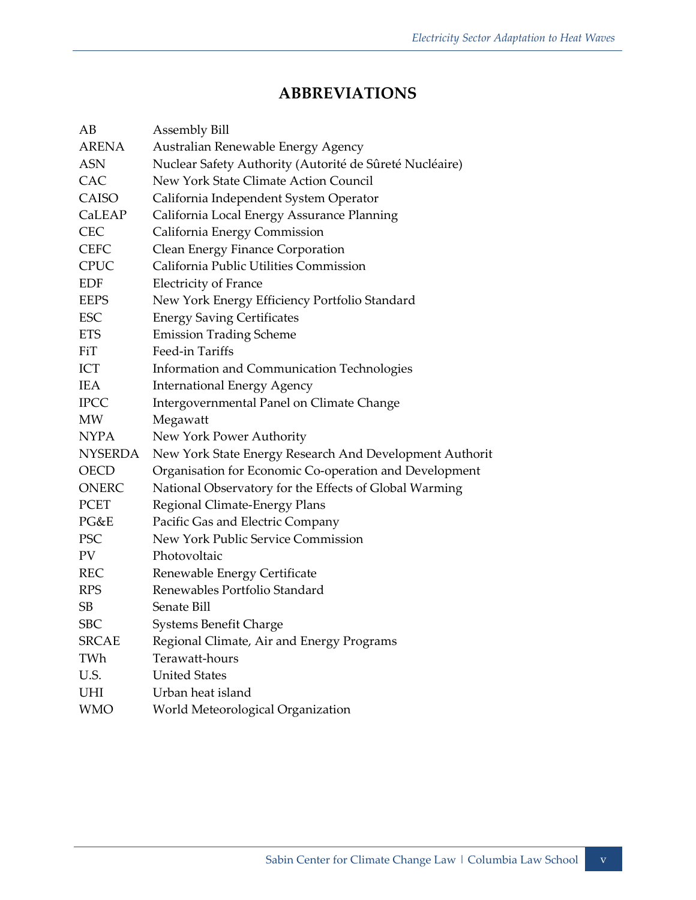# **ABBREVIATIONS**

| AB             | <b>Assembly Bill</b>                                    |
|----------------|---------------------------------------------------------|
| <b>ARENA</b>   | Australian Renewable Energy Agency                      |
| <b>ASN</b>     | Nuclear Safety Authority (Autorité de Sûreté Nucléaire) |
| CAC            | New York State Climate Action Council                   |
| CAISO          | California Independent System Operator                  |
| CaLEAP         | California Local Energy Assurance Planning              |
| <b>CEC</b>     | California Energy Commission                            |
| <b>CEFC</b>    | Clean Energy Finance Corporation                        |
| <b>CPUC</b>    | California Public Utilities Commission                  |
| <b>EDF</b>     | <b>Electricity of France</b>                            |
| <b>EEPS</b>    | New York Energy Efficiency Portfolio Standard           |
| <b>ESC</b>     | <b>Energy Saving Certificates</b>                       |
| <b>ETS</b>     | <b>Emission Trading Scheme</b>                          |
| FiT            | Feed-in Tariffs                                         |
| ICT            | Information and Communication Technologies              |
| <b>IEA</b>     | <b>International Energy Agency</b>                      |
| <b>IPCC</b>    | Intergovernmental Panel on Climate Change               |
| <b>MW</b>      | Megawatt                                                |
| <b>NYPA</b>    | New York Power Authority                                |
| <b>NYSERDA</b> | New York State Energy Research And Development Authorit |
| <b>OECD</b>    | Organisation for Economic Co-operation and Development  |
| <b>ONERC</b>   | National Observatory for the Effects of Global Warming  |
| PCET           | Regional Climate-Energy Plans                           |
| PG&E           | Pacific Gas and Electric Company                        |
| PSC            | New York Public Service Commission                      |
| PV             | Photovoltaic                                            |
| <b>REC</b>     | Renewable Energy Certificate                            |
| <b>RPS</b>     | Renewables Portfolio Standard                           |
| <b>SB</b>      | Senate Bill                                             |
| <b>SBC</b>     | <b>Systems Benefit Charge</b>                           |
| <b>SRCAE</b>   | Regional Climate, Air and Energy Programs               |
| TWh            | Terawatt-hours                                          |
| U.S.           | <b>United States</b>                                    |
| UHI            | Urban heat island                                       |
| <b>WMO</b>     | World Meteorological Organization                       |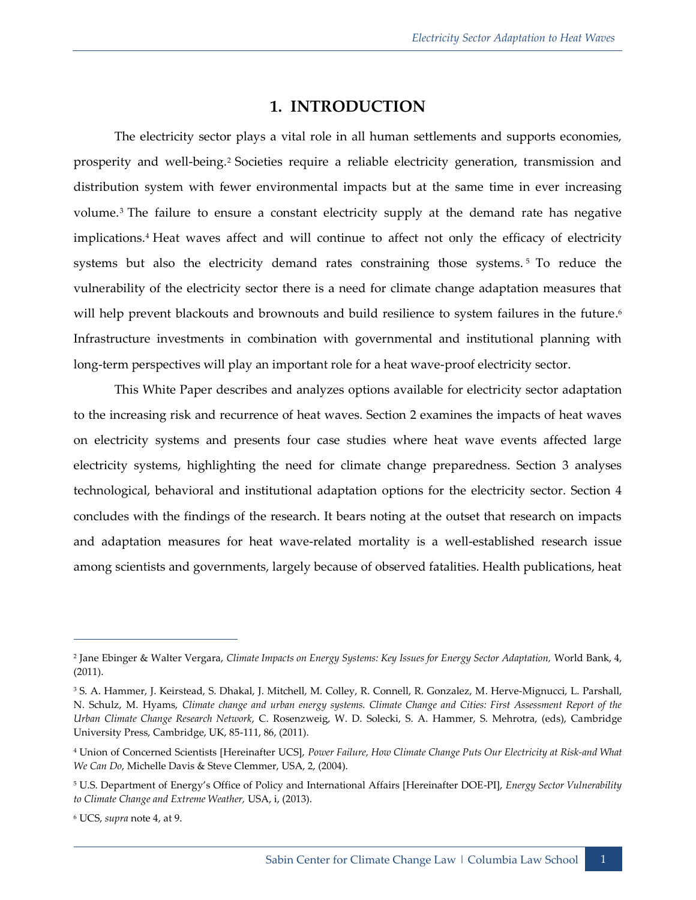## **1. INTRODUCTION**

The electricity sector plays a vital role in all human settlements and supports economies, prosperity and well-being.<sup>2</sup> Societies require a reliable electricity generation, transmission and distribution system with fewer environmental impacts but at the same time in ever increasing volume.<sup>3</sup> The failure to ensure a constant electricity supply at the demand rate has negative implications.<sup>4</sup> Heat waves affect and will continue to affect not only the efficacy of electricity systems but also the electricity demand rates constraining those systems. <sup>5</sup> To reduce the vulnerability of the electricity sector there is a need for climate change adaptation measures that will help prevent blackouts and brownouts and build resilience to system failures in the future. 6 Infrastructure investments in combination with governmental and institutional planning with long-term perspectives will play an important role for a heat wave-proof electricity sector.

This White Paper describes and analyzes options available for electricity sector adaptation to the increasing risk and recurrence of heat waves. Section 2 examines the impacts of heat waves on electricity systems and presents four case studies where heat wave events affected large electricity systems, highlighting the need for climate change preparedness. Section 3 analyses technological, behavioral and institutional adaptation options for the electricity sector. Section 4 concludes with the findings of the research. It bears noting at the outset that research on impacts and adaptation measures for heat wave-related mortality is a well-established research issue among scientists and governments, largely because of observed fatalities. Health publications, heat

<sup>2</sup> Jane Ebinger & Walter Vergara, *Climate Impacts on Energy Systems: Key Issues for Energy Sector Adaptation,* World Bank, 4, (2011).

<sup>3</sup> S. A. Hammer, J. Keirstead, S. Dhakal, J. Mitchell, M. Colley, R. Connell, R. Gonzalez, M. Herve-Mignucci, L. Parshall, N. Schulz, M. Hyams, *Climate change and urban energy systems. Climate Change and Cities: First Assessment Report of the Urban Climate Change Research Network*, C. Rosenzweig, W. D. Solecki, S. A. Hammer, S. Mehrotra, (eds), Cambridge University Press, Cambridge, UK, 85-111, 86, (2011).

<sup>4</sup> Union of Concerned Scientists [Hereinafter UCS], *Power Failure, How Climate Change Puts Our Electricity at Risk-and What We Can Do*, Michelle Davis & Steve Clemmer, USA, 2, (2004).

<sup>5</sup> U.S. Department of Energy's Office of Policy and International Affairs [Hereinafter DOE-PI], *Energy Sector Vulnerability to Climate Change and Extreme Weather,* USA, i, (2013).

<sup>6</sup> UCS, *supra* note 4, at 9.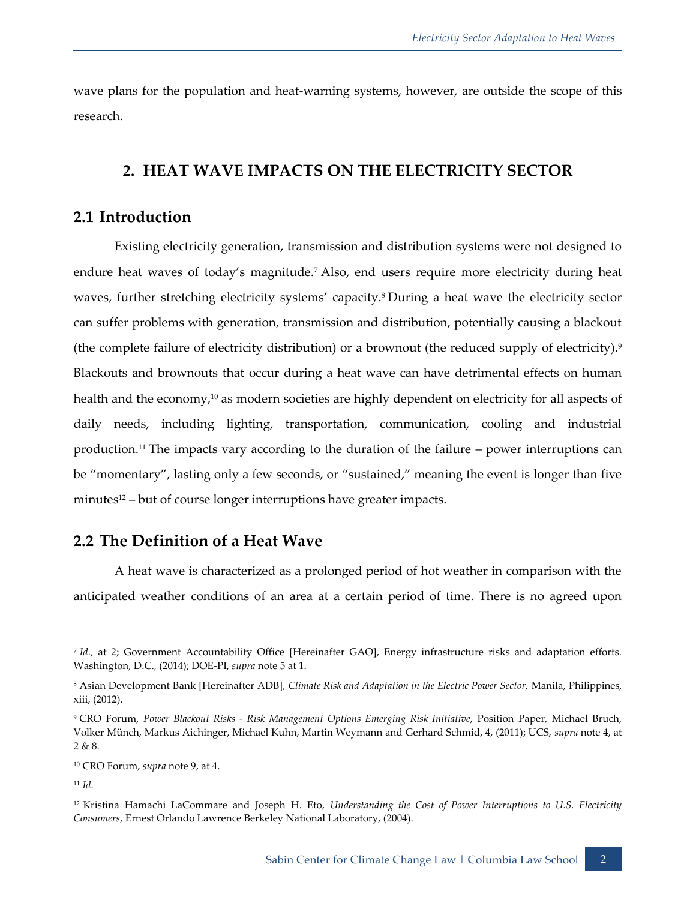wave plans for the population and heat-warning systems, however, are outside the scope of this research.

# **2. HEAT WAVE IMPACTS ON THE ELECTRICITY SECTOR**

### **2.1 Introduction**

Existing electricity generation, transmission and distribution systems were not designed to endure heat waves of today's magnitude.<sup>7</sup> Also, end users require more electricity during heat waves, further stretching electricity systems' capacity. <sup>8</sup> During a heat wave the electricity sector can suffer problems with generation, transmission and distribution, potentially causing a blackout (the complete failure of electricity distribution) or a brownout (the reduced supply of electricity). $9$ Blackouts and brownouts that occur during a heat wave can have detrimental effects on human health and the economy,<sup>10</sup> as modern societies are highly dependent on electricity for all aspects of daily needs, including lighting, transportation, communication, cooling and industrial production.<sup>11</sup> The impacts vary according to the duration of the failure  $-$  power interruptions can be "momentary", lasting only a few seconds, or "sustained," meaning the event is longer than five minutes<sup>12</sup> – but of course longer interruptions have greater impacts.

# **2.2 The Definition of a Heat Wave**

A heat wave is characterized as a prolonged period of hot weather in comparison with the anticipated weather conditions of an area at a certain period of time. There is no agreed upon

<sup>7</sup> *Id.,* at 2; Government Accountability Office [Hereinafter GAO], Energy infrastructure risks and adaptation efforts. Washington, D.C., (2014); DOE-PI, *supra* note 5 at 1.

<sup>8</sup> Asian Development Bank [Hereinafter ADB], *Climate Risk and Adaptation in the Electric Power Sector,* Manila, Philippines, xiii, (2012).

<sup>9</sup> CRO Forum, *Power Blackout Risks - Risk Management Options Emerging Risk Initiative*, Position Paper, Michael Bruch, Volker Münch, Markus Aichinger, Michael Kuhn, Martin Weymann and Gerhard Schmid, 4, (2011); UCS, *supra* note 4, at 2 & 8.

<sup>10</sup> CRO Forum, *supra* note 9, at 4.

 $11$  *Id.* 

<sup>12</sup> Kristina Hamachi LaCommare and Joseph H. Eto, *Understanding the Cost of Power Interruptions to U.S. Electricity Consumers*, Ernest Orlando Lawrence Berkeley National Laboratory, (2004).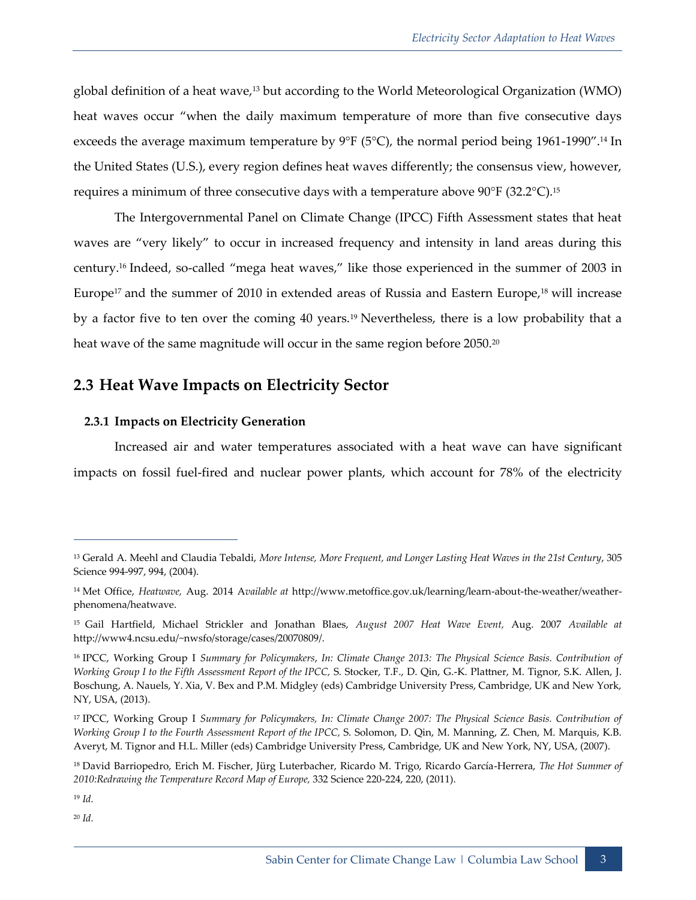global definition of a heat wave,<sup>13</sup> but according to the World Meteorological Organization (WMO) heat waves occur "when the daily maximum temperature of more than five consecutive days exceeds the average maximum temperature by  $9^{\circ}F(5^{\circ}C)$ , the normal period being 1961-1990".<sup>14</sup> In the United States (U.S.), every region defines heat waves differently; the consensus view, however, requires a minimum of three consecutive days with a temperature above  $90^{\circ}$ F (32.2 $^{\circ}$ C).<sup>15</sup>

The Intergovernmental Panel on Climate Change (IPCC) Fifth Assessment states that heat waves are "very likely" to occur in increased frequency and intensity in land areas during this century.<sup>16</sup> Indeed, so-called "mega heat waves," like those experienced in the summer of 2003 in Europe<sup>17</sup> and the summer of 2010 in extended areas of Russia and Eastern Europe,<sup>18</sup> will increase by a factor five to ten over the coming 40 years.<sup>19</sup> Nevertheless, there is a low probability that a heat wave of the same magnitude will occur in the same region before 2050.<sup>20</sup>

# **2.3 Heat Wave Impacts on Electricity Sector**

#### **2.3.1 Impacts on Electricity Generation**

Increased air and water temperatures associated with a heat wave can have significant impacts on fossil fuel-fired and nuclear power plants, which account for 78% of the electricity

<sup>19</sup> *Id.* 

 $\overline{a}$ 

<sup>20</sup> *Id.* 

<sup>13</sup> Gerald A. Meehl and Claudia Tebaldi, *More Intense, More Frequent, and Longer Lasting Heat Waves in the 21st Century*, 305 Science 994-997, 994, (2004).

<sup>14</sup> Met Office, *Heatwave,* Aug. 2014 A*vailable at* http://www.metoffice.gov.uk/learning/learn-about-the-weather/weatherphenomena/heatwave.

<sup>15</sup> Gail Hartfield, Michael Strickler and Jonathan Blaes, *August 2007 Heat Wave Event,* Aug. 2007 *Available at* http://www4.ncsu.edu/~nwsfo/storage/cases/20070809/.

<sup>16</sup> IPCC, Working Group I *Summary for Policymakers*, *In: Climate Change 2013: The Physical Science Basis. Contribution of Working Group I to the Fifth Assessment Report of the IPCC,* S. Stocker, T.F., D. Qin, G.-K. Plattner, M. Tignor, S.K. Allen, J. Boschung, A. Nauels, Y. Xia, V. Bex and P.M. Midgley (eds) Cambridge University Press, Cambridge, UK and New York, NY, USA, (2013).

<sup>17</sup> IPCC, Working Group I *Summary for Policymakers, In: Climate Change 2007: The Physical Science Basis. Contribution of Working Group I to the Fourth Assessment Report of the IPCC,* S. Solomon, D. Qin, M. Manning, Z. Chen, M. Marquis, K.B. Averyt, M. Tignor and H.L. Miller (eds) Cambridge University Press, Cambridge, UK and New York, NY, USA, (2007).

<sup>18</sup> David Barriopedro, Erich M. Fischer, Jürg Luterbacher, Ricardo M. Trigo, Ricardo García-Herrera, *The Hot Summer of 2010:Redrawing the Temperature Record Map of Europe,* 332 Science 220-224, 220, (2011).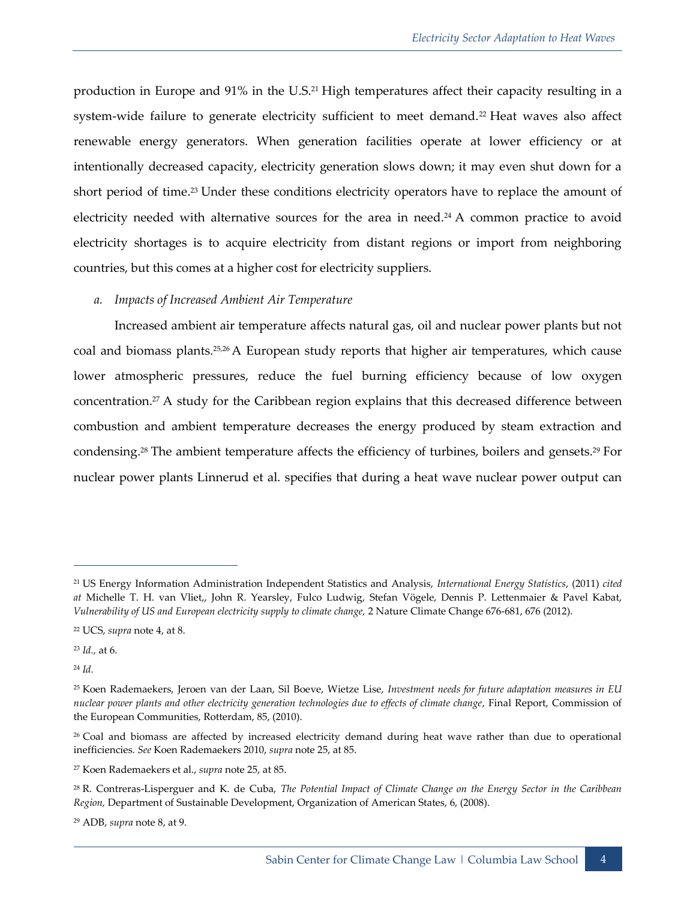production in Europe and 91% in the U.S.<sup>21</sup> High temperatures affect their capacity resulting in a system-wide failure to generate electricity sufficient to meet demand.<sup>22</sup> Heat waves also affect renewable energy generators. When generation facilities operate at lower efficiency or at intentionally decreased capacity, electricity generation slows down; it may even shut down for a short period of time.<sup>23</sup> Under these conditions electricity operators have to replace the amount of electricity needed with alternative sources for the area in need. <sup>24</sup> A common practice to avoid electricity shortages is to acquire electricity from distant regions or import from neighboring countries, but this comes at a higher cost for electricity suppliers.

#### *a. Impacts of Increased Ambient Air Temperature*

Increased ambient air temperature affects natural gas, oil and nuclear power plants but not coal and biomass plants.<sup>25,26</sup> A European study reports that higher air temperatures, which cause lower atmospheric pressures, reduce the fuel burning efficiency because of low oxygen concentration.<sup>27</sup> A study for the Caribbean region explains that this decreased difference between combustion and ambient temperature decreases the energy produced by steam extraction and condensing.<sup>28</sup> The ambient temperature affects the efficiency of turbines, boilers and gensets.<sup>29</sup> For nuclear power plants Linnerud et al. specifies that during a heat wave nuclear power output can

<sup>23</sup> *Id.,* at 6.

<sup>24</sup> *Id.* 

 $\overline{a}$ 

<sup>29</sup> ADB, *supra* note 8, at 9.

<sup>21</sup> US Energy Information Administration Independent Statistics and Analysis, *International Energy Statistics*, (2011) *cited at* Michelle T. H. van Vliet,, John R. Yearsley, Fulco Ludwig, Stefan Vögele, Dennis P. Lettenmaier & Pavel Kabat, *Vulnerability of US and European electricity supply to climate change,* 2 Nature Climate Change 676-681, 676 (2012).

<sup>22</sup> UCS, *supra* note 4, at 8.

<sup>25</sup> Koen Rademaekers, Jeroen van der Laan, Sil Boeve, Wietze Lise, *Investment needs for future adaptation measures in EU nuclear power plants and other electricity generation technologies due to effects of climate change*, Final Report, Commission of the European Communities, Rotterdam, 85, (2010).

<sup>&</sup>lt;sup>26</sup> Coal and biomass are affected by increased electricity demand during heat wave rather than due to operational inefficiencies. *See* Koen Rademaekers 2010, *supra* note 25, at 85.

<sup>27</sup> Koen Rademaekers et al., *supra* note 25, at 85.

<sup>28</sup> R. Contreras-Lisperguer and K. de Cuba, *The Potential Impact of Climate Change on the Energy Sector in the Caribbean Region,* Department of Sustainable Development, Organization of American States, 6, (2008).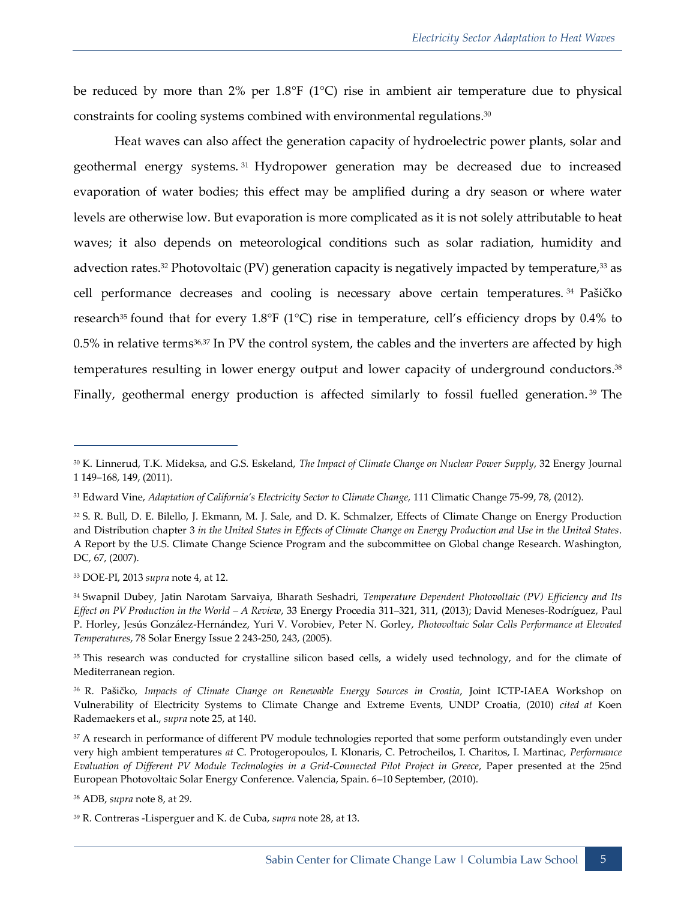be reduced by more than 2% per  $1.8^{\circ}F$  (1 $^{\circ}C$ ) rise in ambient air temperature due to physical constraints for cooling systems combined with environmental regulations. 30

Heat waves can also affect the generation capacity of hydroelectric power plants, solar and geothermal energy systems. <sup>31</sup> Hydropower generation may be decreased due to increased evaporation of water bodies; this effect may be amplified during a dry season or where water levels are otherwise low. But evaporation is more complicated as it is not solely attributable to heat waves; it also depends on meteorological conditions such as solar radiation, humidity and advection rates.<sup>32</sup> Photovoltaic (PV) generation capacity is negatively impacted by temperature,<sup>33</sup> as cell performance decreases and cooling is necessary above certain temperatures. <sup>34</sup> Pašičko research<sup>35</sup> found that for every 1.8°F (1°C) rise in temperature, cell's efficiency drops by 0.4% to 0.5% in relative terms<sup>36,37</sup> In PV the control system, the cables and the inverters are affected by high temperatures resulting in lower energy output and lower capacity of underground conductors.<sup>38</sup> Finally, geothermal energy production is affected similarly to fossil fuelled generation.<sup>39</sup> The

<sup>33</sup> DOE-PI, 2013 *supra* note 4, at 12.

<sup>30</sup> K. Linnerud, T.K. Mideksa, and G.S. Eskeland, *The Impact of Climate Change on Nuclear Power Supply*, 32 Energy Journal 1 149–168, 149, (2011).

<sup>31</sup> Edward Vine, *Adaptation of California's Electricity Sector to Climate Change,* 111 Climatic Change 75-99, 78, (2012).

<sup>32</sup> S. R. Bull, D. E. Bilello, J. Ekmann, M. J. Sale, and D. K. Schmalzer, Effects of Climate Change on Energy Production and Distribution chapter 3 *in the United States in Effects of Climate Change on Energy Production and Use in the United States*. A Report by the U.S. Climate Change Science Program and the subcommittee on Global change Research. Washington, DC, 67, (2007).

<sup>34</sup> Swapnil Dubey, Jatin Narotam Sarvaiya, Bharath Seshadri, *Temperature Dependent Photovoltaic (PV) Efficiency and Its*  Effect on PV Production in the World - A Review, 33 Energy Procedia 311-321, 311, (2013); David Meneses-Rodríguez, Paul P. Horley, Jesús González-Hernández, Yuri V. Vorobiev, Peter N. Gorley, *Photovoltaic Solar Cells Performance at Elevated Temperatures*, 78 Solar Energy Issue 2 243-250, 243, (2005).

<sup>&</sup>lt;sup>35</sup> This research was conducted for crystalline silicon based cells, a widely used technology, and for the climate of Mediterranean region.

<sup>&</sup>lt;sup>36</sup> R. Pašičko, *Impacts of Climate Change on Renewable Energy Sources in Croatia*, Joint ICTP-IAEA Workshop on Vulnerability of Electricity Systems to Climate Change and Extreme Events, UNDP Croatia, (2010) *cited at* Koen Rademaekers et al., *supra* note 25, at 140.

<sup>&</sup>lt;sup>37</sup> A research in performance of different PV module technologies reported that some perform outstandingly even under very high ambient temperatures *at* C. Protogeropoulos, I. Klonaris, C. Petrocheilos, I. Charitos, I. Martinac, *Performance Evaluation of Different PV Module Technologies in a Grid-Connected Pilot Project in Greece*, Paper presented at the 25nd European Photovoltaic Solar Energy Conference. Valencia, Spain. 6–10 September, (2010).

<sup>38</sup> ADB, *supra* note 8, at 29.

<sup>39</sup> R. Contreras -Lisperguer and K. de Cuba, *supra* note 28, at 13.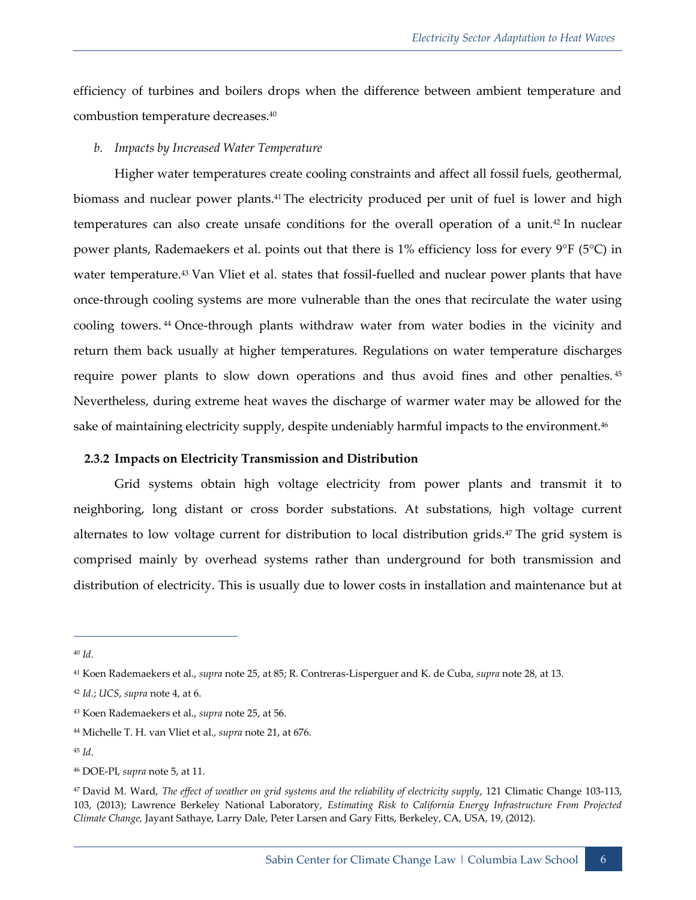efficiency of turbines and boilers drops when the difference between ambient temperature and combustion temperature decreases.<sup>40</sup>

#### *b. Impacts by Increased Water Temperature*

Higher water temperatures create cooling constraints and affect all fossil fuels, geothermal, biomass and nuclear power plants.<sup>41</sup>The electricity produced per unit of fuel is lower and high temperatures can also create unsafe conditions for the overall operation of a unit.<sup>42</sup> In nuclear power plants, Rademaekers et al. points out that there is 1% efficiency loss for every 9°F (5°C) in water temperature.<sup>43</sup> Van Vliet et al. states that fossil-fuelled and nuclear power plants that have once-through cooling systems are more vulnerable than the ones that recirculate the water using cooling towers. <sup>44</sup> Once-through plants withdraw water from water bodies in the vicinity and return them back usually at higher temperatures. Regulations on water temperature discharges require power plants to slow down operations and thus avoid fines and other penalties. <sup>45</sup> Nevertheless, during extreme heat waves the discharge of warmer water may be allowed for the sake of maintaining electricity supply, despite undeniably harmful impacts to the environment.<sup>46</sup>

#### **2.3.2 Impacts on Electricity Transmission and Distribution**

Grid systems obtain high voltage electricity from power plants and transmit it to neighboring, long distant or cross border substations. At substations, high voltage current alternates to low voltage current for distribution to local distribution grids.<sup>47</sup> The grid system is comprised mainly by overhead systems rather than underground for both transmission and distribution of electricity. This is usually due to lower costs in installation and maintenance but at

<sup>40</sup> *Id.*

<sup>41</sup> Koen Rademaekers et al., *supra* note 25, at 85; R. Contreras-Lisperguer and K. de Cuba, *supra* note 28, at 13.

<sup>42</sup> *Id.*; *UCS*, *supra* note 4, at 6.

<sup>43</sup> Koen Rademaekers et al., *supra* note 25, at 56.

<sup>44</sup> Michelle T. H. van Vliet et al., *supra* note 21, at 676.

<sup>45</sup> *Id*.

<sup>46</sup> DOE-PI, *supra* note 5, at 11.

<sup>47</sup> David M. Ward, *The effect of weather on grid systems and the reliability of electricity supply*, 121 Climatic Change 103-113, 103, (2013); Lawrence Berkeley National Laboratory, *Estimating Risk to California Energy Infrastructure From Projected Climate Change,* Jayant Sathaye, Larry Dale, Peter Larsen and Gary Fitts, Berkeley, CA, USA, 19, (2012).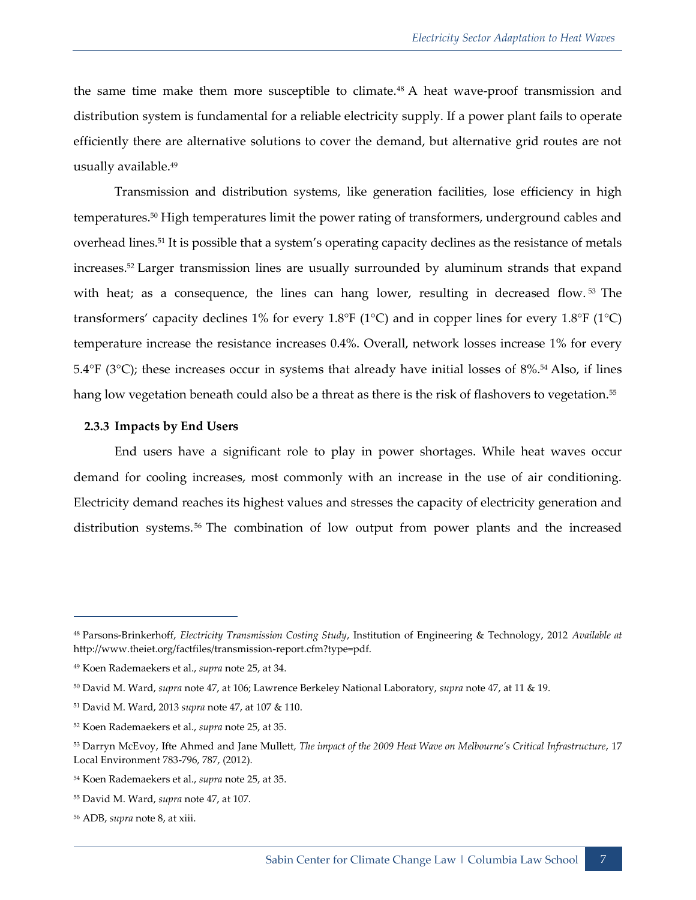the same time make them more susceptible to climate. <sup>48</sup> A heat wave-proof transmission and distribution system is fundamental for a reliable electricity supply. If a power plant fails to operate efficiently there are alternative solutions to cover the demand, but alternative grid routes are not usually available.<sup>49</sup>

Transmission and distribution systems, like generation facilities, lose efficiency in high temperatures.<sup>50</sup> High temperatures limit the power rating of transformers, underground cables and overhead lines.<sup>51</sup> It is possible that a system's operating capacity declines as the resistance of metals increases.<sup>52</sup> Larger transmission lines are usually surrounded by aluminum strands that expand with heat; as a consequence, the lines can hang lower, resulting in decreased flow.<sup>53</sup> The transformers' capacity declines 1% for every 1.8°F (1°C) and in copper lines for every 1.8°F (1°C) temperature increase the resistance increases 0.4%. Overall, network losses increase 1% for every 5.4°F (3°C); these increases occur in systems that already have initial losses of 8%.<sup>54</sup> Also, if lines hang low vegetation beneath could also be a threat as there is the risk of flashovers to vegetation.<sup>55</sup>

#### **2.3.3 Impacts by End Users**

End users have a significant role to play in power shortages. While heat waves occur demand for cooling increases, most commonly with an increase in the use of air conditioning. Electricity demand reaches its highest values and stresses the capacity of electricity generation and distribution systems. <sup>56</sup> The combination of low output from power plants and the increased

<sup>48</sup> Parsons-Brinkerhoff, *Electricity Transmission Costing Study*, Institution of Engineering & Technology, 2012 *Available at* http://www.theiet.org/factfiles/transmission-report.cfm?type=pdf.

<sup>49</sup> Koen Rademaekers et al., *supra* note 25, at 34.

<sup>50</sup> David M. Ward, *supra* note 47, at 106; Lawrence Berkeley National Laboratory, *supra* note 47, at 11 & 19.

<sup>51</sup> David M. Ward, 2013 *supra* note 47, at 107 & 110.

<sup>52</sup> Koen Rademaekers et al., *supra* note 25, at 35.

<sup>53</sup> Darryn McEvoy, Ifte Ahmed and Jane Mullett*, The impact of the 2009 Heat Wave on Melbourne's Critical Infrastructure*, 17 Local Environment 783-796, 787, (2012).

<sup>54</sup> Koen Rademaekers et al., *supra* note 25, at 35.

<sup>55</sup> David M. Ward, *supra* note 47, at 107.

<sup>56</sup> ADB, *supra* note 8, at xiii.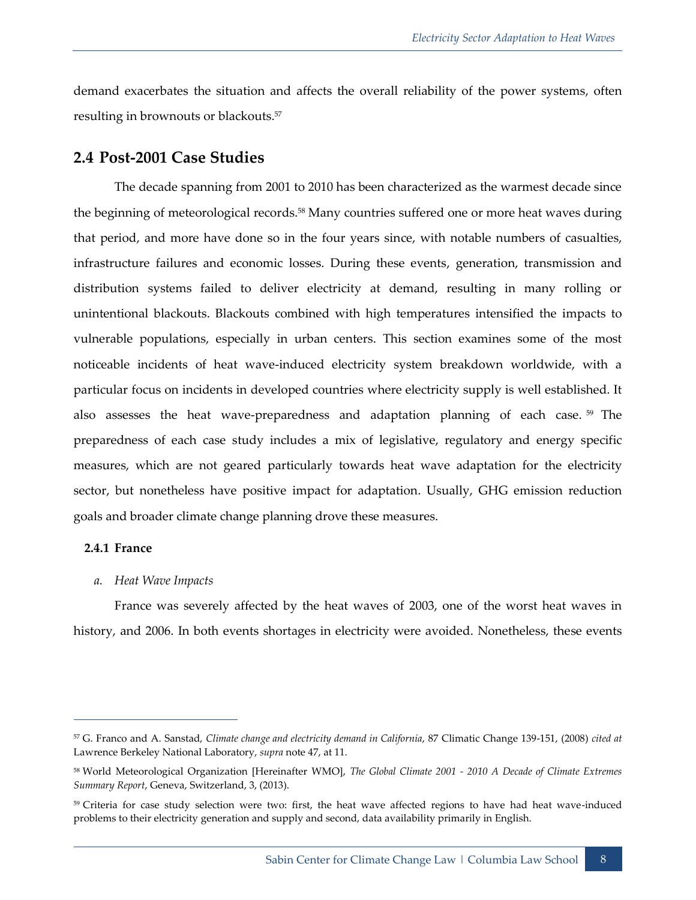demand exacerbates the situation and affects the overall reliability of the power systems, often resulting in brownouts or blackouts. 57

## **2.4 Post-2001 Case Studies**

The decade spanning from 2001 to 2010 has been characterized as the warmest decade since the beginning of meteorological records.<sup>58</sup> Many countries suffered one or more heat waves during that period, and more have done so in the four years since, with notable numbers of casualties, infrastructure failures and economic losses. During these events, generation, transmission and distribution systems failed to deliver electricity at demand, resulting in many rolling or unintentional blackouts. Blackouts combined with high temperatures intensified the impacts to vulnerable populations, especially in urban centers. This section examines some of the most noticeable incidents of heat wave-induced electricity system breakdown worldwide, with a particular focus on incidents in developed countries where electricity supply is well established. It also assesses the heat wave-preparedness and adaptation planning of each case. <sup>59</sup> The preparedness of each case study includes a mix of legislative, regulatory and energy specific measures, which are not geared particularly towards heat wave adaptation for the electricity sector, but nonetheless have positive impact for adaptation. Usually, GHG emission reduction goals and broader climate change planning drove these measures.

#### **2.4.1 France**

 $\overline{a}$ 

#### *a. Heat Wave Impacts*

France was severely affected by the heat waves of 2003, one of the worst heat waves in history, and 2006. In both events shortages in electricity were avoided. Nonetheless, these events

<sup>57</sup> G. Franco and A. Sanstad, *Climate change and electricity demand in California*, 87 Climatic Change 139-151, (2008) *cited at* Lawrence Berkeley National Laboratory, *supra* note 47, at 11.

<sup>58</sup> World Meteorological Organization [Hereinafter WMO], *The Global Climate 2001 - 2010 A Decade of Climate Extremes Summary Report*, Geneva, Switzerland, 3, (2013).

<sup>&</sup>lt;sup>59</sup> Criteria for case study selection were two: first, the heat wave affected regions to have had heat wave-induced problems to their electricity generation and supply and second, data availability primarily in English.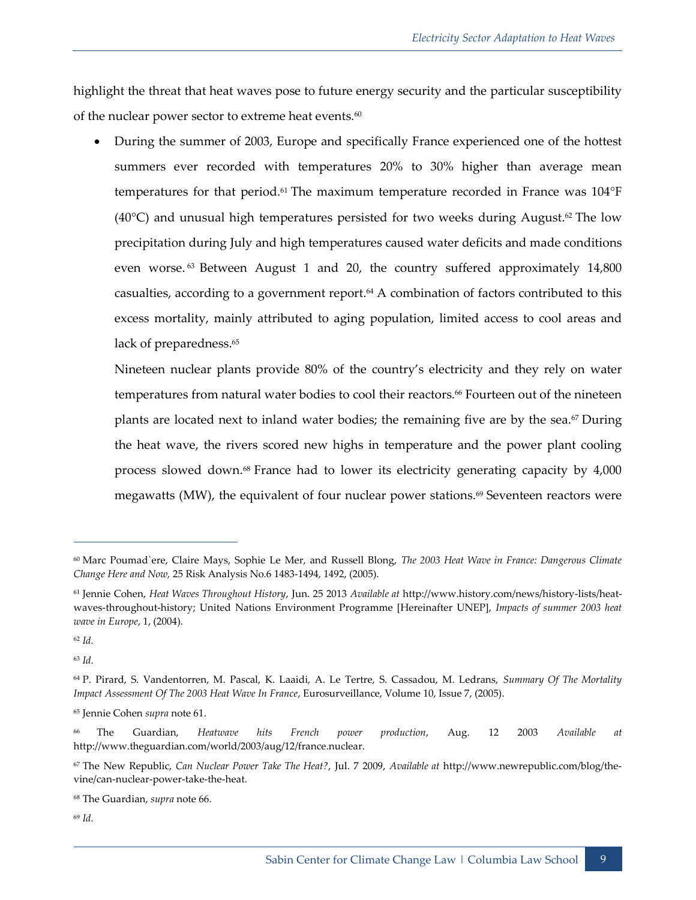highlight the threat that heat waves pose to future energy security and the particular susceptibility of the nuclear power sector to extreme heat events.<sup>60</sup>

 During the summer of 2003, Europe and specifically France experienced one of the hottest summers ever recorded with temperatures 20% to 30% higher than average mean temperatures for that period.<sup>61</sup> The maximum temperature recorded in France was 104°F ( $40^{\circ}$ C) and unusual high temperatures persisted for two weeks during August.<sup>62</sup> The low precipitation during July and high temperatures caused water deficits and made conditions even worse.<sup>63</sup> Between August 1 and 20, the country suffered approximately 14,800 casualties, according to a government report.<sup>64</sup> A combination of factors contributed to this excess mortality, mainly attributed to aging population, limited access to cool areas and lack of preparedness.<sup>65</sup>

Nineteen nuclear plants provide 80% of the country's electricity and they rely on water temperatures from natural water bodies to cool their reactors.<sup>66</sup> Fourteen out of the nineteen plants are located next to inland water bodies; the remaining five are by the sea.<sup>67</sup> During the heat wave, the rivers scored new highs in temperature and the power plant cooling process slowed down.<sup>68</sup> France had to lower its electricity generating capacity by 4,000 megawatts (MW), the equivalent of four nuclear power stations.<sup>69</sup> Seventeen reactors were

<sup>62</sup> *Id.*

 $\overline{a}$ 

<sup>63</sup> *Id.*

<sup>68</sup> The Guardian, *supra* note 66.

<sup>69</sup> *Id.*

<sup>60</sup> Marc Poumad`ere, Claire Mays, Sophie Le Mer, and Russell Blong, *The 2003 Heat Wave in France: Dangerous Climate Change Here and Now,* 25 Risk Analysis No.6 1483-1494, 1492, (2005).

<sup>61</sup> Jennie Cohen, *Heat Waves Throughout History*, Jun. 25 2013 *Available at* http://www.history.com/news/history-lists/heatwaves-throughout-history; United Nations Environment Programme [Hereinafter UNEP], *Impacts of summer 2003 heat wave in Europe*, 1, (2004).

<sup>64</sup> P. Pirard, S. Vandentorren, M. Pascal, K. Laaidi, A. Le Tertre, S. Cassadou, M. Ledrans, *Summary Of The Mortality Impact Assessment Of The 2003 Heat Wave In France*, Eurosurveillance, Volume 10, Issue 7, (2005).

<sup>65</sup> Jennie Cohen *supra* note 61.

<sup>66</sup> The Guardian, *Heatwave hits French power production*, Aug. 12 2003 *Available at* http://www.theguardian.com/world/2003/aug/12/france.nuclear.

<sup>67</sup> The New Republic, *Can Nuclear Power Take The Heat?*, Jul. 7 2009, *Available at* http://www.newrepublic.com/blog/thevine/can-nuclear-power-take-the-heat.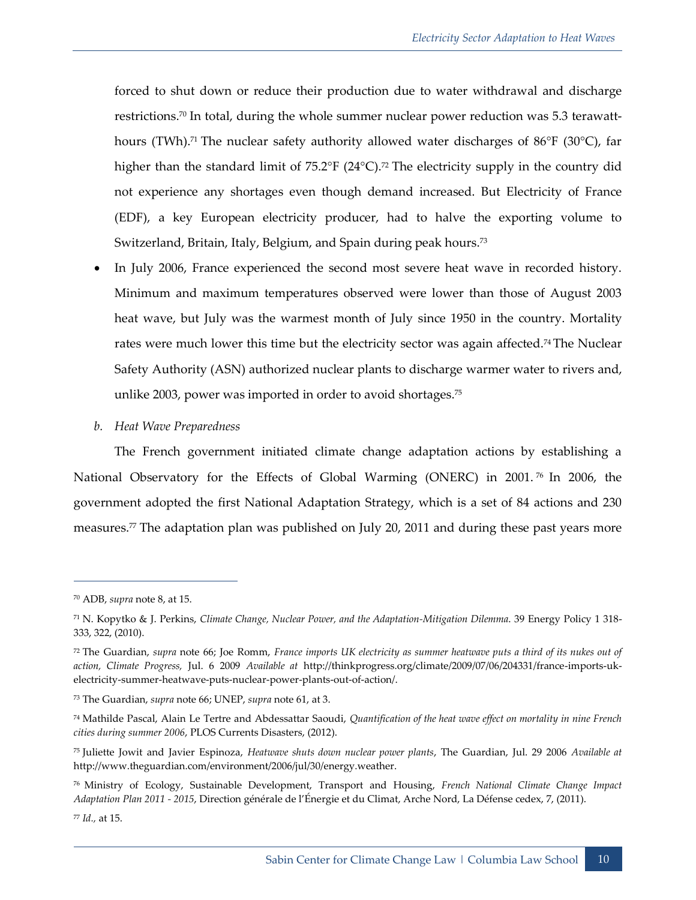forced to shut down or reduce their production due to water withdrawal and discharge restrictions.<sup>70</sup> In total, during the whole summer nuclear power reduction was 5.3 terawatthours (TWh). <sup>71</sup> The nuclear safety authority allowed water discharges of 86°F (30°C), far higher than the standard limit of  $75.2^{\circ}F (24^{\circ}C)$ .<sup>72</sup> The electricity supply in the country did not experience any shortages even though demand increased. But Electricity of France (EDF), a key European electricity producer, had to halve the exporting volume to Switzerland, Britain, Italy, Belgium, and Spain during peak hours.<sup>73</sup>

- In July 2006, France experienced the second most severe heat wave in recorded history. Minimum and maximum temperatures observed were lower than those of August 2003 heat wave, but July was the warmest month of July since 1950 in the country. Mortality rates were much lower this time but the electricity sector was again affected.74The Nuclear Safety Authority (ASN) authorized nuclear plants to discharge warmer water to rivers and, unlike 2003, power was imported in order to avoid shortages.<sup>75</sup>
- *b. Heat Wave Preparedness*

The French government initiated climate change adaptation actions by establishing a National Observatory for the Effects of Global Warming (ONERC) in 2001.<sup>76</sup> In 2006, the government adopted the first National Adaptation Strategy, which is a set of 84 actions and 230 measures.<sup>77</sup> The adaptation plan was published on July 20, 2011 and during these past years more

<sup>70</sup> ADB, *supra* note 8, at 15.

<sup>71</sup> N. Kopytko & J. Perkins, *Climate Change, Nuclear Power, and the Adaptation-Mitigation Dilemma*. 39 Energy Policy 1 318- 333, 322, (2010).

<sup>72</sup> The Guardian, *supra* note 66; Joe Romm, *France imports UK electricity as summer heatwave puts a third of its nukes out of action, Climate Progress,* Jul. 6 2009 *Available at* http://thinkprogress.org/climate/2009/07/06/204331/france-imports-ukelectricity-summer-heatwave-puts-nuclear-power-plants-out-of-action/.

<sup>73</sup> The Guardian, *supra* note 66; UNEP, *supra* note 61, at 3.

<sup>74</sup> Mathilde Pascal, Alain Le Tertre and Abdessattar Saoudi, *Quantification of the heat wave effect on mortality in nine French cities during summer 2006*, PLOS Currents Disasters, (2012).

<sup>75</sup> Juliette Jowit and Javier Espinoza, *Heatwave shuts down nuclear power plants*, The Guardian, Jul. 29 2006 *Available at* http://www.theguardian.com/environment/2006/jul/30/energy.weather.

<sup>76</sup> Ministry of Ecology, Sustainable Development, Transport and Housing, *French National Climate Change Impact*  Adaptation Plan 2011 - 2015, Direction générale de l'Énergie et du Climat, Arche Nord, La Défense cedex, 7, (2011).

<sup>77</sup> *Id.,* at 15.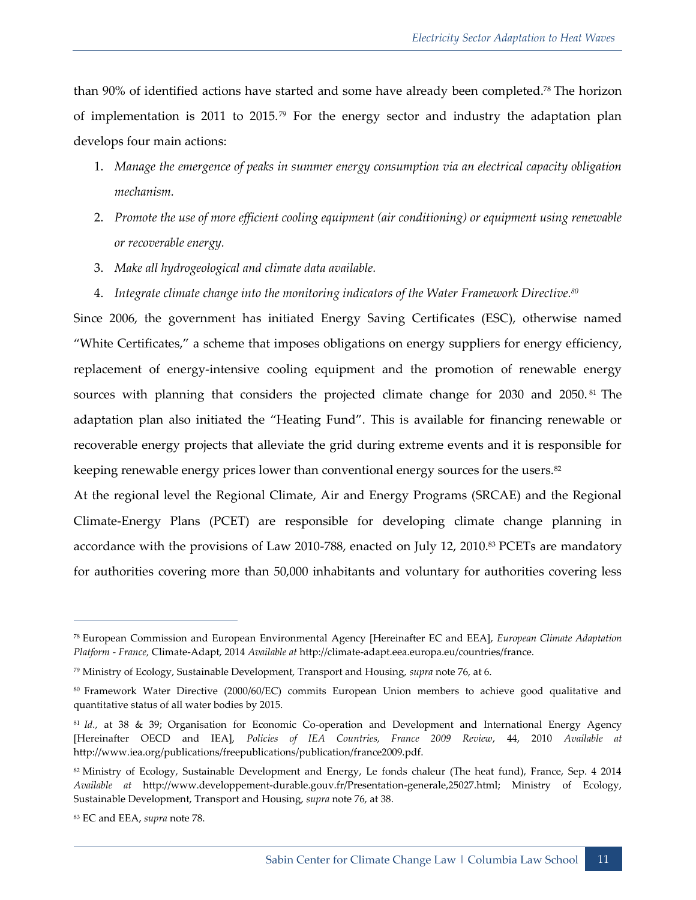than 90% of identified actions have started and some have already been completed.<sup>78</sup> The horizon of implementation is 2011 to 2015.<sup>79</sup> For the energy sector and industry the adaptation plan develops four main actions:

- 1. *Manage the emergence of peaks in summer energy consumption via an electrical capacity obligation mechanism.*
- 2. *Promote the use of more efficient cooling equipment (air conditioning) or equipment using renewable or recoverable energy.*
- 3. *Make all hydrogeological and climate data available.*
- 4. *Integrate climate change into the monitoring indicators of the Water Framework Directive. 80*

Since 2006, the government has initiated Energy Saving Certificates (ESC), otherwise named "White Certificates," a scheme that imposes obligations on energy suppliers for energy efficiency, replacement of energy-intensive cooling equipment and the promotion of renewable energy sources with planning that considers the projected climate change for 2030 and 2050.<sup>81</sup> The adaptation plan also initiated the "Heating Fund". This is available for financing renewable or recoverable energy projects that alleviate the grid during extreme events and it is responsible for keeping renewable energy prices lower than conventional energy sources for the users.<sup>82</sup>

At the regional level the Regional Climate, Air and Energy Programs (SRCAE) and the Regional Climate-Energy Plans (PCET) are responsible for developing climate change planning in accordance with the provisions of Law 2010-788, enacted on July 12, 2010. <sup>83</sup> PCETs are mandatory for authorities covering more than 50,000 inhabitants and voluntary for authorities covering less

<sup>78</sup> European Commission and European Environmental Agency [Hereinafter EC and EEA], *European Climate Adaptation Platform - France,* Climate-Adapt, 2014 *Available at* http://climate-adapt.eea.europa.eu/countries/france.

<sup>79</sup> Ministry of Ecology, Sustainable Development, Transport and Housing, *supra* note 76, at 6.

<sup>80</sup> Framework Water Directive (2000/60/EC) commits European Union members to achieve good qualitative and quantitative status of all water bodies by 2015.

<sup>81</sup> *Id.,* at 38 & 39; Organisation for Economic Co-operation and Development and International Energy Agency [Hereinafter OECD and IEA], *Policies of IEA Countries, France 2009 Review*, 44, 2010 *Available at* [http://www.iea.org/publications/freepublications/publication/france2009.pdf.](http://www.iea.org/publications/freepublications/publication/france2009.pdf)

 $82$  Ministry of Ecology, Sustainable Development and Energy, Le fonds chaleur (The heat fund), France, Sep. 4 2014 *Available at* http://www.developpement-durable.gouv.fr/Presentation-generale,25027.html; Ministry of Ecology, Sustainable Development, Transport and Housing, *supra* note 76, at 38.

<sup>83</sup> EC and EEA, *supra* note 78.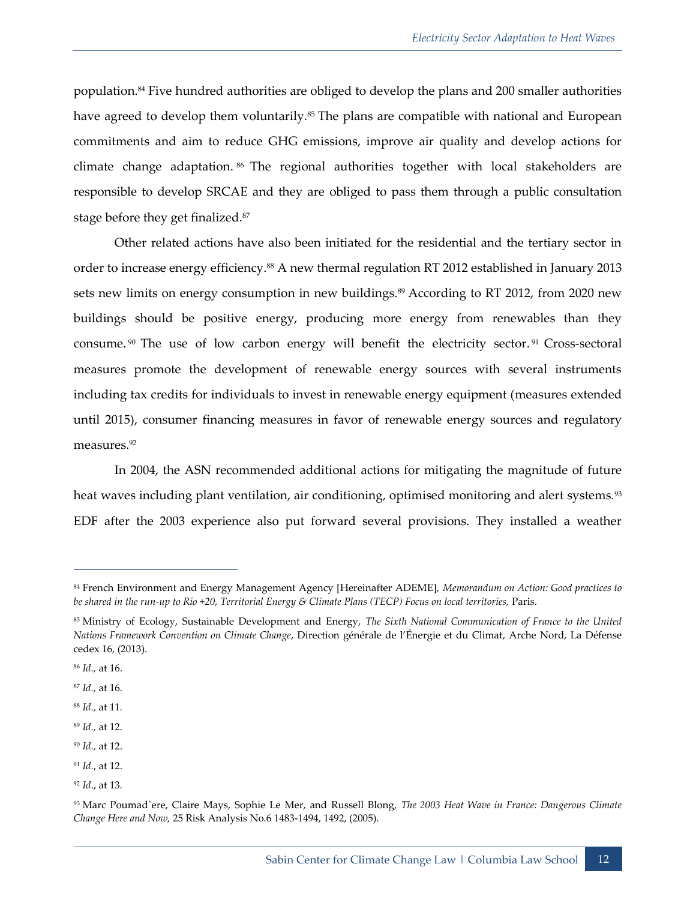population.<sup>84</sup> Five hundred authorities are obliged to develop the plans and 200 smaller authorities have agreed to develop them voluntarily.<sup>85</sup> The plans are compatible with national and European commitments and aim to reduce GHG emissions, improve air quality and develop actions for climate change adaptation. <sup>86</sup> The regional authorities together with local stakeholders are responsible to develop SRCAE and they are obliged to pass them through a public consultation stage before they get finalized.<sup>87</sup>

Other related actions have also been initiated for the residential and the tertiary sector in order to increase energy efficiency.<sup>88</sup> A new thermal regulation RT 2012 established in January 2013 sets new limits on energy consumption in new buildings.<sup>89</sup> According to RT 2012, from 2020 new buildings should be positive energy, producing more energy from renewables than they consume.<sup>90</sup> The use of low carbon energy will benefit the electricity sector.<sup>91</sup> Cross-sectoral measures promote the development of renewable energy sources with several instruments including tax credits for individuals to invest in renewable energy equipment (measures extended until 2015), consumer financing measures in favor of renewable energy sources and regulatory measures.<sup>92</sup>

In 2004, the ASN recommended additional actions for mitigating the magnitude of future heat waves including plant ventilation, air conditioning, optimised monitoring and alert systems.<sup>93</sup> EDF after the 2003 experience also put forward several provisions. They installed a weather

- <sup>89</sup> *Id.,* at 12.
- <sup>90</sup> *Id.,* at 12.
- <sup>91</sup> *Id.*, at 12.
- <sup>92</sup> *Id*., at 13*.*

<sup>84</sup> French Environment and Energy Management Agency [Hereinafter ADEME], *Memorandum on Action: Good practices to be shared in the run-up to Rio +20, Territorial Energy & Climate Plans (TECP) Focus on local territories, Paris.* 

<sup>85</sup> Ministry of Ecology, Sustainable Development and Energy, *The Sixth National Communication of France to the United Nations Framework Convention on Climate Change*, Direction générale de l'Énergie et du Climat, Arche Nord, La Défense cedex 16, (2013).

<sup>86</sup> *Id.,* at 16.

<sup>87</sup> *Id.,* at 16.

<sup>88</sup> *Id.,* at 11*.*

<sup>93</sup> Marc Poumad`ere, Claire Mays, Sophie Le Mer, and Russell Blong, *The 2003 Heat Wave in France: Dangerous Climate Change Here and Now,* 25 Risk Analysis No.6 1483-1494, 1492, (2005).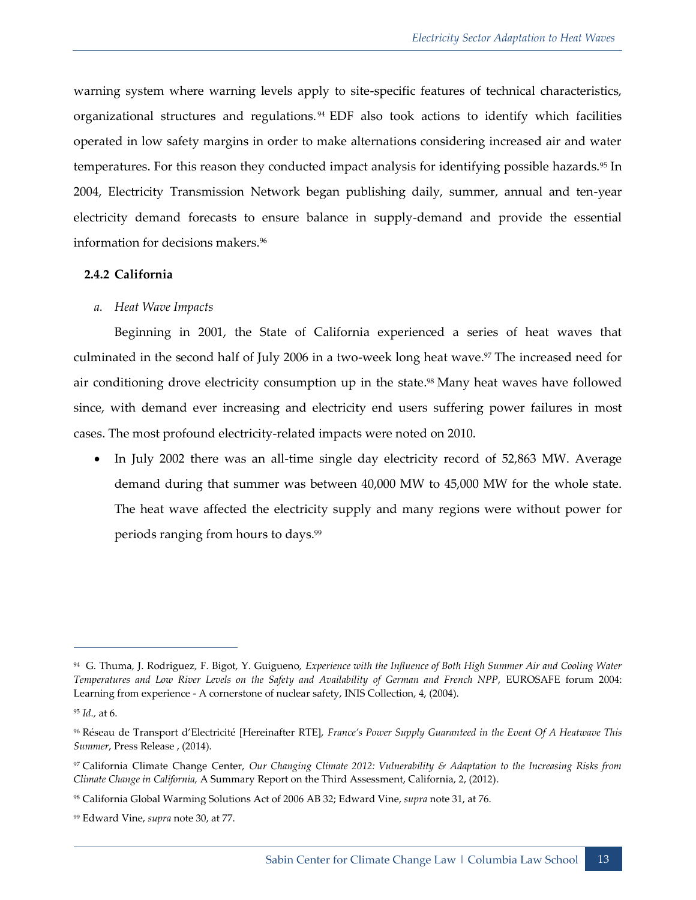warning system where warning levels apply to site-specific features of technical characteristics, organizational structures and regulations. <sup>94</sup> EDF also took actions to identify which facilities operated in low safety margins in order to make alternations considering increased air and water temperatures. For this reason they conducted impact analysis for identifying possible hazards.<sup>95</sup> In 2004, Electricity Transmission Network began publishing daily, summer, annual and ten-year electricity demand forecasts to ensure balance in supply-demand and provide the essential information for decisions makers.<sup>96</sup>

#### **2.4.2 California**

#### *a. Heat Wave Impacts*

Beginning in 2001, the State of California experienced a series of heat waves that culminated in the second half of July 2006 in a two-week long heat wave.<sup>97</sup> The increased need for air conditioning drove electricity consumption up in the state. <sup>98</sup> Many heat waves have followed since, with demand ever increasing and electricity end users suffering power failures in most cases. The most profound electricity-related impacts were noted on 2010.

• In July 2002 there was an all-time single day electricity record of 52,863 MW. Average demand during that summer was between 40,000 MW to 45,000 MW for the whole state. The heat wave affected the electricity supply and many regions were without power for periods ranging from hours to days.<sup>99</sup>

<sup>94</sup> G. Thuma, J. Rodriguez, F. Bigot, Y. Guigueno, *Experience with the Influence of Both High Summer Air and Cooling Water Temperatures and Low River Levels on the Safety and Availability of German and French NPP*, EUROSAFE forum 2004: Learning from experience - A cornerstone of nuclear safety, INIS Collection, 4, (2004).

<sup>95</sup> *Id.,* at 6.

<sup>96</sup> éseau de Transport d'Electricité [Hereinafter TE], *France's Power Supply Guaranteed in the Event Of A Heatwave This Summer*, Press Release , (2014).

<sup>97</sup> California Climate Change Center, *Our Changing Climate 2012: Vulnerability & Adaptation to the Increasing Risks from Climate Change in California,* A Summary Report on the Third Assessment, California, 2, (2012).

<sup>98</sup> California Global Warming Solutions Act of 2006 AB 32; Edward Vine, *supra* note 31, at 76.

<sup>99</sup> Edward Vine, *supra* note 30, at 77.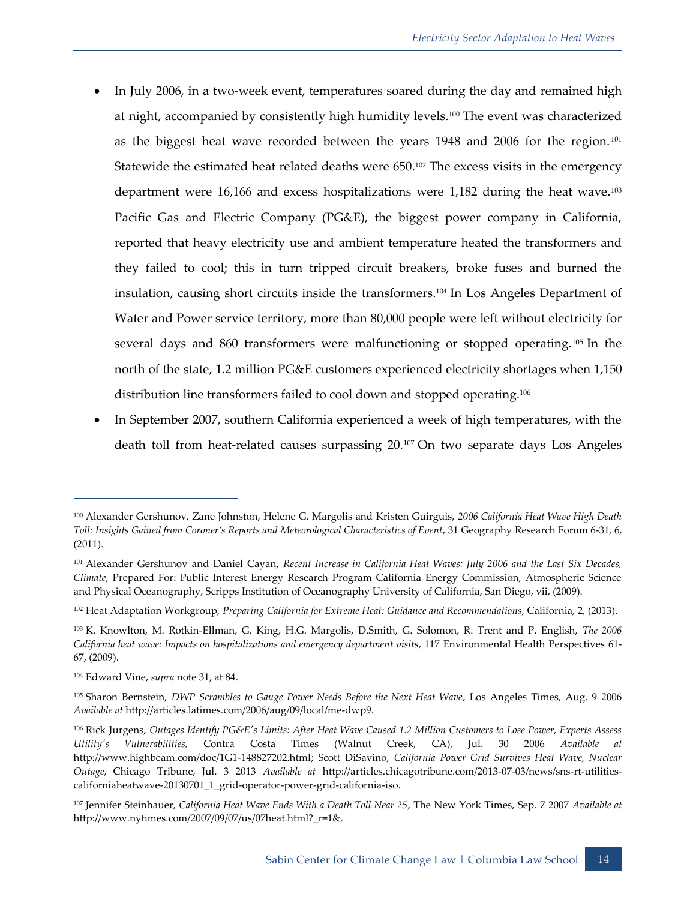- In July 2006, in a two-week event, temperatures soared during the day and remained high at night, accompanied by consistently high humidity levels.<sup>100</sup> The event was characterized as the biggest heat wave recorded between the years 1948 and 2006 for the region. <sup>101</sup> Statewide the estimated heat related deaths were 650.<sup>102</sup> The excess visits in the emergency department were 16,166 and excess hospitalizations were 1,182 during the heat wave.<sup>103</sup> Pacific Gas and Electric Company (PG&E), the biggest power company in California, reported that heavy electricity use and ambient temperature heated the transformers and they failed to cool; this in turn tripped circuit breakers, broke fuses and burned the insulation, causing short circuits inside the transformers.<sup>104</sup> In Los Angeles Department of Water and Power service territory, more than 80,000 people were left without electricity for several days and 860 transformers were malfunctioning or stopped operating. <sup>105</sup> In the north of the state, 1.2 million PG&E customers experienced electricity shortages when 1,150 distribution line transformers failed to cool down and stopped operating.<sup>106</sup>
- In September 2007, southern California experienced a week of high temperatures, with the death toll from heat-related causes surpassing 20.<sup>107</sup> On two separate days Los Angeles

<sup>100</sup> Alexander Gershunov, Zane Johnston, Helene G. Margolis and Kristen Guirguis, *2006 California Heat Wave High Death Toll: Insights Gained from Coroner's Reports and Meteorological Characteristics of Event*, 31 Geography Research Forum 6-31, 6, (2011).

<sup>101</sup> Alexander Gershunov and Daniel Cayan, *Recent Increase in California Heat Waves: July 2006 and the Last Six Decades, Climate*, Prepared For: Public Interest Energy Research Program California Energy Commission, Atmospheric Science and Physical Oceanography, Scripps Institution of Oceanography University of California, San Diego, vii, (2009).

<sup>102</sup> Heat Adaptation Workgroup, *Preparing California for Extreme Heat: Guidance and Recommendations*, California, 2, (2013).

<sup>103</sup> K. Knowlton, M. Rotkin-Ellman, G. King, H.G. Margolis, D.Smith, G. Solomon, R. Trent and P. English, *The 2006 California heat wave: Impacts on hospitalizations and emergency department visits*, 117 Environmental Health Perspectives 61- 67, (2009).

<sup>104</sup> Edward Vine, *supra* note 31, at 84.

<sup>105</sup> Sharon Bernstein, *DWP Scrambles to Gauge Power Needs Before the Next Heat Wave*, Los Angeles Times, Aug. 9 2006 *Available at* http://articles.latimes.com/2006/aug/09/local/me-dwp9.

<sup>106</sup> Rick Jurgens, *Outages Identify PG&E's Limits: After Heat Wave Caused 1.2 Million Customers to Lose Power, Experts Assess Utility's Vulnerabilities,* Contra Costa Times (Walnut Creek, CA), Jul. 30 2006 *Available at*  http://www.highbeam.com/doc/1G1-148827202.html; Scott DiSavino, *California Power Grid Survives Heat Wave, Nuclear Outage,* Chicago Tribune, Jul. 3 2013 *Available at* http://articles.chicagotribune.com/2013-07-03/news/sns-rt-utilitiescaliforniaheatwave-20130701\_1\_grid-operator-power-grid-california-iso.

<sup>107</sup> Jennifer Steinhauer, *California Heat Wave Ends With a Death Toll Near 25*, The New York Times, Sep. 7 2007 *Available at* http://www.nytimes.com/2007/09/07/us/07heat.html?\_r=1&.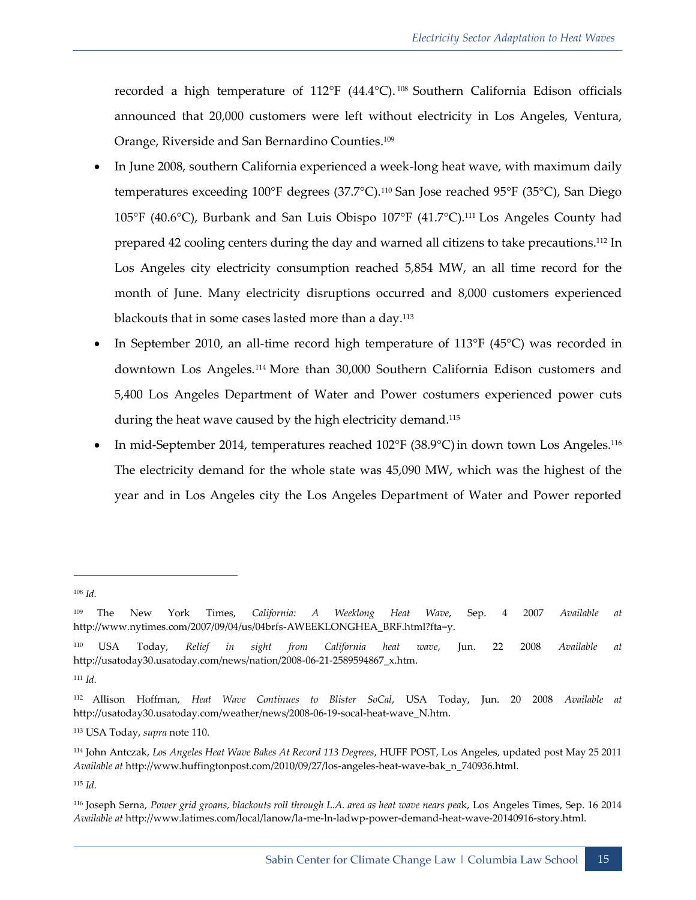recorded a high temperature of 112°F (44.4°C). <sup>108</sup> Southern California Edison officials announced that 20,000 customers were left without electricity in Los Angeles, Ventura, Orange, Riverside and San Bernardino Counties. 109

- In June 2008, southern California experienced a week-long heat wave, with maximum daily temperatures exceeding 100°F degrees (37.7°C).<sup>110</sup> San Jose reached 95°F (35°C), San Diego 105°F (40.6°C), Burbank and San Luis Obispo 107°F (41.7°C).<sup>111</sup> Los Angeles County had prepared 42 cooling centers during the day and warned all citizens to take precautions.<sup>112</sup> In Los Angeles city electricity consumption reached 5,854 MW, an all time record for the month of June. Many electricity disruptions occurred and 8,000 customers experienced blackouts that in some cases lasted more than a day.<sup>113</sup>
- In September 2010, an all-time record high temperature of 113°F (45°C) was recorded in downtown Los Angeles.<sup>114</sup> More than 30,000 Southern California Edison customers and 5,400 Los Angeles Department of Water and Power costumers experienced power cuts during the heat wave caused by the high electricity demand. 115
- In mid-September 2014, temperatures reached 102°F (38.9°C)in down town Los Angeles.<sup>116</sup> The electricity demand for the whole state was 45,090 MW, which was the highest of the year and in Los Angeles city the Los Angeles Department of Water and Power reported

<sup>108</sup> *Id.*

<sup>109</sup> The New York Times, *California: A Weeklong Heat Wave*, Sep. 4 2007 *Available at* http://www.nytimes.com/2007/09/04/us/04brfs-AWEEKLONGHEA\_BRF.html?fta=y.

<sup>110</sup> USA Today, *Relief in sight from California heat wave*, Jun. 22 2008 *Available at* http://usatoday30.usatoday.com/news/nation/2008-06-21-2589594867\_x.htm.

<sup>111</sup> *Id.*

<sup>112</sup> Allison Hoffman, *Heat Wave Continues to Blister SoCal*, USA Today, Jun. 20 2008 *Available at*  http://usatoday30.usatoday.com/weather/news/2008-06-19-socal-heat-wave\_N.htm.

<sup>113</sup> USA Today, *supra* note 110.

<sup>114</sup> John Antczak, *Los Angeles Heat Wave Bakes At Record 113 Degrees*, HUFF POST, Los Angeles, updated post May 25 2011 *Available at* http://www.huffingtonpost.com/2010/09/27/los-angeles-heat-wave-bak\_n\_740936.html*.* 

<sup>115</sup> *Id.*

<sup>116</sup> Joseph Serna, *Power grid groans, blackouts roll through L.A. area as heat wave nears pea*k, Los Angeles Times, Sep. 16 2014 *Available at* http://www.latimes.com/local/lanow/la-me-ln-ladwp-power-demand-heat-wave-20140916-story.html.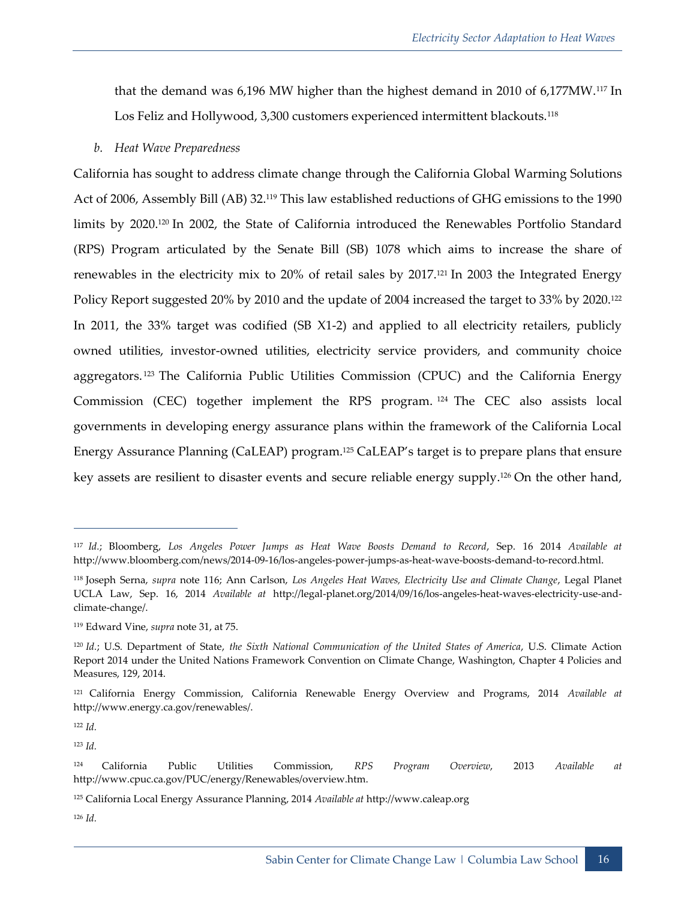that the demand was 6,196 MW higher than the highest demand in 2010 of 6,177MW.<sup>117</sup> In Los Feliz and Hollywood, 3,300 customers experienced intermittent blackouts.<sup>118</sup>

*b. Heat Wave Preparedness*

California has sought to address climate change through the California Global Warming Solutions Act of 2006, Assembly Bill (AB) 32.<sup>119</sup> This law established reductions of GHG emissions to the 1990 limits by 2020. <sup>120</sup> In 2002, the State of California introduced the Renewables Portfolio Standard (RPS) Program articulated by the Senate Bill (SB) 1078 which aims to increase the share of renewables in the electricity mix to 20% of retail sales by 2017.<sup>121</sup> In 2003 the Integrated Energy Policy Report suggested 20% by 2010 and the update of 2004 increased the target to 33% by 2020.<sup>122</sup> In 2011, the 33% target was codified (SB X1-2) and applied to all electricity retailers, publicly owned utilities, investor-owned utilities, electricity service providers, and community choice aggregators.<sup>123</sup> The California Public Utilities Commission (CPUC) and the California Energy Commission (CEC) together implement the RPS program. <sup>124</sup> The CEC also assists local governments in developing energy assurance plans within the framework of the California Local Energy Assurance Planning (CaLEAP) program.<sup>125</sup> CaLEAP's target is to prepare plans that ensure key assets are resilient to disaster events and secure reliable energy supply. <sup>126</sup> On the other hand,

<sup>122</sup> *Id.* 

<sup>117</sup> *Id.*; Bloomberg, *Los Angeles Power Jumps as Heat Wave Boosts Demand to Record*, Sep. 16 2014 *Available at* http://www.bloomberg.com/news/2014-09-16/los-angeles-power-jumps-as-heat-wave-boosts-demand-to-record.html.

<sup>118</sup> Joseph Serna, *supra* note 116; Ann Carlson, *Los Angeles Heat Waves, Electricity Use and Climate Change*, Legal Planet UCLA Law, Sep. 16, 2014 *Available at* http://legal-planet.org/2014/09/16/los-angeles-heat-waves-electricity-use-andclimate-change/.

<sup>119</sup> Edward Vine, *supra* note 31, at 75.

<sup>120</sup> *Id.*; U.S. Department of State, *the Sixth National Communication of the United States of America*, U.S. Climate Action Report 2014 under the United Nations Framework Convention on Climate Change, Washington, Chapter 4 Policies and Measures, 129, 2014.

<sup>121</sup> California Energy Commission, California Renewable Energy Overview and Programs, 2014 *Available at* http://www.energy.ca.gov/renewables/.

<sup>123</sup> *Id.* 

<sup>124</sup> California Public Utilities Commission, *RPS Program Overview*, 2013 *Available at*  http://www.cpuc.ca.gov/PUC/energy/Renewables/overview.htm.

<sup>125</sup> California Local Energy Assurance Planning, 2014 *Available at* http://www.caleap.org

<sup>126</sup> *Id.*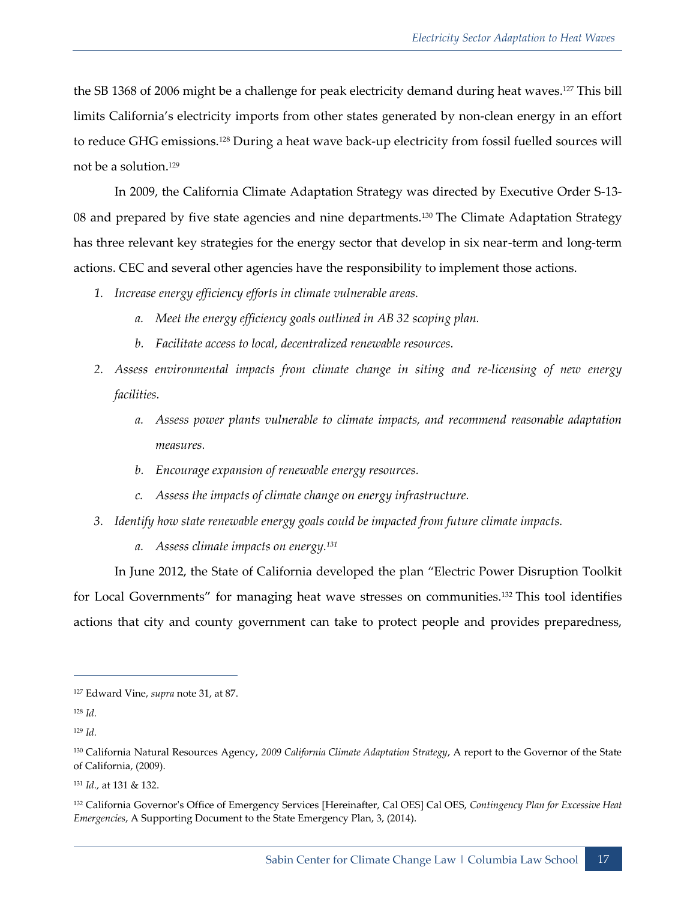the SB 1368 of 2006 might be a challenge for peak electricity demand during heat waves.<sup>127</sup> This bill limits California's electricity imports from other states generated by non-clean energy in an effort to reduce GHG emissions.<sup>128</sup> During a heat wave back-up electricity from fossil fuelled sources will not be a solution.<sup>129</sup>

In 2009, the California Climate Adaptation Strategy was directed by Executive Order S-13- 08 and prepared by five state agencies and nine departments.<sup>130</sup> The Climate Adaptation Strategy has three relevant key strategies for the energy sector that develop in six near-term and long-term actions. CEC and several other agencies have the responsibility to implement those actions.

- *1. Increase energy efficiency efforts in climate vulnerable areas.*
	- *a. Meet the energy efficiency goals outlined in AB 32 scoping plan.*
	- *b. Facilitate access to local, decentralized renewable resources.*
- *2. Assess environmental impacts from climate change in siting and re-licensing of new energy facilities.*
	- *a. Assess power plants vulnerable to climate impacts, and recommend reasonable adaptation measures.*
	- *b. Encourage expansion of renewable energy resources.*
	- *c. Assess the impacts of climate change on energy infrastructure.*
- *3. Identify how state renewable energy goals could be impacted from future climate impacts.*
	- *a. Assess climate impacts on energy. 131*

In June 2012, the State of California developed the plan "Electric Power Disruption Toolkit for Local Governments" for managing heat wave stresses on communities.<sup>132</sup> This tool identifies actions that city and county government can take to protect people and provides preparedness,

<sup>127</sup> Edward Vine, *supra* note 31, at 87.

<sup>128</sup> *Id.*

<sup>129</sup> *Id.*

<sup>130</sup> California Natural Resources Agency, *2009 California Climate Adaptation Strategy*, A report to the Governor of the State of California, (2009).

<sup>131</sup> *Id.,* at 131 & 132.

<sup>132</sup> California Governor's Office of Emergency Services [Hereinafter, Cal OES] Cal OES, *Contingency Plan for Excessive Heat Emergencies*, A Supporting Document to the State Emergency Plan, 3, (2014).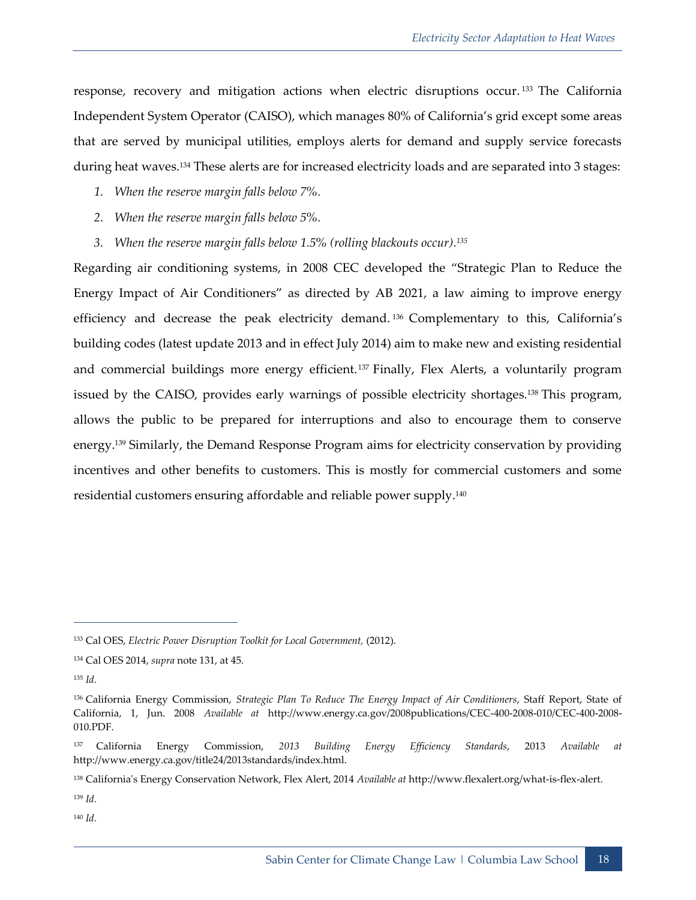response, recovery and mitigation actions when electric disruptions occur. <sup>133</sup> The California Independent System Operator (CAISO), which manages 80% of California's grid except some areas that are served by municipal utilities, employs alerts for demand and supply service forecasts during heat waves.<sup>134</sup> These alerts are for increased electricity loads and are separated into 3 stages:

- *1. When the reserve margin falls below 7%.*
- *2. When the reserve margin falls below 5%.*
- *3. When the reserve margin falls below 1.5% (rolling blackouts occur). 135*

Regarding air conditioning systems, in 2008 CEC developed the "Strategic Plan to Reduce the Energy Impact of Air Conditioners" as directed by AB 2021, a law aiming to improve energy efficiency and decrease the peak electricity demand. <sup>136</sup> Complementary to this, California's building codes (latest update 2013 and in effect July 2014) aim to make new and existing residential and commercial buildings more energy efficient.<sup>137</sup> Finally, Flex Alerts, a voluntarily program issued by the CAISO, provides early warnings of possible electricity shortages.<sup>138</sup> This program, allows the public to be prepared for interruptions and also to encourage them to conserve energy.<sup>139</sup> Similarly, the Demand Response Program aims for electricity conservation by providing incentives and other benefits to customers. This is mostly for commercial customers and some residential customers ensuring affordable and reliable power supply.<sup>140</sup>

 $\overline{a}$ 

<sup>139</sup> *Id.*

<sup>140</sup> *Id.*

<sup>&</sup>lt;sup>133</sup> Cal OES, *Electric Power Disruption Toolkit for Local Government*, (2012).

<sup>134</sup> Cal OES 2014, *supra* note 131, at 45.

<sup>135</sup> *Id.*

<sup>136</sup> California Energy Commission, *Strategic Plan To Reduce The Energy Impact of Air Conditioners*, Staff Report, State of California, 1, Jun. 2008 *Available at* http://www.energy.ca.gov/2008publications/CEC-400-2008-010/CEC-400-2008- 010.PDF.

<sup>137</sup> California Energy Commission, *2013 Building Energy Efficiency Standards*, 2013 *Available at* http://www.energy.ca.gov/title24/2013standards/index.html.

<sup>138</sup> California's Energy Conservation Network, Flex Alert, 2014 *Available at* http://www.flexalert.org/what-is-flex-alert.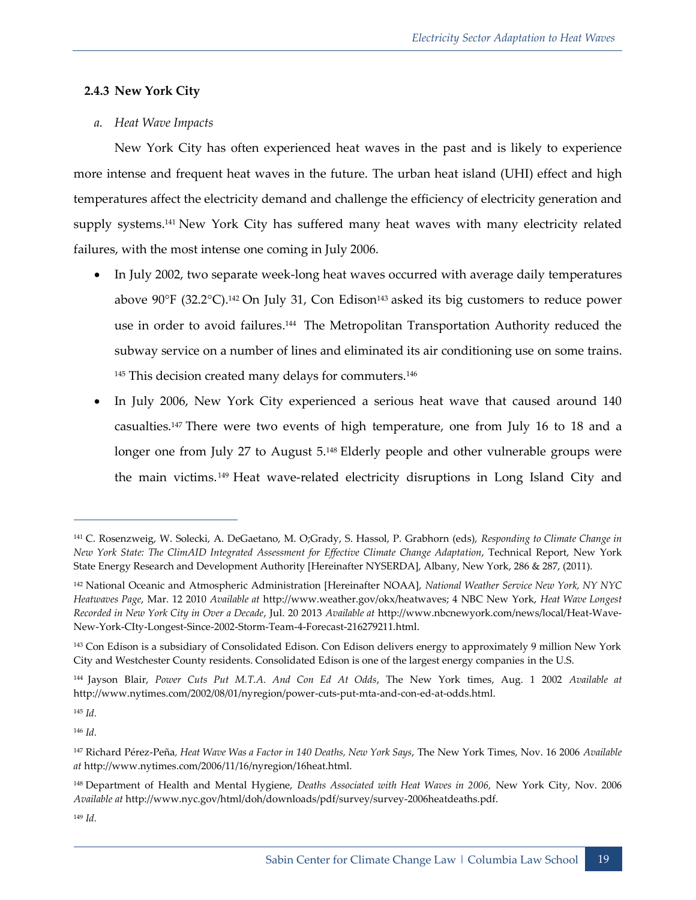#### **2.4.3 New York City**

#### *a. Heat Wave Impacts*

New York City has often experienced heat waves in the past and is likely to experience more intense and frequent heat waves in the future. The urban heat island (UHI) effect and high temperatures affect the electricity demand and challenge the efficiency of electricity generation and supply systems.<sup>141</sup> New York City has suffered many heat waves with many electricity related failures, with the most intense one coming in July 2006.

- In July 2002, two separate week-long heat waves occurred with average daily temperatures above 90°F (32.2°C).<sup>142</sup> On July 31, Con Edison<sup>143</sup> asked its big customers to reduce power use in order to avoid failures. 144 The Metropolitan Transportation Authority reduced the subway service on a number of lines and eliminated its air conditioning use on some trains. <sup>145</sup> This decision created many delays for commuters.<sup>146</sup>
- In July 2006, New York City experienced a serious heat wave that caused around 140 casualties.<sup>147</sup> There were two events of high temperature, one from July 16 to 18 and a longer one from July 27 to August 5.<sup>148</sup> Elderly people and other vulnerable groups were the main victims. <sup>149</sup> Heat wave-related electricity disruptions in Long Island City and

<sup>145</sup> *Id.* 

 $\overline{a}$ 

<sup>146</sup> *Id.*

<sup>149</sup> *Id.* 

<sup>141</sup> C. Rosenzweig, W. Solecki, A. DeGaetano, M. O;Grady, S. Hassol, P. Grabhorn (eds), *Responding to Climate Change in New York State: The ClimAID Integrated Assessment for Effective Climate Change Adaptation*, Technical Report, New York State Energy Research and Development Authority [Hereinafter NYSERDA], Albany, New York, 286 & 287, (2011).

<sup>142</sup> National Oceanic and Atmospheric Administration [Hereinafter NOAA], *National Weather Service New York, NY NYC Heatwaves Page*, Mar. 12 2010 *Available at* http://www.weather.gov/okx/heatwaves; 4 NBC New York, *Heat Wave Longest Recorded in New York City in Over a Decade*, Jul. 20 2013 *Available at* http://www.nbcnewyork.com/news/local/Heat-Wave-New-York-CIty-Longest-Since-2002-Storm-Team-4-Forecast-216279211.html.

<sup>143</sup> Con Edison is a subsidiary of Consolidated Edison. Con Edison delivers energy to approximately 9 million New York City and Westchester County residents. Consolidated Edison is one of the largest energy companies in the U.S.

<sup>144</sup> Jayson Blair, *Power Cuts Put M.T.A. And Con Ed At Odds*, The New York times, Aug. 1 2002 *Available at* http://www.nytimes.com/2002/08/01/nyregion/power-cuts-put-mta-and-con-ed-at-odds.html.

<sup>147</sup> Richard Pérez-Peña*, Heat Wave Was a Factor in 140 Deaths, New York Says*, The New York Times, Nov. 16 2006 *Available at* http://www.nytimes.com/2006/11/16/nyregion/16heat.html.

<sup>148</sup> Department of Health and Mental Hygiene, *Deaths Associated with Heat Waves in 2006,* New York City, Nov. 2006 *Available at* http://www.nyc.gov/html/doh/downloads/pdf/survey/survey-2006heatdeaths.pdf.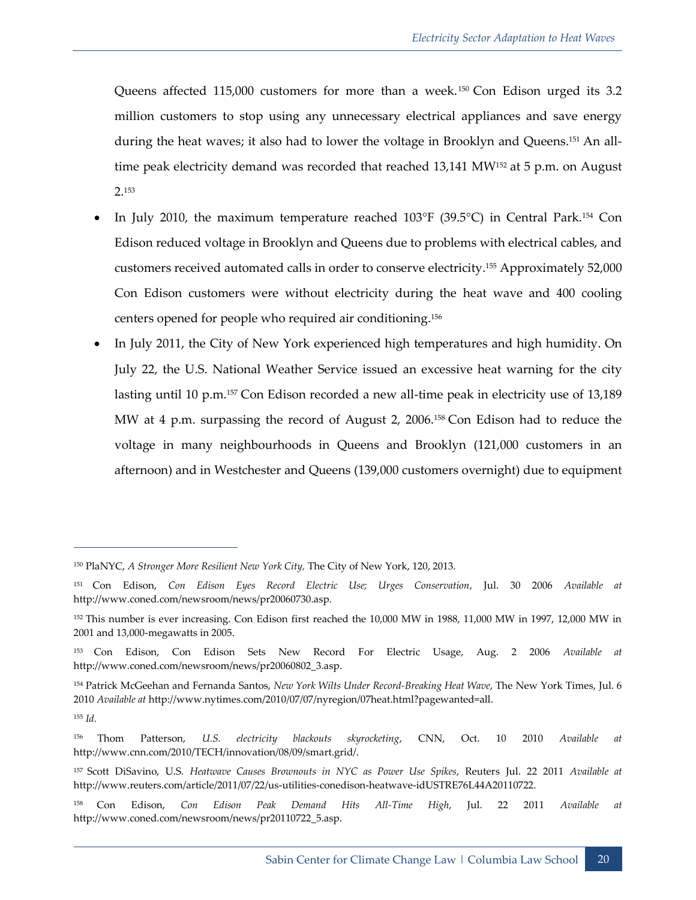Queens affected 115,000 customers for more than a week.<sup>150</sup> Con Edison urged its 3.2 million customers to stop using any unnecessary electrical appliances and save energy during the heat waves; it also had to lower the voltage in Brooklyn and Queens. <sup>151</sup> An alltime peak electricity demand was recorded that reached 13,141 MW<sup>152</sup> at 5 p.m. on August 2. 153

- In July 2010, the maximum temperature reached 103°F (39.5°C) in Central Park.<sup>154</sup> Con Edison reduced voltage in Brooklyn and Queens due to problems with electrical cables, and customers received automated calls in order to conserve electricity.<sup>155</sup> Approximately 52,000 Con Edison customers were without electricity during the heat wave and 400 cooling centers opened for people who required air conditioning.<sup>156</sup>
- In July 2011, the City of New York experienced high temperatures and high humidity. On July 22, the U.S. National Weather Service issued an excessive heat warning for the city lasting until 10 p.m.<sup>157</sup> Con Edison recorded a new all-time peak in electricity use of 13,189 MW at 4 p.m. surpassing the record of August 2, 2006.<sup>158</sup> Con Edison had to reduce the voltage in many neighbourhoods in Queens and Brooklyn (121,000 customers in an afternoon) and in Westchester and Queens (139,000 customers overnight) due to equipment

<sup>150</sup> PlaNYC, *A Stronger More Resilient New York City,* The City of New York, 120, 2013.

<sup>151</sup> Con Edison, *Con Edison Eyes Record Electric Use; Urges Conservation*, Jul. 30 2006 *Available at* http://www.coned.com/newsroom/news/pr20060730.asp.

<sup>&</sup>lt;sup>152</sup> This number is ever increasing. Con Edison first reached the 10,000 MW in 1988, 11,000 MW in 1997, 12,000 MW in 2001 and 13,000-megawatts in 2005.

<sup>153</sup> Con Edison, Con Edison Sets New Record For Electric Usage, Aug. 2 2006 *Available at* http://www.coned.com/newsroom/news/pr20060802\_3.asp.

<sup>154</sup> Patrick McGeehan and Fernanda Santos, *New York Wilts Under Record-Breaking Heat Wave*, The New York Times, Jul. 6 2010 *Available at* http://www.nytimes.com/2010/07/07/nyregion/07heat.html?pagewanted=all.

<sup>155</sup> *Id.*

<sup>156</sup> Thom Patterson, *U.S. electricity blackouts skyrocketing*, CNN, Oct. 10 2010 *Available at* http://www.cnn.com/2010/TECH/innovation/08/09/smart.grid/.

<sup>157</sup> Scott DiSavino, U.S. *Heatwave Causes Brownouts in NYC as Power Use Spikes*, Reuters Jul. 22 2011 *Available at* http://www.reuters.com/article/2011/07/22/us-utilities-conedison-heatwave-idUSTRE76L44A20110722.

<sup>158</sup> Con Edison, *Con Edison Peak Demand Hits All-Time High*, Jul. 22 2011 *Available at* http://www.coned.com/newsroom/news/pr20110722\_5.asp.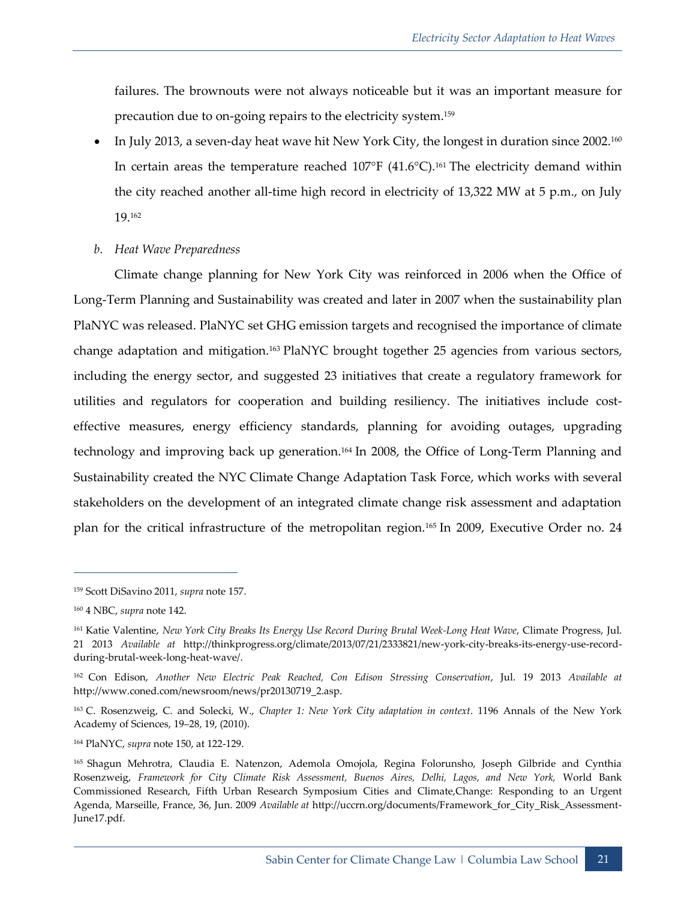failures. The brownouts were not always noticeable but it was an important measure for precaution due to on-going repairs to the electricity system.<sup>159</sup>

- In July 2013, a seven-day heat wave hit New York City, the longest in duration since 2002.<sup>160</sup> In certain areas the temperature reached  $107^{\circ}F$  (41.6 $^{\circ}C$ ).<sup>161</sup> The electricity demand within the city reached another all-time high record in electricity of 13,322 MW at 5 p.m., on July 19.<sup>162</sup>
- *b. Heat Wave Preparedness*

Climate change planning for New York City was reinforced in 2006 when the Office of Long-Term Planning and Sustainability was created and later in 2007 when the sustainability plan PlaNYC was released. PlaNYC set GHG emission targets and recognised the importance of climate change adaptation and mitigation.<sup>163</sup> PlaNYC brought together 25 agencies from various sectors, including the energy sector, and suggested 23 initiatives that create a regulatory framework for utilities and regulators for cooperation and building resiliency. The initiatives include costeffective measures, energy efficiency standards, planning for avoiding outages, upgrading technology and improving back up generation.<sup>164</sup> In 2008, the Office of Long-Term Planning and Sustainability created the NYC Climate Change Adaptation Task Force, which works with several stakeholders on the development of an integrated climate change risk assessment and adaptation plan for the critical infrastructure of the metropolitan region.<sup>165</sup> In 2009, Executive Order no. 24

<sup>159</sup> Scott DiSavino 2011, *supra* note 157.

<sup>160</sup> 4 NBC, *supra* note 142.

<sup>&</sup>lt;sup>161</sup> Katie Valentine, New York City Breaks Its Energy Use Record During Brutal Week-Long Heat Wave, Climate Progress, Jul. 21 2013 *Available at* http://thinkprogress.org/climate/2013/07/21/2333821/new-york-city-breaks-its-energy-use-recordduring-brutal-week-long-heat-wave/.

<sup>162</sup> Con Edison, *Another New Electric Peak Reached, Con Edison Stressing Conservation*, Jul. 19 2013 *Available at* http://www.coned.com/newsroom/news/pr20130719\_2.asp.

<sup>163</sup> C. Rosenzweig, C. and Solecki, W., *Chapter 1: New York City adaptation in context*. 1196 Annals of the New York Academy of Sciences, 19–28, 19, (2010).

<sup>164</sup> PlaNYC, *supra* note 150, at 122-129.

<sup>165</sup> Shagun Mehrotra, Claudia E. Natenzon, Ademola Omojola, Regina Folorunsho, Joseph Gilbride and Cynthia Rosenzweig, *Framework for City Climate Risk Assessment, Buenos Aires, Delhi, Lagos, and New York,* World Bank Commissioned Research, Fifth Urban Research Symposium Cities and Climate,Change: Responding to an Urgent Agenda, Marseille, France, 36, Jun. 2009 *Available at* [http://uccrn.org/documents/Framework\\_for\\_City\\_Risk\\_Assessment-](http://uccrn.org/documents/Framework_for_City_Risk_Assessment-June17.pdf)[June17.pdf.](http://uccrn.org/documents/Framework_for_City_Risk_Assessment-June17.pdf)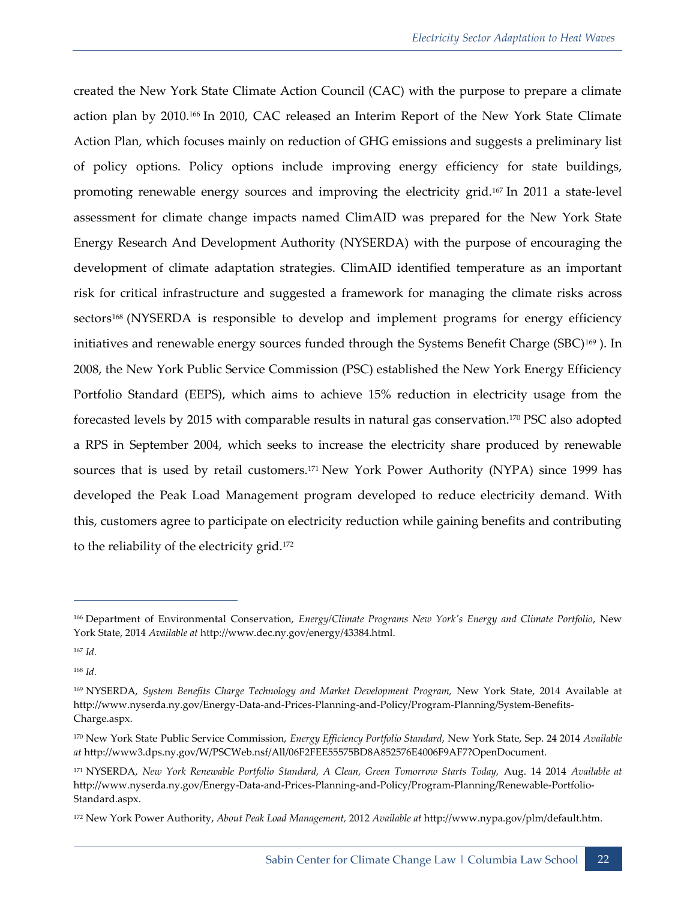created the New York State Climate Action Council (CAC) with the purpose to prepare a climate action plan by 2010.<sup>166</sup> In 2010, CAC released an Interim Report of the New York State Climate Action Plan, which focuses mainly on reduction of GHG emissions and suggests a preliminary list of policy options. Policy options include improving energy efficiency for state buildings, promoting renewable energy sources and improving the electricity grid.<sup>167</sup> In 2011 a state-level assessment for climate change impacts named ClimAID was prepared for the New York State Energy Research And Development Authority (NYSERDA) with the purpose of encouraging the development of climate adaptation strategies. ClimAID identified temperature as an important risk for critical infrastructure and suggested a framework for managing the climate risks across sectors<sup>168</sup> (NYSERDA is responsible to develop and implement programs for energy efficiency initiatives and renewable energy sources funded through the Systems Benefit Charge  $(SBC)^{169}$ ). In 2008, the New York Public Service Commission (PSC) established the New York Energy Efficiency Portfolio Standard (EEPS), which aims to achieve 15% reduction in electricity usage from the forecasted levels by 2015 with comparable results in natural gas conservation.<sup>170</sup> PSC also adopted a RPS in September 2004, which seeks to increase the electricity share produced by renewable sources that is used by retail customers.<sup>171</sup> New York Power Authority (NYPA) since 1999 has developed the Peak Load Management program developed to reduce electricity demand. With this, customers agree to participate on electricity reduction while gaining benefits and contributing to the reliability of the electricity grid.<sup>172</sup>

<sup>166</sup> Department of Environmental Conservation, *Energy/Climate Programs New York's Energy and Climate Portfolio*, New York State, 2014 *Available at* http://www.dec.ny.gov/energy/43384.html.

<sup>167</sup> *Id.*

<sup>168</sup> *Id.*

<sup>169</sup> NYSERDA, *System Benefits Charge Technology and Market Development Program,* New York State, 2014 Available at http://www.nyserda.ny.gov/Energy-Data-and-Prices-Planning-and-Policy/Program-Planning/System-Benefits-Charge.aspx.

<sup>170</sup> New York State Public Service Commission, *Energy Efficiency Portfolio Standard*, New York State, Sep. 24 2014 *Available at* http://www3.dps.ny.gov/W/PSCWeb.nsf/All/06F2FEE55575BD8A852576E4006F9AF7?OpenDocument.

<sup>171</sup> NYSERDA, *New York Renewable Portfolio Standard, A Clean, Green Tomorrow Starts Today,* Aug. 14 2014 *Available at* http://www.nyserda.ny.gov/Energy-Data-and-Prices-Planning-and-Policy/Program-Planning/Renewable-Portfolio-Standard.aspx.

<sup>172</sup> New York Power Authority, *About Peak Load Management,* 2012 *Available at* http://www.nypa.gov/plm/default.htm.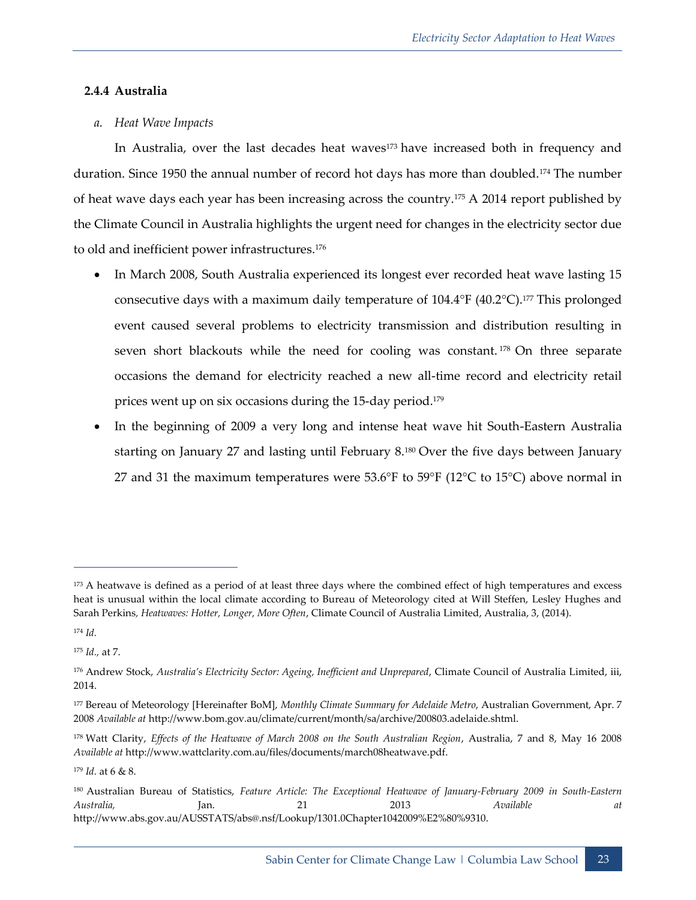#### **2.4.4 Australia**

#### *a. Heat Wave Impacts*

In Australia, over the last decades heat waves<sup>173</sup> have increased both in frequency and duration. Since 1950 the annual number of record hot days has more than doubled.<sup>174</sup> The number of heat wave days each year has been increasing across the country.<sup>175</sup> A 2014 report published by the Climate Council in Australia highlights the urgent need for changes in the electricity sector due to old and inefficient power infrastructures.<sup>176</sup>

- In March 2008, South Australia experienced its longest ever recorded heat wave lasting 15 consecutive days with a maximum daily temperature of  $104.4^{\circ}$ F ( $40.2^{\circ}$ C).<sup>177</sup> This prolonged event caused several problems to electricity transmission and distribution resulting in seven short blackouts while the need for cooling was constant. <sup>178</sup> On three separate occasions the demand for electricity reached a new all-time record and electricity retail prices went up on six occasions during the 15-day period.<sup>179</sup>
- In the beginning of 2009 a very long and intense heat wave hit South-Eastern Australia starting on January 27 and lasting until February 8.<sup>180</sup> Over the five days between January 27 and 31 the maximum temperatures were  $53.6^{\circ}$ F to  $59^{\circ}$ F (12 $^{\circ}$ C to 15 $^{\circ}$ C) above normal in

<sup>&</sup>lt;sup>173</sup> A heatwave is defined as a period of at least three days where the combined effect of high temperatures and excess heat is unusual within the local climate according to Bureau of Meteorology cited at Will Steffen, Lesley Hughes and Sarah Perkins*, Heatwaves: Hotter, Longer, More Often*, Climate Council of Australia Limited, Australia, 3, (2014).

<sup>174</sup> *Id.*

<sup>175</sup> *Id.,* at 7.

<sup>176</sup> Andrew Stock, *Australia's Electricity Sector: Ageing, Inefficient and Unprepared*, Climate Council of Australia Limited, iii, 2014.

<sup>177</sup> Bereau of Meteorology [Hereinafter BoM], *Monthly Climate Summary for Adelaide Metro*, Australian Government, Apr. 7 2008 *Available at* http://www.bom.gov.au/climate/current/month/sa/archive/200803.adelaide.shtml.

<sup>178</sup> Watt Clarity, *Effects of the Heatwave of March 2008 on the South Australian Region*, Australia, 7 and 8, May 16 2008 *Available at* http://www.wattclarity.com.au/files/documents/march08heatwave.pdf.

<sup>179</sup> *Id.* at 6 & 8.

<sup>180</sup> Australian Bureau of Statistics, *Feature Article: The Exceptional Heatwave of January-February 2009 in South-Eastern Australia,* Jan. 21 2013 *Available at* http://www.abs.gov.au/AUSSTATS/abs@.nsf/Lookup/1301.0Chapter1042009%E2%80%9310.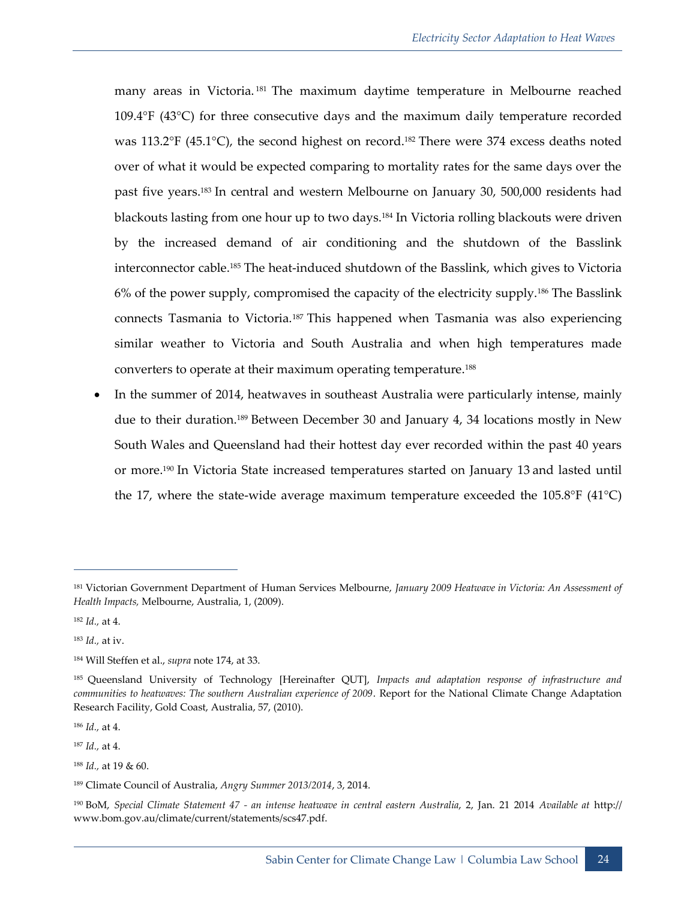many areas in Victoria. <sup>181</sup> The maximum daytime temperature in Melbourne reached 109.4°F (43°C) for three consecutive days and the maximum daily temperature recorded was 113.2°F (45.1°C), the second highest on record.<sup>182</sup> There were 374 excess deaths noted over of what it would be expected comparing to mortality rates for the same days over the past five years.<sup>183</sup> In central and western Melbourne on January 30, 500,000 residents had blackouts lasting from one hour up to two days.<sup>184</sup> In Victoria rolling blackouts were driven by the increased demand of air conditioning and the shutdown of the Basslink interconnector cable.<sup>185</sup> The heat-induced shutdown of the Basslink, which gives to Victoria 6% of the power supply, compromised the capacity of the electricity supply.<sup>186</sup> The Basslink connects Tasmania to Victoria.<sup>187</sup> This happened when Tasmania was also experiencing similar weather to Victoria and South Australia and when high temperatures made converters to operate at their maximum operating temperature.<sup>188</sup>

 In the summer of 2014, heatwaves in southeast Australia were particularly intense, mainly due to their duration.<sup>189</sup> Between December 30 and January 4, 34 locations mostly in New South Wales and Queensland had their hottest day ever recorded within the past 40 years or more.<sup>190</sup> In Victoria State increased temperatures started on January 13 and lasted until the 17, where the state-wide average maximum temperature exceeded the 105.8°F (41°C)

 $\overline{a}$ 

<sup>186</sup> *Id.,* at 4.

<sup>187</sup> *Id.,* at 4.

<sup>188</sup> *Id.,* at 19 & 60.

<sup>181</sup> Victorian Government Department of Human Services Melbourne, *January 2009 Heatwave in Victoria: An Assessment of Health Impacts,* Melbourne, Australia, 1, (2009).

<sup>182</sup> *Id.,* at 4.

<sup>183</sup> *Id.,* at iv.

<sup>184</sup> Will Steffen et al., *supra* note 174, at 33.

<sup>185</sup> Queensland University of Technology [Hereinafter QUT], *Impacts and adaptation response of infrastructure and communities to heatwaves: The southern Australian experience of 2009*. Report for the National Climate Change Adaptation Research Facility, Gold Coast, Australia, 57, (2010).

<sup>189</sup> Climate Council of Australia, *Angry Summer 2013/2014*, 3, 2014.

<sup>190</sup> BoM, *Special Climate Statement 47 - an intense heatwave in central eastern Australia*, 2, Jan. 21 2014 *Available at* http:// www.bom.gov.au/climate/current/statements/scs47.pdf.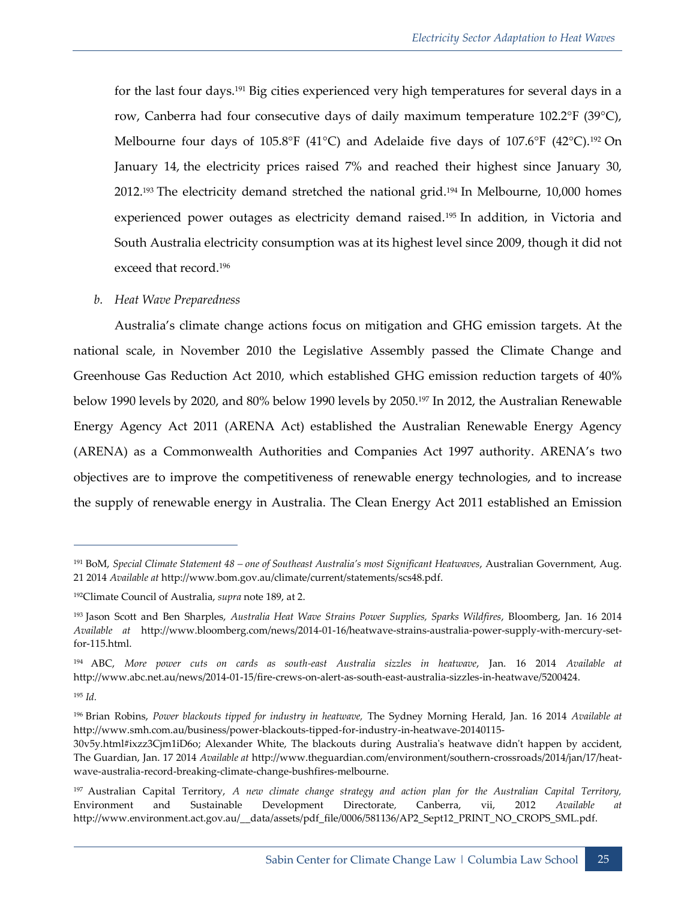for the last four days.<sup>191</sup> Big cities experienced very high temperatures for several days in a row, Canberra had four consecutive days of daily maximum temperature 102.2°F (39°C), Melbourne four days of 105.8°F (41°C) and Adelaide five days of 107.6°F (42°C).<sup>192</sup> On January 14, the electricity prices raised 7% and reached their highest since January 30, 2012.<sup>193</sup> The electricity demand stretched the national grid.<sup>194</sup> In Melbourne, 10,000 homes experienced power outages as electricity demand raised.<sup>195</sup> In addition, in Victoria and South Australia electricity consumption was at its highest level since 2009, though it did not exceed that record.<sup>196</sup>

#### *b. Heat Wave Preparedness*

Australia's climate change actions focus on mitigation and GHG emission targets. At the national scale, in November 2010 the Legislative Assembly passed the Climate Change and Greenhouse Gas Reduction Act 2010, which established GHG emission reduction targets of 40% below 1990 levels by 2020, and 80% below 1990 levels by 2050.<sup>197</sup> In 2012, the Australian Renewable Energy Agency Act 2011 (ARENA Act) established the Australian Renewable Energy Agency (ARENA) as a Commonwealth Authorities and Companies Act 1997 authority. ARENA's two objectives are to improve the competitiveness of renewable energy technologies, and to increase the supply of renewable energy in Australia. The Clean Energy Act 2011 established an Emission

<sup>191</sup> BoM, *Special Climate Statement 48 – one of Southeast Australia's most Significant Heatwaves*, Australian Government, Aug. 21 2014 *Available at* http://www.bom.gov.au/climate/current/statements/scs48.pdf.

<sup>192</sup>Climate Council of Australia, *supra* note 189, at 2.

<sup>193</sup> Jason Scott and Ben Sharples, *Australia Heat Wave Strains Power Supplies, Sparks Wildfires*, Bloomberg, Jan. 16 2014 *Available at* http://www.bloomberg.com/news/2014-01-16/heatwave-strains-australia-power-supply-with-mercury-setfor-115.html.

<sup>194</sup> ABC, *More power cuts on cards as south-east Australia sizzles in heatwave*, Jan. 16 2014 *Available at* http://www.abc.net.au/news/2014-01-15/fire-crews-on-alert-as-south-east-australia-sizzles-in-heatwave/5200424.

<sup>195</sup> *Id.* 

<sup>196</sup> Brian Robins, *Power blackouts tipped for industry in heatwave,* The Sydney Morning Herald, Jan. 16 2014 *Available at* http://www.smh.com.au/business/power-blackouts-tipped-for-industry-in-heatwave-20140115-

<sup>30</sup>v5y.html#ixzz3Cjm1iD6o; Alexander White, The blackouts during Australia's heatwave didn't happen by accident, The Guardian, Jan. 17 2014 *Available at* http://www.theguardian.com/environment/southern-crossroads/2014/jan/17/heatwave-australia-record-breaking-climate-change-bushfires-melbourne.

<sup>197</sup> Australian Capital Territory, *A new climate change strategy and action plan for the Australian Capital Territory,*  Environment and Sustainable Development Directorate*,* Canberra, vii, 2012 *Available at*  http://www.environment.act.gov.au/\_\_data/assets/pdf\_file/0006/581136/AP2\_Sept12\_PRINT\_NO\_CROPS\_SML.pdf.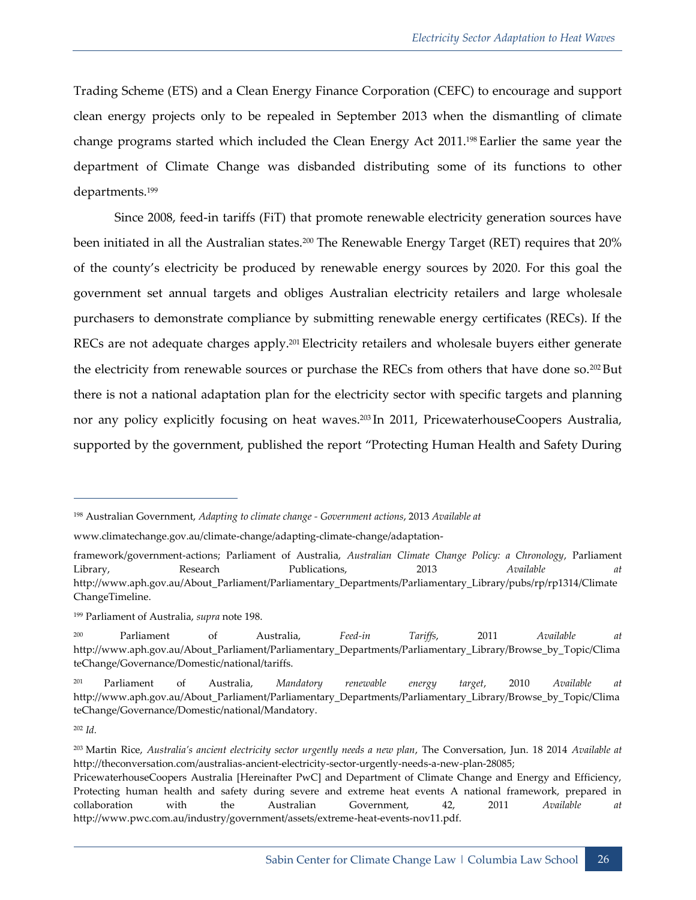Trading Scheme (ETS) and a Clean Energy Finance Corporation (CEFC) to encourage and support clean energy projects only to be repealed in September 2013 when the dismantling of climate change programs started which included the Clean Energy Act 2011. <sup>198</sup>Earlier the same year the department of Climate Change was disbanded distributing some of its functions to other departments.<sup>199</sup>

Since 2008, feed-in tariffs (FiT) that promote renewable electricity generation sources have been initiated in all the Australian states.<sup>200</sup> The Renewable Energy Target (RET) requires that 20% of the county's electricity be produced by renewable energy sources by 2020. For this goal the government set annual targets and obliges Australian electricity retailers and large wholesale purchasers to demonstrate compliance by submitting renewable energy certificates (RECs). If the RECs are not adequate charges apply.<sup>201</sup> Electricity retailers and wholesale buyers either generate the electricity from renewable sources or purchase the RECs from others that have done so.<sup>202</sup> But there is not a national adaptation plan for the electricity sector with specific targets and planning nor any policy explicitly focusing on heat waves. <sup>203</sup> In 2011, PricewaterhouseCoopers Australia, supported by the government, published the report "Protecting Human Health and Safety During

<sup>202</sup> *Id.*

<sup>198</sup> Australian Government, *Adapting to climate change - Government actions*, 2013 *Available at*

www.climatechange.gov.au/climate-change/adapting-climate-change/adaptation-

framework/government-actions; Parliament of Australia, *Australian Climate Change Policy: a Chronology*, Parliament Library, Research Publications, 2013 *Available at*  http://www.aph.gov.au/About\_Parliament/Parliamentary\_Departments/Parliamentary\_Library/pubs/rp/rp1314/Climate ChangeTimeline.

<sup>199</sup> Parliament of Australia, *supra* note 198.

<sup>200</sup> Parliament of Australia, *Feed-in Tariffs*, 2011 *Available at* http://www.aph.gov.au/About\_Parliament/Parliamentary\_Departments/Parliamentary\_Library/Browse\_by\_Topic/Clima teChange/Governance/Domestic/national/tariffs.

<sup>201</sup> Parliament of Australia, *Mandatory renewable energy target*, 2010 *Available at* http://www.aph.gov.au/About\_Parliament/Parliamentary\_Departments/Parliamentary\_Library/Browse\_by\_Topic/Clima teChange/Governance/Domestic/national/Mandatory.

<sup>203</sup> Martin Rice, *Australia's ancient electricity sector urgently needs a new plan*, The Conversation, Jun. 18 2014 *Available at* http://theconversation.com/australias-ancient-electricity-sector-urgently-needs-a-new-plan-28085;

PricewaterhouseCoopers Australia [Hereinafter PwC] and Department of Climate Change and Energy and Efficiency, Protecting human health and safety during severe and extreme heat events A national framework, prepared in collaboration with the Australian Government, 42, 2011 *Available at* http://www.pwc.com.au/industry/government/assets/extreme-heat-events-nov11.pdf.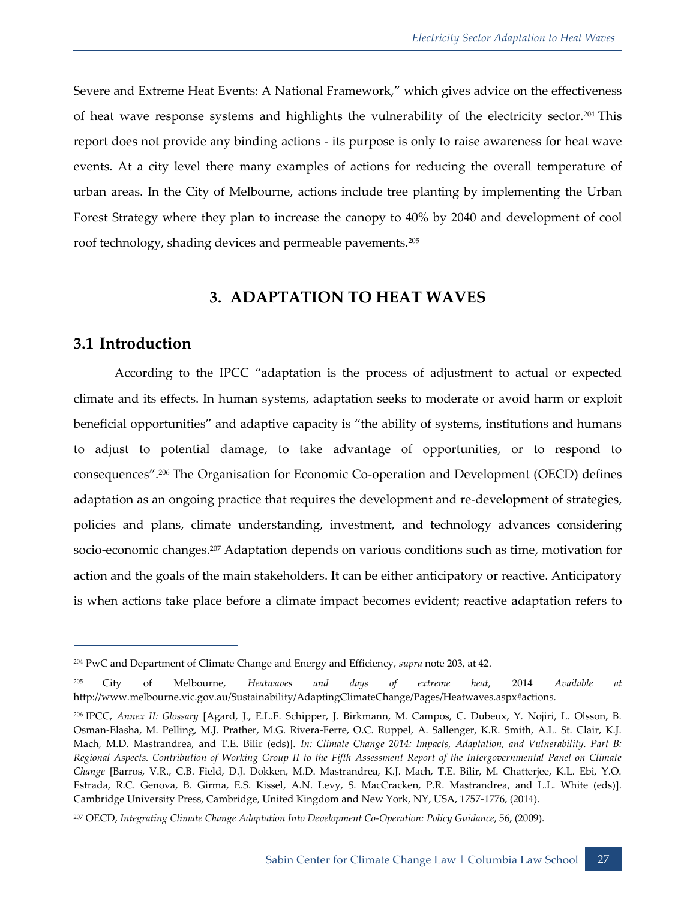Severe and Extreme Heat Events: A National Framework," which gives advice on the effectiveness of heat wave response systems and highlights the vulnerability of the electricity sector.<sup>204</sup> This report does not provide any binding actions - its purpose is only to raise awareness for heat wave events. At a city level there many examples of actions for reducing the overall temperature of urban areas. In the City of Melbourne, actions include tree planting by implementing the Urban Forest Strategy where they plan to increase the canopy to 40% by 2040 and development of cool roof technology, shading devices and permeable pavements.<sup>205</sup>

#### **3. ADAPTATION TO HEAT WAVES**

#### **3.1 Introduction**

 $\overline{a}$ 

According to the IPCC "adaptation is the process of adjustment to actual or expected climate and its effects. In human systems, adaptation seeks to moderate or avoid harm or exploit beneficial opportunities" and adaptive capacity is "the ability of systems, institutions and humans to adjust to potential damage, to take advantage of opportunities, or to respond to consequences".<sup>206</sup> The Organisation for Economic Co-operation and Development (OECD) defines adaptation as an ongoing practice that requires the development and re-development of strategies, policies and plans, climate understanding, investment, and technology advances considering socio-economic changes. <sup>207</sup> Adaptation depends on various conditions such as time, motivation for action and the goals of the main stakeholders. It can be either anticipatory or reactive. Anticipatory is when actions take place before a climate impact becomes evident; reactive adaptation refers to

<sup>204</sup> PwC and Department of Climate Change and Energy and Efficiency, *supra* note 203, at 42.

<sup>205</sup> City of Melbourne, *Heatwaves and days of extreme heat*, 2014 *Available at*  http://www.melbourne.vic.gov.au/Sustainability/AdaptingClimateChange/Pages/Heatwaves.aspx#actions.

<sup>206</sup> IPCC, *Annex II: Glossary* [Agard, J., E.L.F. Schipper, J. Birkmann, M. Campos, C. Dubeux, Y. Nojiri, L. Olsson, B. Osman-Elasha, M. Pelling, M.J. Prather, M.G. Rivera-Ferre, O.C. Ruppel, A. Sallenger, K.R. Smith, A.L. St. Clair, K.J. Mach, M.D. Mastrandrea, and T.E. Bilir (eds)]. *In: Climate Change 2014: Impacts, Adaptation, and Vulnerability. Part B: Regional Aspects. Contribution of Working Group II to the Fifth Assessment Report of the Intergovernmental Panel on Climate Change* [Barros, V.R., C.B. Field, D.J. Dokken, M.D. Mastrandrea, K.J. Mach, T.E. Bilir, M. Chatterjee, K.L. Ebi, Y.O. Estrada, R.C. Genova, B. Girma, E.S. Kissel, A.N. Levy, S. MacCracken, P.R. Mastrandrea, and L.L. White (eds)]. Cambridge University Press, Cambridge, United Kingdom and New York, NY, USA, 1757-1776, (2014).

<sup>207</sup> OECD, *Integrating Climate Change Adaptation Into Development Co-Operation: Policy Guidance*, 56, (2009).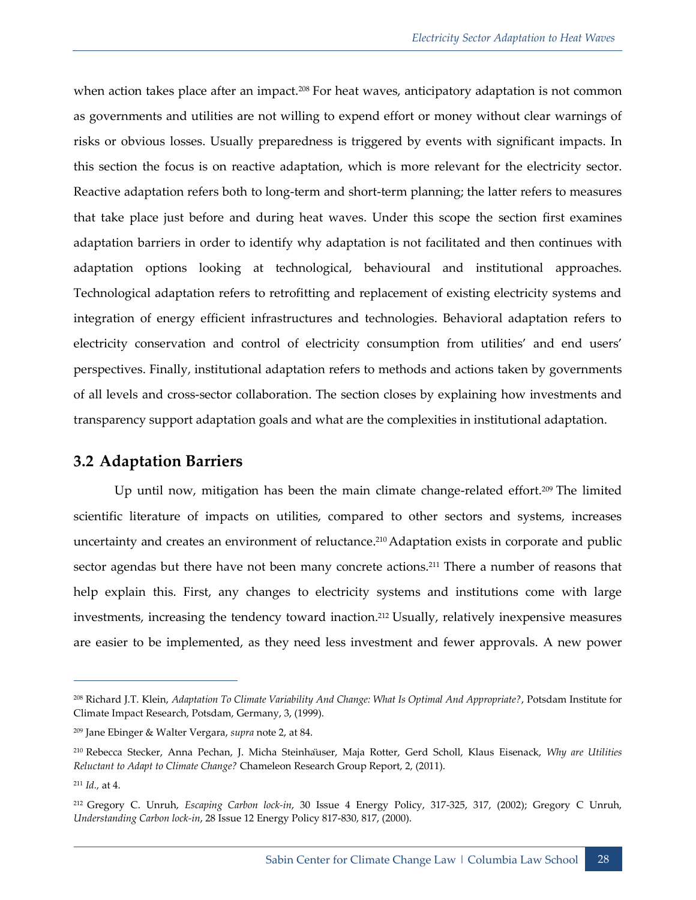when action takes place after an impact.<sup>208</sup> For heat waves, anticipatory adaptation is not common as governments and utilities are not willing to expend effort or money without clear warnings of risks or obvious losses. Usually preparedness is triggered by events with significant impacts. In this section the focus is on reactive adaptation, which is more relevant for the electricity sector. Reactive adaptation refers both to long-term and short-term planning; the latter refers to measures that take place just before and during heat waves. Under this scope the section first examines adaptation barriers in order to identify why adaptation is not facilitated and then continues with adaptation options looking at technological, behavioural and institutional approaches. Technological adaptation refers to retrofitting and replacement of existing electricity systems and integration of energy efficient infrastructures and technologies. Behavioral adaptation refers to electricity conservation and control of electricity consumption from utilities' and end users' perspectives. Finally, institutional adaptation refers to methods and actions taken by governments of all levels and cross-sector collaboration. The section closes by explaining how investments and transparency support adaptation goals and what are the complexities in institutional adaptation.

## **3.2 Adaptation Barriers**

Up until now, mitigation has been the main climate change-related effort.<sup>209</sup> The limited scientific literature of impacts on utilities, compared to other sectors and systems, increases uncertainty and creates an environment of reluctance.<sup>210</sup> Adaptation exists in corporate and public sector agendas but there have not been many concrete actions.<sup>211</sup> There a number of reasons that help explain this. First, any changes to electricity systems and institutions come with large investments, increasing the tendency toward inaction.<sup>212</sup> Usually, relatively inexpensive measures are easier to be implemented, as they need less investment and fewer approvals. A new power

<sup>208</sup> Richard J.T. Klein, *Adaptation To Climate Variability And Change: What Is Optimal And Appropriate?*, Potsdam Institute for Climate Impact Research, Potsdam, Germany, 3, (1999).

<sup>209</sup> Jane Ebinger & Walter Vergara, *supra* note 2, at 84.

<sup>210</sup> Rebecca Stecker, Anna Pechan, J. Micha Steinha user, Maja Rotter, Gerd Scholl, Klaus Eisenack, *Why are Utilities Reluctant to Adapt to Climate Change?* Chameleon Research Group Report, 2, (2011).

<sup>211</sup> *Id.,* at 4.

<sup>212</sup> Gregory C. Unruh, *Escaping Carbon lock-in*, 30 Issue 4 Energy Policy, 317-325, 317, (2002); Gregory C Unruh, *Understanding Carbon lock-in*, 28 Issue 12 Energy Policy 817-830, 817, (2000).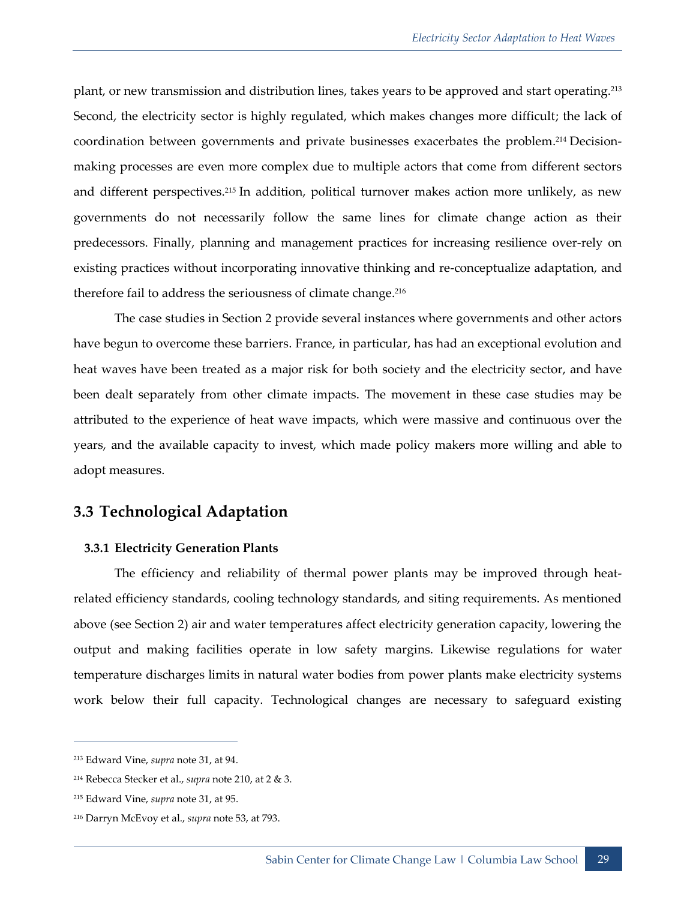plant, or new transmission and distribution lines, takes years to be approved and start operating.<sup>213</sup> Second, the electricity sector is highly regulated, which makes changes more difficult; the lack of coordination between governments and private businesses exacerbates the problem. <sup>214</sup> Decisionmaking processes are even more complex due to multiple actors that come from different sectors and different perspectives.<sup>215</sup> In addition, political turnover makes action more unlikely, as new governments do not necessarily follow the same lines for climate change action as their predecessors. Finally, planning and management practices for increasing resilience over-rely on existing practices without incorporating innovative thinking and re-conceptualize adaptation, and therefore fail to address the seriousness of climate change. 216

The case studies in Section 2 provide several instances where governments and other actors have begun to overcome these barriers. France, in particular, has had an exceptional evolution and heat waves have been treated as a major risk for both society and the electricity sector, and have been dealt separately from other climate impacts. The movement in these case studies may be attributed to the experience of heat wave impacts, which were massive and continuous over the years, and the available capacity to invest, which made policy makers more willing and able to adopt measures.

# **3.3 Technological Adaptation**

#### **3.3.1 Electricity Generation Plants**

The efficiency and reliability of thermal power plants may be improved through heatrelated efficiency standards, cooling technology standards, and siting requirements. As mentioned above (see Section 2) air and water temperatures affect electricity generation capacity, lowering the output and making facilities operate in low safety margins. Likewise regulations for water temperature discharges limits in natural water bodies from power plants make electricity systems work below their full capacity. Technological changes are necessary to safeguard existing

<sup>213</sup> Edward Vine, *supra* note 31, at 94.

<sup>214</sup> Rebecca Stecker et al., *supra* note 210, at 2 & 3.

<sup>215</sup> Edward Vine, *supra* note 31, at 95.

<sup>216</sup> Darryn McEvoy et al., *supra* note 53, at 793.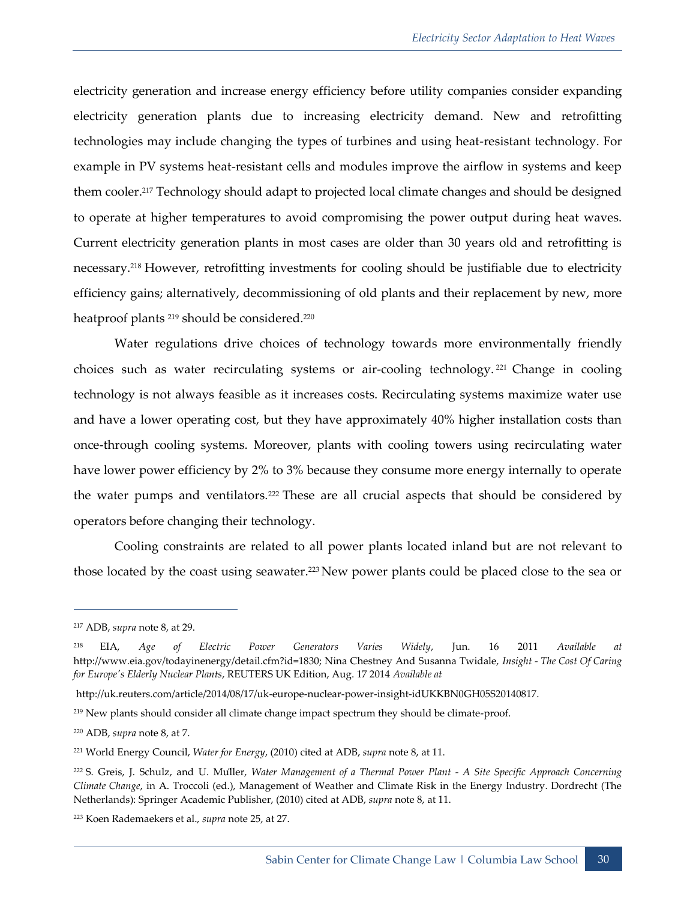electricity generation and increase energy efficiency before utility companies consider expanding electricity generation plants due to increasing electricity demand. New and retrofitting technologies may include changing the types of turbines and using heat-resistant technology. For example in PV systems heat-resistant cells and modules improve the airflow in systems and keep them cooler.<sup>217</sup> Technology should adapt to projected local climate changes and should be designed to operate at higher temperatures to avoid compromising the power output during heat waves. Current electricity generation plants in most cases are older than 30 years old and retrofitting is necessary.<sup>218</sup> However, retrofitting investments for cooling should be justifiable due to electricity efficiency gains; alternatively, decommissioning of old plants and their replacement by new, more heatproof plants <sup>219</sup> should be considered.<sup>220</sup>

Water regulations drive choices of technology towards more environmentally friendly choices such as water recirculating systems or air-cooling technology.<sup>221</sup> Change in cooling technology is not always feasible as it increases costs. Recirculating systems maximize water use and have a lower operating cost, but they have approximately 40% higher installation costs than once-through cooling systems. Moreover, plants with cooling towers using recirculating water have lower power efficiency by 2% to 3% because they consume more energy internally to operate the water pumps and ventilators.<sup>222</sup> These are all crucial aspects that should be considered by operators before changing their technology.

Cooling constraints are related to all power plants located inland but are not relevant to those located by the coast using seawater.<sup>223</sup> New power plants could be placed close to the sea or

<sup>217</sup> ADB, *supra* note 8, at 29.

<sup>218</sup> EIA, *Age of Electric Power Generators Varies Widely*, Jun. 16 2011 *Available at* http://www.eia.gov/todayinenergy/detail.cfm?id=1830; Nina Chestney And Susanna Twidale, *Insight - The Cost Of Caring for Europe's Elderly Nuclear Plants*, REUTERS UK Edition, Aug. 17 2014 *Available at*

http://uk.reuters.com/article/2014/08/17/uk-europe-nuclear-power-insight-idUKKBN0GH05S20140817.

<sup>&</sup>lt;sup>219</sup> New plants should consider all climate change impact spectrum they should be climate-proof.

<sup>220</sup> ADB, *supra* note 8, at 7.

<sup>221</sup> World Energy Council, *Water for Energy*, (2010) cited at ADB, *supra* note 8, at 11.

<sup>222</sup> S. Greis, J. Schulz, and U. Mu ller, *Water Management of a Thermal Power Plant - A Site Specific Approach Concerning Climate Change*, in A. Troccoli (ed.), Management of Weather and Climate Risk in the Energy Industry. Dordrecht (The Netherlands): Springer Academic Publisher, (2010) cited at ADB, *supra* note 8, at 11.

<sup>223</sup> Koen Rademaekers et al., *supra* note 25, at 27.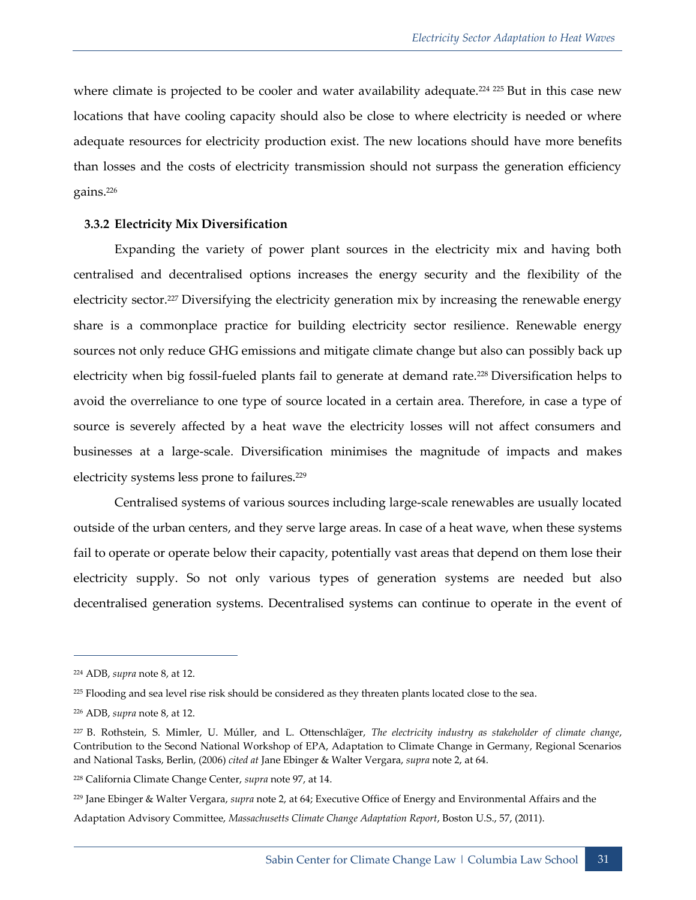where climate is projected to be cooler and water availability adequate.<sup>224 225</sup> But in this case new locations that have cooling capacity should also be close to where electricity is needed or where adequate resources for electricity production exist. The new locations should have more benefits than losses and the costs of electricity transmission should not surpass the generation efficiency gains.<sup>226</sup>

#### **3.3.2 Electricity Mix Diversification**

Expanding the variety of power plant sources in the electricity mix and having both centralised and decentralised options increases the energy security and the flexibility of the electricity sector.<sup>227</sup> Diversifying the electricity generation mix by increasing the renewable energy share is a commonplace practice for building electricity sector resilience. Renewable energy sources not only reduce GHG emissions and mitigate climate change but also can possibly back up electricity when big fossil-fueled plants fail to generate at demand rate.<sup>228</sup> Diversification helps to avoid the overreliance to one type of source located in a certain area. Therefore, in case a type of source is severely affected by a heat wave the electricity losses will not affect consumers and businesses at a large-scale. Diversification minimises the magnitude of impacts and makes electricity systems less prone to failures.<sup>229</sup>

Centralised systems of various sources including large-scale renewables are usually located outside of the urban centers, and they serve large areas. In case of a heat wave, when these systems fail to operate or operate below their capacity, potentially vast areas that depend on them lose their electricity supply. So not only various types of generation systems are needed but also decentralised generation systems. Decentralised systems can continue to operate in the event of

 $\overline{a}$ 

<sup>229</sup> Jane Ebinger & Walter Vergara, *supra* note 2, at 64; Executive Office of Energy and Environmental Affairs and the Adaptation Advisory Committee, *Massachusetts Climate Change Adaptation Report*, Boston U.S., 57, (2011).

<sup>224</sup> ADB, *supra* note 8, at 12.

<sup>225</sup> Flooding and sea level rise risk should be considered as they threaten plants located close to the sea.

<sup>226</sup> ADB, *supra* note 8, at 12.

<sup>&</sup>lt;sup>227</sup> B. Rothstein, S. Mimler, U. Múller, and L. Ottenschlager, *The electricity industry as stakeholder of climate change*, Contribution to the Second National Workshop of EPA, Adaptation to Climate Change in Germany, Regional Scenarios and National Tasks, Berlin, (2006) *cited at* Jane Ebinger & Walter Vergara, *supra* note 2, at 64.

<sup>228</sup> California Climate Change Center, *supra* note 97, at 14.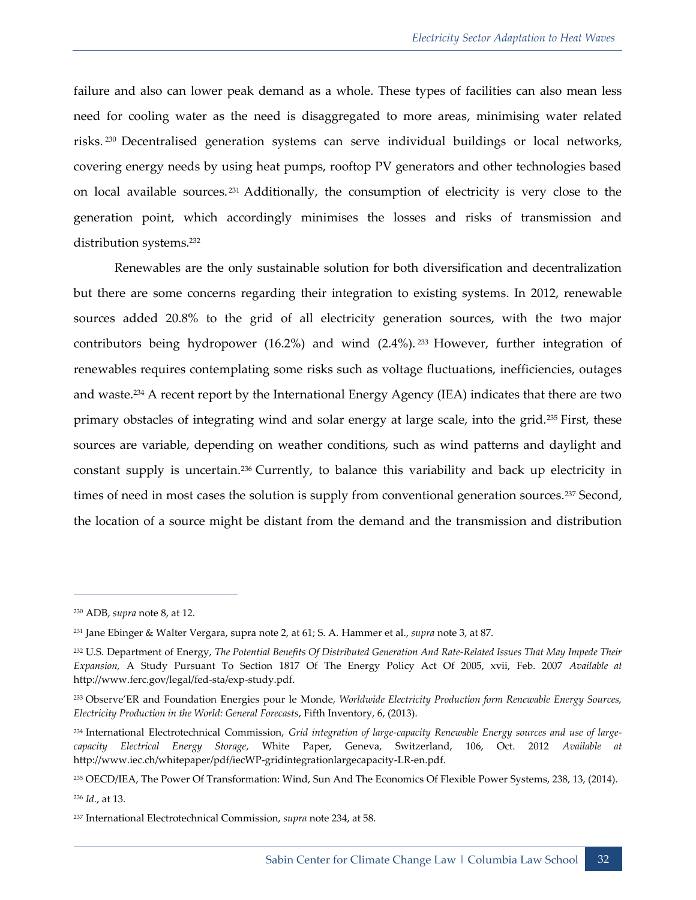failure and also can lower peak demand as a whole. These types of facilities can also mean less need for cooling water as the need is disaggregated to more areas, minimising water related risks. <sup>230</sup> Decentralised generation systems can serve individual buildings or local networks, covering energy needs by using heat pumps, rooftop PV generators and other technologies based on local available sources. <sup>231</sup> Additionally, the consumption of electricity is very close to the generation point, which accordingly minimises the losses and risks of transmission and distribution systems.<sup>232</sup>

Renewables are the only sustainable solution for both diversification and decentralization but there are some concerns regarding their integration to existing systems. In 2012, renewable sources added 20.8% to the grid of all electricity generation sources, with the two major contributors being hydropower (16.2%) and wind (2.4%). <sup>233</sup> However, further integration of renewables requires contemplating some risks such as voltage fluctuations, inefficiencies, outages and waste.<sup>234</sup> A recent report by the International Energy Agency (IEA) indicates that there are two primary obstacles of integrating wind and solar energy at large scale, into the grid.<sup>235</sup> First, these sources are variable, depending on weather conditions, such as wind patterns and daylight and constant supply is uncertain.<sup>236</sup> Currently, to balance this variability and back up electricity in times of need in most cases the solution is supply from conventional generation sources.<sup>237</sup> Second, the location of a source might be distant from the demand and the transmission and distribution

<sup>230</sup> ADB, *supra* note 8, at 12.

<sup>231</sup> Jane Ebinger & Walter Vergara, supra note 2, at 61; S. A. Hammer et al., *supra* note 3, at 87.

<sup>232</sup> U.S. Department of Energy, *The Potential Benefits Of Distributed Generation And Rate-Related Issues That May Impede Their Expansion,* A Study Pursuant To Section 1817 Of The Energy Policy Act Of 2005, xvii, Feb. 2007 *Available at* http://www.ferc.gov/legal/fed-sta/exp-study.pdf.

<sup>&</sup>lt;sup>233</sup> Observe'ER and Foundation Energies pour le Monde, Worldwide Electricity Production form Renewable Energy Sources, *Electricity Production in the World: General Forecasts*, Fifth Inventory, 6, (2013).

<sup>234</sup> International Electrotechnical Commission, *Grid integration of large-capacity Renewable Energy sources and use of largecapacity Electrical Energy Storage*, White Paper, Geneva, Switzerland, 106, Oct. 2012 *Available at* http://www.iec.ch/whitepaper/pdf/iecWP-gridintegrationlargecapacity-LR-en.pdf.

<sup>235</sup> OECD/IEA, The Power Of Transformation: Wind, Sun And The Economics Of Flexible Power Systems, 238, 13, (2014).

<sup>236</sup> *Id.*, at 13.

<sup>237</sup> International Electrotechnical Commission, *supra* note 234, at 58.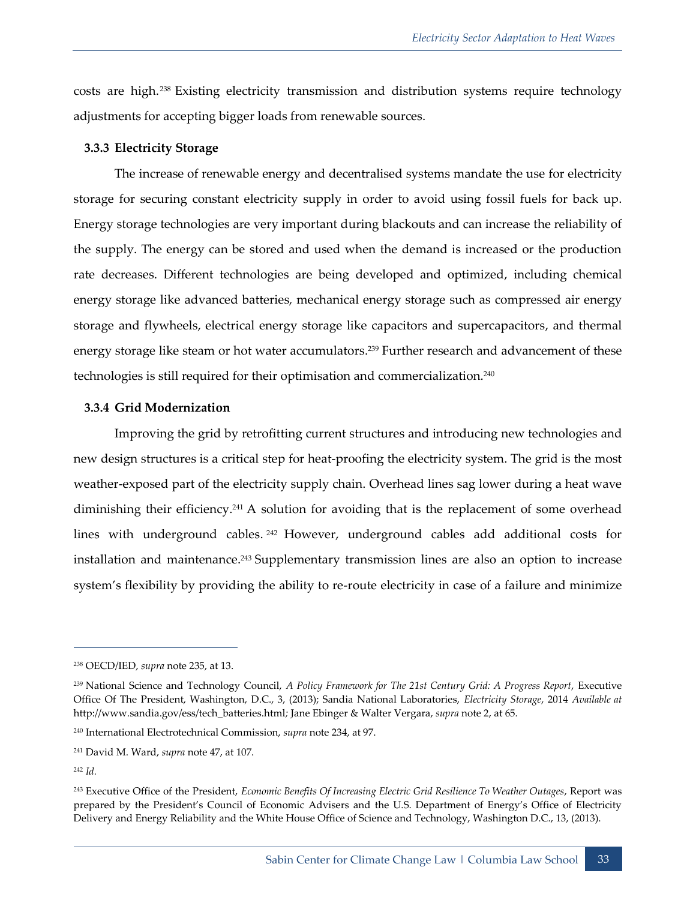costs are high.<sup>238</sup> Existing electricity transmission and distribution systems require technology adjustments for accepting bigger loads from renewable sources.

#### **3.3.3 Electricity Storage**

The increase of renewable energy and decentralised systems mandate the use for electricity storage for securing constant electricity supply in order to avoid using fossil fuels for back up. Energy storage technologies are very important during blackouts and can increase the reliability of the supply. The energy can be stored and used when the demand is increased or the production rate decreases. Different technologies are being developed and optimized, including chemical energy storage like advanced batteries, mechanical energy storage such as compressed air energy storage and flywheels, electrical energy storage like capacitors and supercapacitors, and thermal energy storage like steam or hot water accumulators. <sup>239</sup> Further research and advancement of these technologies is still required for their optimisation and commercialization. 240

#### **3.3.4 Grid Modernization**

Improving the grid by retrofitting current structures and introducing new technologies and new design structures is a critical step for heat-proofing the electricity system. The grid is the most weather-exposed part of the electricity supply chain. Overhead lines sag lower during a heat wave diminishing their efficiency.<sup>241</sup> A solution for avoiding that is the replacement of some overhead lines with underground cables.<sup>242</sup> However, underground cables add additional costs for installation and maintenance.<sup>243</sup> Supplementary transmission lines are also an option to increase system's flexibility by providing the ability to re-route electricity in case of a failure and minimize

<sup>238</sup> OECD/IED, *supra* note 235, at 13.

<sup>239</sup> National Science and Technology Council, *A Policy Framework for The 21st Century Grid: A Progress Report*, Executive Office Of The President, Washington, D.C., 3, (2013); Sandia National Laboratories, *Electricity Storage*, 2014 *Available at* http://www.sandia.gov/ess/tech\_batteries.html*;* Jane Ebinger & Walter Vergara, *supra* note 2, at 65*.*

<sup>240</sup> International Electrotechnical Commission, *supra* note 234, at 97.

<sup>241</sup> David M. Ward, *supra* note 47, at 107.

<sup>242</sup> *Id.*

<sup>243</sup> Executive Office of the President, *Economic Benefits Of Increasing Electric Grid Resilience To Weather Outages*, Report was prepared by the President's Council of Economic Advisers and the U.S. Department of Energy's Office of Electricity Delivery and Energy Reliability and the White House Office of Science and Technology, Washington D.C., 13, (2013).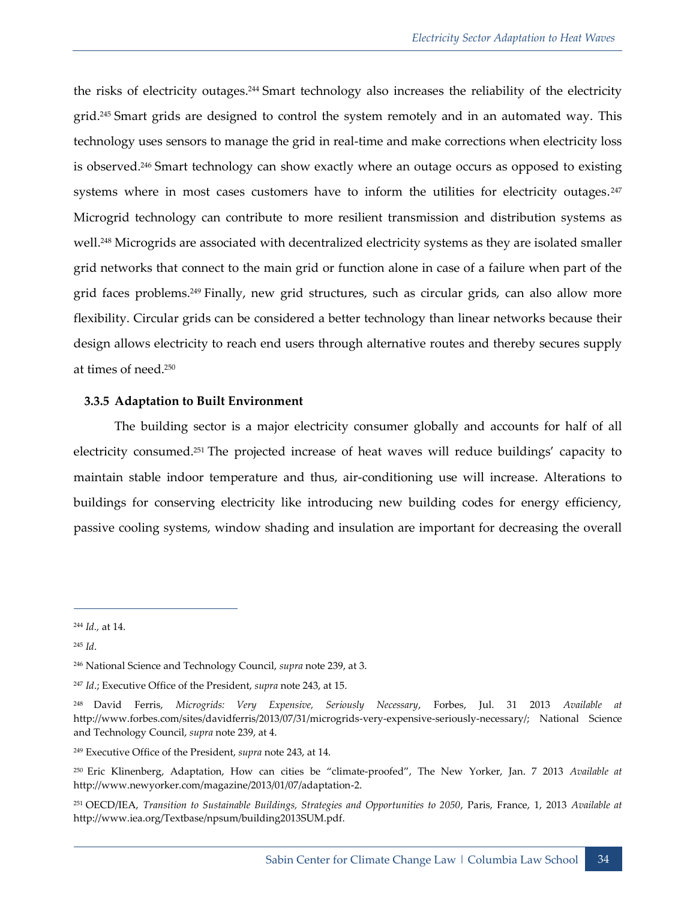the risks of electricity outages.<sup>244</sup> Smart technology also increases the reliability of the electricity grid. <sup>245</sup> Smart grids are designed to control the system remotely and in an automated way. This technology uses sensors to manage the grid in real-time and make corrections when electricity loss is observed.<sup>246</sup> Smart technology can show exactly where an outage occurs as opposed to existing systems where in most cases customers have to inform the utilities for electricity outages. 247 Microgrid technology can contribute to more resilient transmission and distribution systems as well. <sup>248</sup> Microgrids are associated with decentralized electricity systems as they are isolated smaller grid networks that connect to the main grid or function alone in case of a failure when part of the grid faces problems. <sup>249</sup> Finally, new grid structures, such as circular grids, can also allow more flexibility. Circular grids can be considered a better technology than linear networks because their design allows electricity to reach end users through alternative routes and thereby secures supply at times of need.<sup>250</sup>

#### **3.3.5 Adaptation to Built Environment**

The building sector is a major electricity consumer globally and accounts for half of all electricity consumed. <sup>251</sup> The projected increase of heat waves will reduce buildings' capacity to maintain stable indoor temperature and thus, air-conditioning use will increase. Alterations to buildings for conserving electricity like introducing new building codes for energy efficiency, passive cooling systems, window shading and insulation are important for decreasing the overall

<sup>244</sup> *Id.,* at 14.

<sup>245</sup> *Id*.

<sup>246</sup> National Science and Technology Council, *supra* note 239, at 3.

<sup>247</sup> *Id*.; Executive Office of the President, *supra* note 243, at 15.

<sup>248</sup> David Ferris, *Microgrids: Very Expensive, Seriously Necessary*, Forbes, Jul. 31 2013 *Available at* http://www.forbes.com/sites/davidferris/2013/07/31/microgrids-very-expensive-seriously-necessary/; National Science and Technology Council, *supra* note 239, at 4.

<sup>249</sup> Executive Office of the President, *supra* note 243, at 14.

<sup>&</sup>lt;sup>250</sup> Eric Klinenberg, Adaptation, How can cities be "climate-proofed", The New Yorker, Jan. 7 2013 Available at http://www.newyorker.com/magazine/2013/01/07/adaptation-2.

<sup>251</sup> OECD/IEA, *Transition to Sustainable Buildings, Strategies and Opportunities to 2050*, Paris, France, 1, 2013 *Available at* http://www.iea.org/Textbase/npsum/building2013SUM.pdf.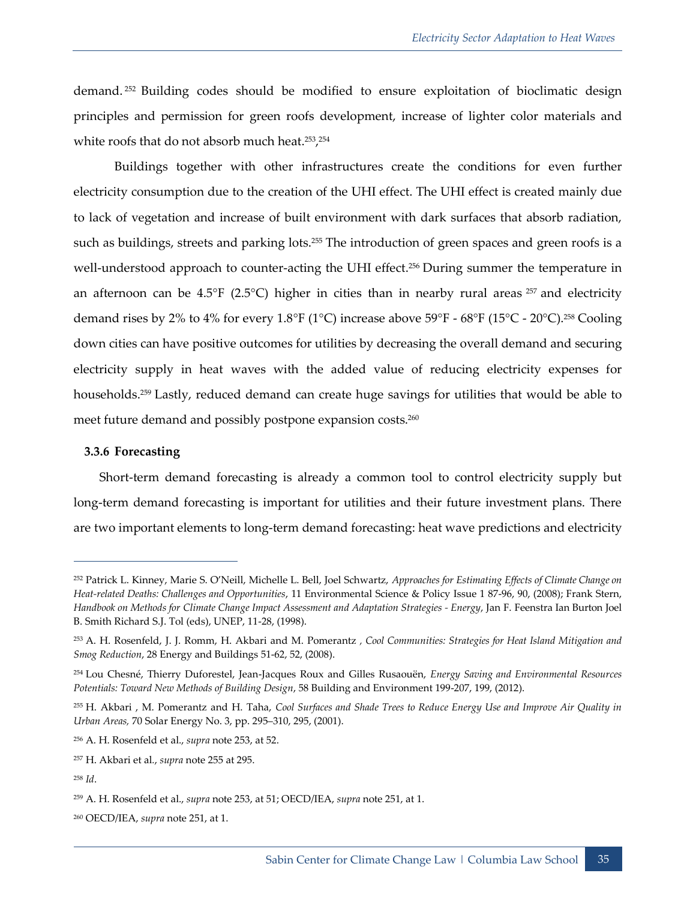demand. <sup>252</sup> Building codes should be modified to ensure exploitation of bioclimatic design principles and permission for green roofs development, increase of lighter color materials and white roofs that do not absorb much heat.<sup>253</sup> , 254

Buildings together with other infrastructures create the conditions for even further electricity consumption due to the creation of the UHI effect. The UHI effect is created mainly due to lack of vegetation and increase of built environment with dark surfaces that absorb radiation, such as buildings, streets and parking lots.<sup>255</sup> The introduction of green spaces and green roofs is a well-understood approach to counter-acting the UHI effect.<sup>256</sup> During summer the temperature in an afternoon can be  $4.5^{\circ}F$  (2.5 $^{\circ}C$ ) higher in cities than in nearby rural areas  $257$  and electricity demand rises by 2% to 4% for every 1.8°F (1°C) increase above 59°F - 68°F (15°C - 20°C).<sup>258</sup> Cooling down cities can have positive outcomes for utilities by decreasing the overall demand and securing electricity supply in heat waves with the added value of reducing electricity expenses for households.<sup>259</sup> Lastly, reduced demand can create huge savings for utilities that would be able to meet future demand and possibly postpone expansion costs. 260

#### **3.3.6 Forecasting**

Short-term demand forecasting is already a common tool to control electricity supply but long-term demand forecasting is important for utilities and their future investment plans. There are two important elements to long-term demand forecasting: heat wave predictions and electricity

<sup>&</sup>lt;sup>252</sup> Patrick L. Kinney, Marie S. O'Neill, Michelle L. Bell, Joel Schwartz, Approaches for Estimating Effects of Climate Change on *Heat-related Deaths: Challenges and Opportunities*, 11 Environmental Science & Policy Issue 1 87-96, 90, (2008); Frank Stern, *Handbook on Methods for Climate Change Impact Assessment and Adaptation Strategies - Energy*, Jan F. Feenstra Ian Burton Joel B. Smith Richard S.J. Tol (eds), UNEP, 11-28, (1998).

<sup>253</sup> A. H. Rosenfeld, J. J. Romm, H. Akbari and M. Pomerantz *, Cool Communities: Strategies for Heat Island Mitigation and Smog Reduction*, 28 Energy and Buildings 51-62, 52, (2008).

<sup>254</sup> Lou Chesné, Thierry Duforestel, Jean-Jacques Roux and Gilles Rusaouën, *Energy Saving and Environmental Resources Potentials: Toward New Methods of Building Design*, 58 Building and Environment 199-207, 199, (2012).

<sup>255</sup> H. Akbari , M. Pomerantz and H. Taha, *Cool Surfaces and Shade Trees to Reduce Energy Use and Improve Air Quality in Urban Areas,* 70 Solar Energy No. 3, pp. 295–310, 295, (2001).

<sup>256</sup> A. H. Rosenfeld et al., *supra* note 253, at 52.

<sup>257</sup> H. Akbari et al*.*, *supra* note 255 at 295.

<sup>258</sup> *Id*.

<sup>259</sup> A. H. Rosenfeld et al., *supra* note 253, at 51; OECD/IEA, *supra* note 251, at 1.

<sup>260</sup> OECD/IEA, *supra* note 251, at 1.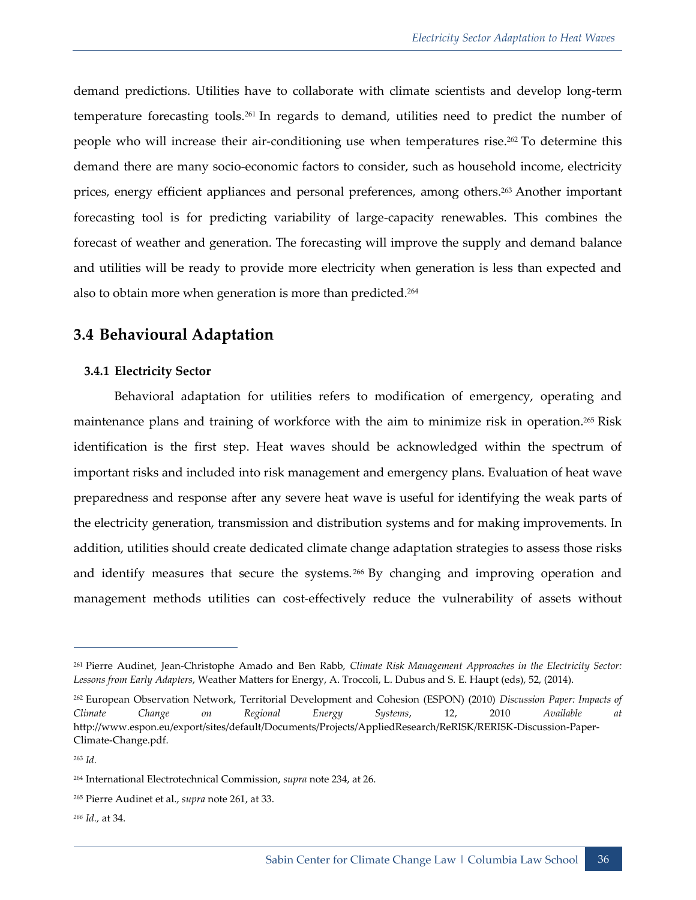demand predictions. Utilities have to collaborate with climate scientists and develop long-term temperature forecasting tools. <sup>261</sup> In regards to demand, utilities need to predict the number of people who will increase their air-conditioning use when temperatures rise.<sup>262</sup> To determine this demand there are many socio-economic factors to consider, such as household income, electricity prices, energy efficient appliances and personal preferences, among others.<sup>263</sup> Another important forecasting tool is for predicting variability of large-capacity renewables. This combines the forecast of weather and generation. The forecasting will improve the supply and demand balance and utilities will be ready to provide more electricity when generation is less than expected and also to obtain more when generation is more than predicted.<sup>264</sup>

## **3.4 Behavioural Adaptation**

#### **3.4.1 Electricity Sector**

Behavioral adaptation for utilities refers to modification of emergency, operating and maintenance plans and training of workforce with the aim to minimize risk in operation.<sup>265</sup> Risk identification is the first step. Heat waves should be acknowledged within the spectrum of important risks and included into risk management and emergency plans. Evaluation of heat wave preparedness and response after any severe heat wave is useful for identifying the weak parts of the electricity generation, transmission and distribution systems and for making improvements. In addition, utilities should create dedicated climate change adaptation strategies to assess those risks and identify measures that secure the systems. <sup>266</sup> By changing and improving operation and management methods utilities can cost-effectively reduce the vulnerability of assets without

<sup>261</sup> Pierre Audinet, Jean-Christophe Amado and Ben Rabb, *Climate Risk Management Approaches in the Electricity Sector: Lessons from Early Adapters*, Weather Matters for Energy, A. Troccoli, L. Dubus and S. E. Haupt (eds), 52, (2014).

<sup>262</sup> European Observation Network, Territorial Development and Cohesion (ESPON) (2010) *Discussion Paper: Impacts of Climate Change on Regional Energy Systems*, 12, 2010 *Available at* http://www.espon.eu/export/sites/default/Documents/Projects/AppliedResearch/ReRISK/RERISK-Discussion-Paper-Climate-Change.pdf.

<sup>263</sup> *Id.* 

<sup>264</sup> International Electrotechnical Commission, *supra* note 234, at 26.

<sup>265</sup> Pierre Audinet et al., *supra* note 261, at 33.

*<sup>266</sup> Id.,* at 34.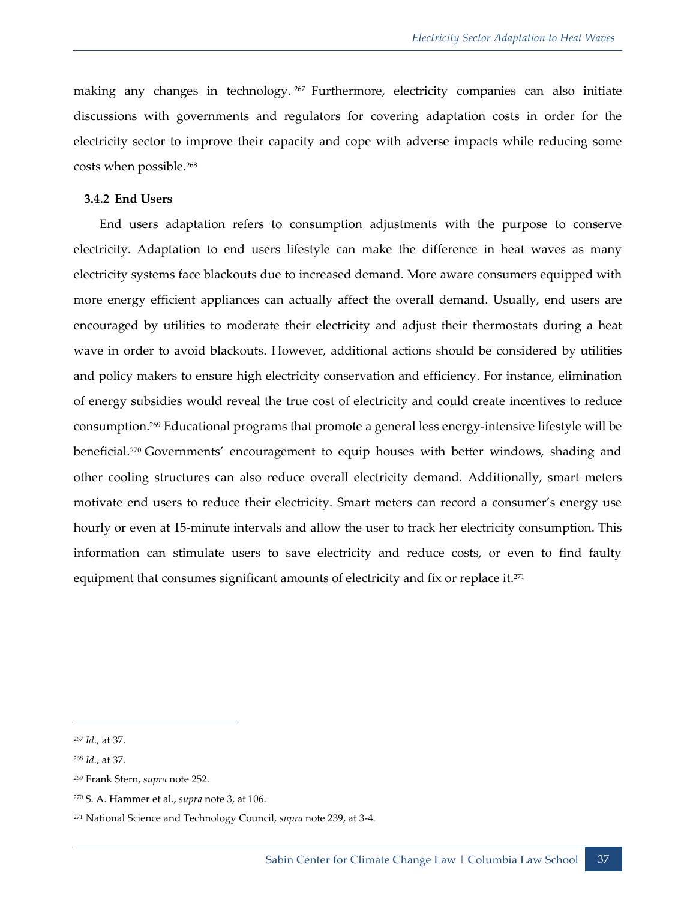making any changes in technology. <sup>267</sup> Furthermore, electricity companies can also initiate discussions with governments and regulators for covering adaptation costs in order for the electricity sector to improve their capacity and cope with adverse impacts while reducing some costs when possible. 268

#### **3.4.2 End Users**

End users adaptation refers to consumption adjustments with the purpose to conserve electricity. Adaptation to end users lifestyle can make the difference in heat waves as many electricity systems face blackouts due to increased demand. More aware consumers equipped with more energy efficient appliances can actually affect the overall demand. Usually, end users are encouraged by utilities to moderate their electricity and adjust their thermostats during a heat wave in order to avoid blackouts. However, additional actions should be considered by utilities and policy makers to ensure high electricity conservation and efficiency. For instance, elimination of energy subsidies would reveal the true cost of electricity and could create incentives to reduce consumption.<sup>269</sup> Educational programs that promote a general less energy-intensive lifestyle will be beneficial.<sup>270</sup> Governments' encouragement to equip houses with better windows, shading and other cooling structures can also reduce overall electricity demand. Additionally, smart meters motivate end users to reduce their electricity. Smart meters can record a consumer's energy use hourly or even at 15-minute intervals and allow the user to track her electricity consumption. This information can stimulate users to save electricity and reduce costs, or even to find faulty equipment that consumes significant amounts of electricity and fix or replace it. 271

<sup>267</sup> *Id.,* at 37.

<sup>268</sup> *Id.,* at 37.

<sup>269</sup> Frank Stern, *supra* note 252.

<sup>270</sup> S. A. Hammer et al., *supra* note 3, at 106.

<sup>271</sup> National Science and Technology Council, *supra* note 239, at 3-4.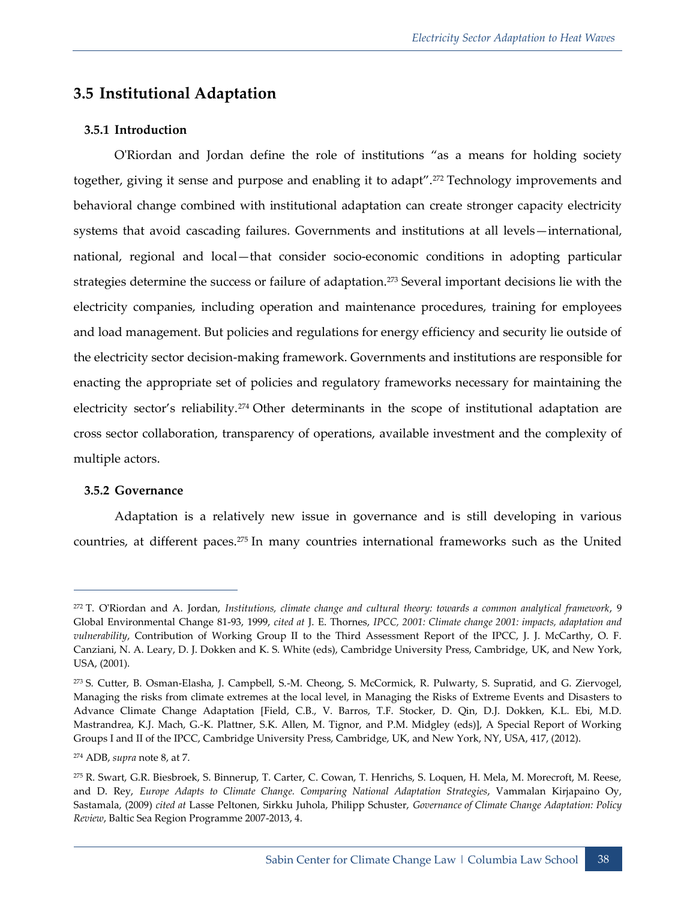# **3.5 Institutional Adaptation**

#### **3.5.1 Introduction**

O'Riordan and Jordan define the role of institutions "as a means for holding society together, giving it sense and purpose and enabling it to adapt".<sup>272</sup> Technology improvements and behavioral change combined with institutional adaptation can create stronger capacity electricity systems that avoid cascading failures. Governments and institutions at all levels—international, national, regional and local—that consider socio-economic conditions in adopting particular strategies determine the success or failure of adaptation.<sup>273</sup> Several important decisions lie with the electricity companies, including operation and maintenance procedures, training for employees and load management. But policies and regulations for energy efficiency and security lie outside of the electricity sector decision-making framework. Governments and institutions are responsible for enacting the appropriate set of policies and regulatory frameworks necessary for maintaining the electricity sector's reliability.<sup>274</sup> Other determinants in the scope of institutional adaptation are cross sector collaboration, transparency of operations, available investment and the complexity of multiple actors.

#### **3.5.2 Governance**

 $\overline{a}$ 

Adaptation is a relatively new issue in governance and is still developing in various countries, at different paces.<sup>275</sup> In many countries international frameworks such as the United

<sup>272</sup> T. O'Riordan and A. Jordan, *Institutions, climate change and cultural theory: towards a common analytical framework*, 9 Global Environmental Change 81-93, 1999, *cited at* J. E. Thornes, *IPCC, 2001: Climate change 2001: impacts, adaptation and vulnerability*, Contribution of Working Group II to the Third Assessment Report of the IPCC, J. J. McCarthy, O. F. Canziani, N. A. Leary, D. J. Dokken and K. S. White (eds), Cambridge University Press, Cambridge, UK, and New York, USA, (2001).

<sup>273</sup> S. Cutter, B. Osman-Elasha, J. Campbell, S.-M. Cheong, S. McCormick, R. Pulwarty, S. Supratid, and G. Ziervogel, Managing the risks from climate extremes at the local level, in Managing the Risks of Extreme Events and Disasters to Advance Climate Change Adaptation [Field, C.B., V. Barros, T.F. Stocker, D. Qin, D.J. Dokken, K.L. Ebi, M.D. Mastrandrea, K.J. Mach, G.-K. Plattner, S.K. Allen, M. Tignor, and P.M. Midgley (eds)], A Special Report of Working Groups I and II of the IPCC, Cambridge University Press, Cambridge, UK, and New York, NY, USA, 417, (2012).

<sup>274</sup> ADB, *supra* note 8, at 7.

<sup>275</sup> R. Swart, G.R. Biesbroek, S. Binnerup, T. Carter, C. Cowan, T. Henrichs, S. Loquen, H. Mela, M. Morecroft, M. Reese, and D. Rey, *Europe Adapts to Climate Change. Comparing National Adaptation Strategies*, Vammalan Kirjapaino Oy, Sastamala, (2009) *cited at* Lasse Peltonen, Sirkku Juhola, Philipp Schuster, *Governance of Climate Change Adaptation: Policy Review*, Baltic Sea Region Programme 2007-2013, 4.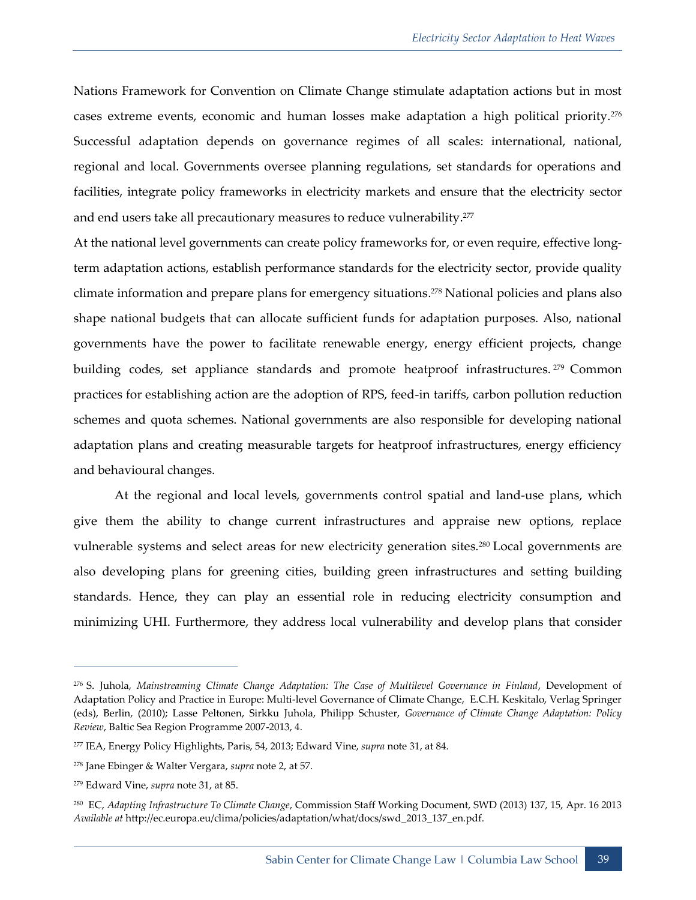Nations Framework for Convention on Climate Change stimulate adaptation actions but in most cases extreme events, economic and human losses make adaptation a high political priority.<sup>276</sup> Successful adaptation depends on governance regimes of all scales: international, national, regional and local. Governments oversee planning regulations, set standards for operations and facilities, integrate policy frameworks in electricity markets and ensure that the electricity sector and end users take all precautionary measures to reduce vulnerability. 277

At the national level governments can create policy frameworks for, or even require, effective longterm adaptation actions, establish performance standards for the electricity sector, provide quality climate information and prepare plans for emergency situations. <sup>278</sup> National policies and plans also shape national budgets that can allocate sufficient funds for adaptation purposes. Also, national governments have the power to facilitate renewable energy, energy efficient projects, change building codes, set appliance standards and promote heatproof infrastructures. <sup>279</sup> Common practices for establishing action are the adoption of RPS, feed-in tariffs, carbon pollution reduction schemes and quota schemes. National governments are also responsible for developing national adaptation plans and creating measurable targets for heatproof infrastructures, energy efficiency and behavioural changes.

At the regional and local levels, governments control spatial and land-use plans, which give them the ability to change current infrastructures and appraise new options, replace vulnerable systems and select areas for new electricity generation sites.<sup>280</sup> Local governments are also developing plans for greening cities, building green infrastructures and setting building standards. Hence, they can play an essential role in reducing electricity consumption and minimizing UHI. Furthermore, they address local vulnerability and develop plans that consider

<sup>276</sup> S. Juhola, *Mainstreaming Climate Change Adaptation: The Case of Multilevel Governance in Finland*, Development of Adaptation Policy and Practice in Europe: Multi-level Governance of Climate Change, E.C.H. Keskitalo, Verlag Springer (eds), Berlin, (2010); Lasse Peltonen, Sirkku Juhola, Philipp Schuster, *Governance of Climate Change Adaptation: Policy Review*, Baltic Sea Region Programme 2007-2013, 4.

<sup>277</sup> IEA, Energy Policy Highlights, Paris, 54, 2013; Edward Vine, *supra* note 31, at 84.

<sup>278</sup> Jane Ebinger & Walter Vergara, *supra* note 2, at 57.

<sup>279</sup> Edward Vine, *supra* note 31, at 85.

<sup>280</sup> EC, *Adapting Infrastructure To Climate Change*, Commission Staff Working Document, SWD (2013) 137, 15, Apr. 16 2013 *Available at* http://ec.europa.eu/clima/policies/adaptation/what/docs/swd\_2013\_137\_en.pdf.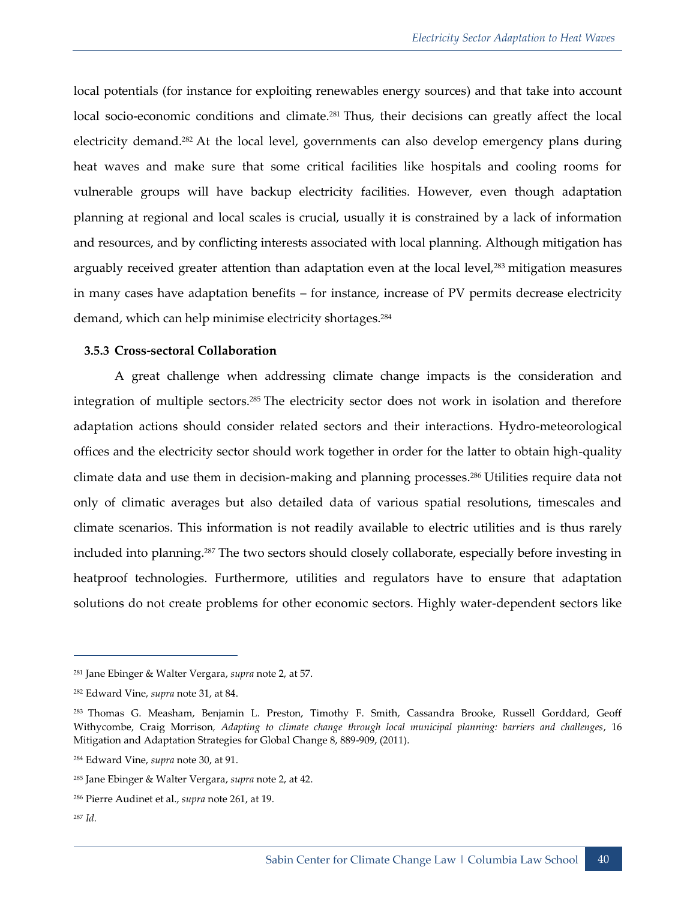local potentials (for instance for exploiting renewables energy sources) and that take into account local socio-economic conditions and climate.<sup>281</sup> Thus, their decisions can greatly affect the local electricity demand.<sup>282</sup> At the local level, governments can also develop emergency plans during heat waves and make sure that some critical facilities like hospitals and cooling rooms for vulnerable groups will have backup electricity facilities. However, even though adaptation planning at regional and local scales is crucial, usually it is constrained by a lack of information and resources, and by conflicting interests associated with local planning. Although mitigation has arguably received greater attention than adaptation even at the local level,<sup>283</sup> mitigation measures in many cases have adaptation benefits – for instance, increase of PV permits decrease electricity demand, which can help minimise electricity shortages.<sup>284</sup>

#### **3.5.3 Cross-sectoral Collaboration**

A great challenge when addressing climate change impacts is the consideration and integration of multiple sectors.<sup>285</sup> The electricity sector does not work in isolation and therefore adaptation actions should consider related sectors and their interactions. Hydro-meteorological offices and the electricity sector should work together in order for the latter to obtain high-quality climate data and use them in decision-making and planning processes.<sup>286</sup> Utilities require data not only of climatic averages but also detailed data of various spatial resolutions, timescales and climate scenarios. This information is not readily available to electric utilities and is thus rarely included into planning.<sup>287</sup> The two sectors should closely collaborate, especially before investing in heatproof technologies. Furthermore, utilities and regulators have to ensure that adaptation solutions do not create problems for other economic sectors. Highly water-dependent sectors like

<sup>281</sup> Jane Ebinger & Walter Vergara, *supra* note 2, at 57.

<sup>282</sup> Edward Vine, *supra* note 31, at 84.

<sup>283</sup> Thomas G. Measham, Benjamin L. Preston, Timothy F. Smith, Cassandra Brooke, Russell Gorddard, Geoff Withycombe, Craig Morrison*, Adapting to climate change through local municipal planning: barriers and challenges*, 16 Mitigation and Adaptation Strategies for Global Change 8, 889-909, (2011).

<sup>284</sup> Edward Vine, *supra* note 30, at 91.

<sup>285</sup> Jane Ebinger & Walter Vergara, *supra* note 2, at 42.

<sup>286</sup> Pierre Audinet et al., *supra* note 261, at 19.

<sup>287</sup> *Id.*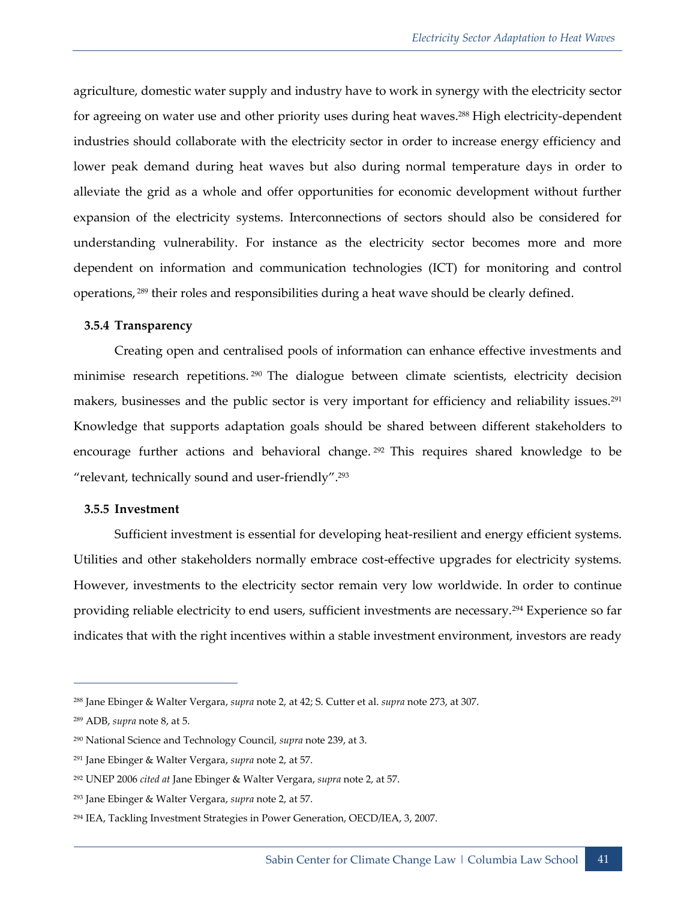agriculture, domestic water supply and industry have to work in synergy with the electricity sector for agreeing on water use and other priority uses during heat waves.<sup>288</sup> High electricity-dependent industries should collaborate with the electricity sector in order to increase energy efficiency and lower peak demand during heat waves but also during normal temperature days in order to alleviate the grid as a whole and offer opportunities for economic development without further expansion of the electricity systems. Interconnections of sectors should also be considered for understanding vulnerability. For instance as the electricity sector becomes more and more dependent on information and communication technologies (ICT) for monitoring and control operations, <sup>289</sup> their roles and responsibilities during a heat wave should be clearly defined.

#### **3.5.4 Transparency**

Creating open and centralised pools of information can enhance effective investments and minimise research repetitions.<sup>290</sup> The dialogue between climate scientists, electricity decision makers, businesses and the public sector is very important for efficiency and reliability issues.<sup>291</sup> Knowledge that supports adaptation goals should be shared between different stakeholders to encourage further actions and behavioral change.  $292$  This requires shared knowledge to be "relevant, technically sound and user-friendly".<sup>293</sup>

#### **3.5.5 Investment**

Sufficient investment is essential for developing heat-resilient and energy efficient systems. Utilities and other stakeholders normally embrace cost-effective upgrades for electricity systems. However, investments to the electricity sector remain very low worldwide. In order to continue providing reliable electricity to end users, sufficient investments are necessary.<sup>294</sup> Experience so far indicates that with the right incentives within a stable investment environment, investors are ready

<sup>288</sup> Jane Ebinger & Walter Vergara, *supra* note 2, at 42; S. Cutter et al. *supra* note 273, at 307.

<sup>289</sup> ADB, *supra* note 8, at 5.

<sup>290</sup> National Science and Technology Council, *supra* note 239, at 3.

<sup>291</sup> Jane Ebinger & Walter Vergara, *supra* note 2, at 57.

<sup>292</sup> UNEP 2006 *cited at* Jane Ebinger & Walter Vergara, *supra* note 2, at 57.

<sup>293</sup> Jane Ebinger & Walter Vergara, *supra* note 2, at 57.

<sup>294</sup> IEA, Tackling Investment Strategies in Power Generation, OECD/IEA, 3, 2007.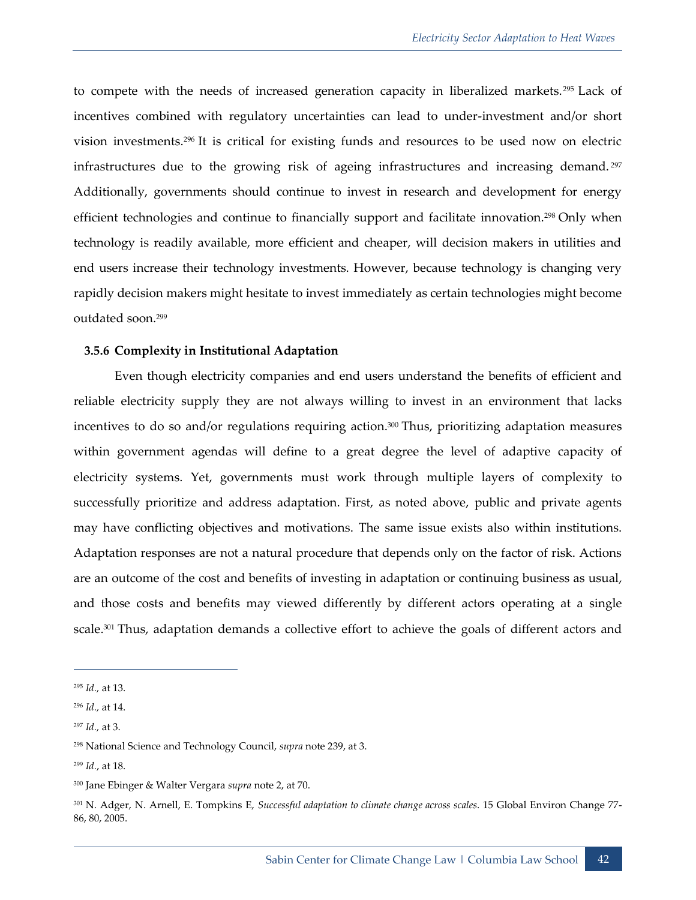to compete with the needs of increased generation capacity in liberalized markets.<sup>295</sup> Lack of incentives combined with regulatory uncertainties can lead to under-investment and/or short vision investments.<sup>296</sup> It is critical for existing funds and resources to be used now on electric infrastructures due to the growing risk of ageing infrastructures and increasing demand. <sup>297</sup> Additionally, governments should continue to invest in research and development for energy efficient technologies and continue to financially support and facilitate innovation.<sup>298</sup> Only when technology is readily available, more efficient and cheaper, will decision makers in utilities and end users increase their technology investments. However, because technology is changing very rapidly decision makers might hesitate to invest immediately as certain technologies might become outdated soon.<sup>299</sup>

#### **3.5.6 Complexity in Institutional Adaptation**

Even though electricity companies and end users understand the benefits of efficient and reliable electricity supply they are not always willing to invest in an environment that lacks incentives to do so and/or regulations requiring action. <sup>300</sup> Thus, prioritizing adaptation measures within government agendas will define to a great degree the level of adaptive capacity of electricity systems. Yet, governments must work through multiple layers of complexity to successfully prioritize and address adaptation. First, as noted above, public and private agents may have conflicting objectives and motivations. The same issue exists also within institutions. Adaptation responses are not a natural procedure that depends only on the factor of risk. Actions are an outcome of the cost and benefits of investing in adaptation or continuing business as usual, and those costs and benefits may viewed differently by different actors operating at a single scale.<sup>301</sup> Thus, adaptation demands a collective effort to achieve the goals of different actors and

<sup>295</sup> *Id.,* at 13.

<sup>296</sup> *Id.,* at 14.

<sup>297</sup> *Id.,* at 3.

<sup>298</sup> National Science and Technology Council, *supra* note 239, at 3.

<sup>299</sup> *Id.*, at 18.

<sup>300</sup> Jane Ebinger & Walter Vergara *supra* note 2, at 70.

<sup>301</sup> N. Adger, N. Arnell, E. Tompkins E, *Successful adaptation to climate change across scales*. 15 Global Environ Change 77- 86, 80, 2005.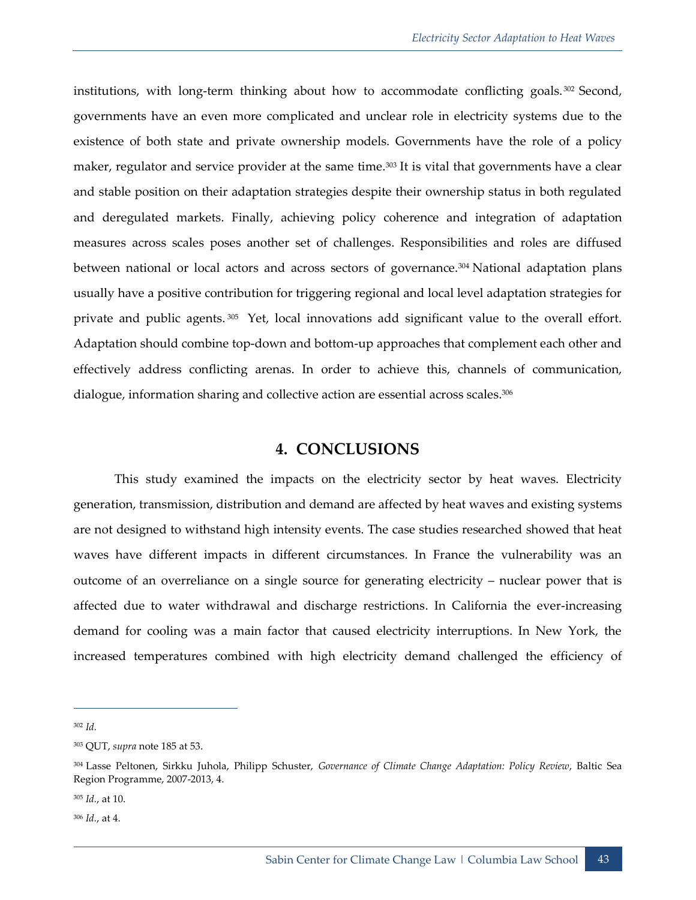institutions, with long-term thinking about how to accommodate conflicting goals. <sup>302</sup> Second, governments have an even more complicated and unclear role in electricity systems due to the existence of both state and private ownership models. Governments have the role of a policy maker, regulator and service provider at the same time.<sup>303</sup> It is vital that governments have a clear and stable position on their adaptation strategies despite their ownership status in both regulated and deregulated markets. Finally, achieving policy coherence and integration of adaptation measures across scales poses another set of challenges. Responsibilities and roles are diffused between national or local actors and across sectors of governance.<sup>304</sup> National adaptation plans usually have a positive contribution for triggering regional and local level adaptation strategies for private and public agents.<sup>305</sup> Yet, local innovations add significant value to the overall effort. Adaptation should combine top-down and bottom-up approaches that complement each other and effectively address conflicting arenas. In order to achieve this, channels of communication, dialogue, information sharing and collective action are essential across scales. 306

## **4. CONCLUSIONS**

This study examined the impacts on the electricity sector by heat waves. Electricity generation, transmission, distribution and demand are affected by heat waves and existing systems are not designed to withstand high intensity events. The case studies researched showed that heat waves have different impacts in different circumstances. In France the vulnerability was an outcome of an overreliance on a single source for generating electricity – nuclear power that is affected due to water withdrawal and discharge restrictions. In California the ever-increasing demand for cooling was a main factor that caused electricity interruptions. In New York, the increased temperatures combined with high electricity demand challenged the efficiency of

<sup>302</sup> *Id.*

<sup>303</sup> QUT, *supra* note 185 at 53.

<sup>304</sup> Lasse Peltonen, Sirkku Juhola, Philipp Schuster, *Governance of Climate Change Adaptation: Policy Review*, Baltic Sea Region Programme, 2007-2013, 4.

<sup>305</sup> *Id.*, at 10.

<sup>306</sup> *Id.*, at 4.